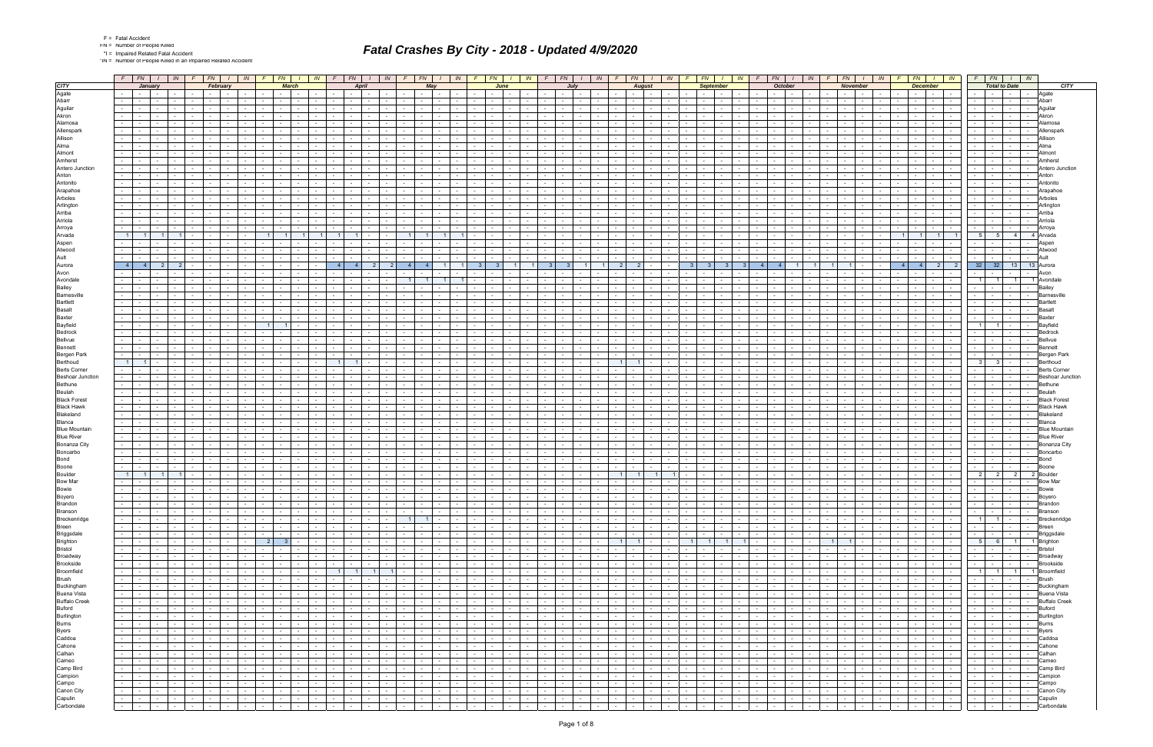|  |  | <b>Fatal Accide</b> |
|--|--|---------------------|
|  |  |                     |

\*IN = Number of People Killed in an Impaired Related Accident

|                                                |                  | $F$ $FN$ $I$                                        |                               | IN                                          | $F$ $FN$                     |                                                                                   |                                                      | $IN$ $F$                      | $FN$   $1$                      |                                                                                                                 | $\mathbb{N}$                       |                                 | FN    | IN                                             |                | $F \parallel F N \parallel$                             |                                                  | IN -                 | F                                     | FN                       |                                    | IN<br>F                            | FN 1                                                                                                            |                                             | - IN       |                            | FN                                            |                 | IN                                  | FN -                                                  |                                                | IN 1                               |                                    | FN                                          | IN                                                                                                                                                                                                                             |                                    | FN                          |                                              | $\mathbb{N}$ |                                    | $FN$ $1$                                           | $\sqrt{N}$       | $F$ $FN$                                                                                                                                                                                                                                                                                                                                                                                                                                                   | $\sqrt{N}$                                                  |                    |             |
|------------------------------------------------|------------------|-----------------------------------------------------|-------------------------------|---------------------------------------------|------------------------------|-----------------------------------------------------------------------------------|------------------------------------------------------|-------------------------------|---------------------------------|-----------------------------------------------------------------------------------------------------------------|------------------------------------|---------------------------------|-------|------------------------------------------------|----------------|---------------------------------------------------------|--------------------------------------------------|----------------------|---------------------------------------|--------------------------|------------------------------------|------------------------------------|-----------------------------------------------------------------------------------------------------------------|---------------------------------------------|------------|----------------------------|-----------------------------------------------|-----------------|-------------------------------------|-------------------------------------------------------|------------------------------------------------|------------------------------------|------------------------------------|---------------------------------------------|--------------------------------------------------------------------------------------------------------------------------------------------------------------------------------------------------------------------------------|------------------------------------|-----------------------------|----------------------------------------------|--------------|------------------------------------|----------------------------------------------------|------------------|------------------------------------------------------------------------------------------------------------------------------------------------------------------------------------------------------------------------------------------------------------------------------------------------------------------------------------------------------------------------------------------------------------------------------------------------------------|-------------------------------------------------------------|--------------------|-------------|
| <b>CITY</b>                                    |                  | January                                             |                               |                                             |                              | February                                                                          |                                                      |                               | <b>March</b>                    |                                                                                                                 |                                    |                                 | April |                                                |                |                                                         | May                                              |                      |                                       | June                     |                                    |                                    |                                                                                                                 | July                                        |            |                            | <b>August</b>                                 |                 |                                     |                                                       | <b>September</b>                               |                                    |                                    | October                                     |                                                                                                                                                                                                                                |                                    | <b>November</b>             |                                              |              |                                    | <b>December</b>                                    |                  | <b>Total to Date</b>                                                                                                                                                                                                                                                                                                                                                                                                                                       |                                                             |                    | <b>CITY</b> |
| Agate                                          |                  | <b>Contract Contract</b>                            | $\sim$                        |                                             |                              |                                                                                   |                                                      |                               |                                 | $\sim$                                                                                                          |                                    | $\sim$                          |       |                                                |                | $\sim$                                                  |                                                  |                      |                                       |                          |                                    |                                    |                                                                                                                 | $\sim$                                      |            |                            | $\sim$ $\sim$ $\sim$                          | $\sim$          |                                     |                                                       |                                                |                                    |                                    | $\sim$ 10 $\pm$<br><b>Contract Contract</b> |                                                                                                                                                                                                                                |                                    |                             |                                              |              |                                    | $\sim$ 100 $\sim$                                  |                  |                                                                                                                                                                                                                                                                                                                                                                                                                                                            | $\sim 100$<br>$\sim$ $-$                                    | Agate              |             |
| Abarr                                          | $\sim$           | $\sim$ 100 $\mu$                                    |                               |                                             |                              |                                                                                   |                                                      |                               |                                 |                                                                                                                 |                                    |                                 |       |                                                |                |                                                         |                                                  |                      |                                       |                          |                                    |                                    |                                                                                                                 |                                             |            |                            |                                               |                 |                                     |                                                       |                                                |                                    |                                    |                                             |                                                                                                                                                                                                                                |                                    |                             | $\sim$                                       |              |                                    | $\sim$                                             |                  | $\sim$                                                                                                                                                                                                                                                                                                                                                                                                                                                     | <b>Service</b><br>$\sim$ $-$                                | <b>Aharr</b>       |             |
| Aguilar<br>Akron                               | $\sim$           | $\sim$                                              | $\overline{\phantom{a}}$      |                                             |                              |                                                                                   |                                                      |                               |                                 |                                                                                                                 |                                    | $\sim$                          |       |                                                |                | $\sim$                                                  |                                                  |                      |                                       |                          |                                    |                                    |                                                                                                                 | $\sim$                                      |            |                            | $\sim$                                        |                 |                                     |                                                       |                                                |                                    |                                    |                                             |                                                                                                                                                                                                                                |                                    |                             | $\sim$                                       |              |                                    |                                                    |                  |                                                                                                                                                                                                                                                                                                                                                                                                                                                            | $\sim$ 100 $\mu$<br>$\sim$<br>$\sim$ 10 $\pm$               | Akro               |             |
| Alamosa                                        |                  |                                                     |                               |                                             |                              |                                                                                   |                                                      |                               |                                 |                                                                                                                 |                                    |                                 |       |                                                |                |                                                         |                                                  |                      |                                       |                          |                                    |                                    |                                                                                                                 |                                             |            |                            |                                               |                 |                                     |                                                       |                                                |                                    |                                    |                                             |                                                                                                                                                                                                                                |                                    |                             |                                              |              |                                    |                                                    |                  |                                                                                                                                                                                                                                                                                                                                                                                                                                                            | $\sim$                                                      |                    |             |
| Allenspark                                     |                  |                                                     |                               |                                             |                              |                                                                                   |                                                      |                               |                                 |                                                                                                                 |                                    |                                 |       |                                                |                |                                                         |                                                  |                      |                                       |                          |                                    |                                    |                                                                                                                 |                                             |            |                            |                                               |                 |                                     |                                                       |                                                |                                    |                                    |                                             |                                                                                                                                                                                                                                |                                    |                             |                                              |              |                                    |                                                    |                  |                                                                                                                                                                                                                                                                                                                                                                                                                                                            | $\sim$                                                      |                    |             |
| Allison                                        |                  |                                                     |                               |                                             |                              |                                                                                   |                                                      |                               |                                 |                                                                                                                 |                                    |                                 |       |                                                |                |                                                         |                                                  |                      |                                       |                          |                                    |                                    |                                                                                                                 |                                             |            |                            |                                               |                 |                                     |                                                       |                                                |                                    |                                    |                                             |                                                                                                                                                                                                                                |                                    |                             |                                              |              |                                    |                                                    |                  |                                                                                                                                                                                                                                                                                                                                                                                                                                                            | $\sim 100$<br>$\sim$ $-$                                    |                    |             |
| Alma                                           |                  |                                                     |                               |                                             |                              |                                                                                   |                                                      |                               |                                 |                                                                                                                 |                                    |                                 |       |                                                |                |                                                         |                                                  |                      |                                       |                          |                                    |                                    |                                                                                                                 |                                             |            |                            |                                               |                 |                                     |                                                       |                                                |                                    |                                    |                                             |                                                                                                                                                                                                                                |                                    |                             |                                              |              |                                    |                                                    |                  |                                                                                                                                                                                                                                                                                                                                                                                                                                                            |                                                             |                    |             |
| Almont                                         |                  |                                                     |                               |                                             |                              |                                                                                   |                                                      |                               |                                 |                                                                                                                 |                                    |                                 |       |                                                |                |                                                         |                                                  |                      |                                       |                          |                                    |                                    |                                                                                                                 |                                             |            |                            |                                               |                 |                                     |                                                       |                                                |                                    |                                    |                                             |                                                                                                                                                                                                                                |                                    |                             |                                              |              |                                    |                                                    |                  |                                                                                                                                                                                                                                                                                                                                                                                                                                                            | <b>Service</b><br>$\sim$                                    |                    |             |
| Amherst                                        |                  |                                                     |                               |                                             |                              |                                                                                   |                                                      |                               |                                 |                                                                                                                 |                                    |                                 |       |                                                |                |                                                         |                                                  |                      |                                       |                          |                                    |                                    |                                                                                                                 |                                             |            |                            |                                               |                 |                                     |                                                       |                                                |                                    |                                    |                                             |                                                                                                                                                                                                                                |                                    |                             |                                              |              |                                    |                                                    |                  |                                                                                                                                                                                                                                                                                                                                                                                                                                                            | $\sim$ $-$<br>$\sim$ 100 $\mu$                              |                    |             |
| Antero Junction                                |                  |                                                     |                               |                                             |                              |                                                                                   |                                                      |                               |                                 |                                                                                                                 |                                    |                                 |       |                                                |                |                                                         |                                                  |                      |                                       |                          |                                    |                                    |                                                                                                                 |                                             |            |                            |                                               |                 |                                     |                                                       |                                                |                                    |                                    |                                             |                                                                                                                                                                                                                                |                                    |                             |                                              |              |                                    |                                                    |                  |                                                                                                                                                                                                                                                                                                                                                                                                                                                            | <b>Service</b>                                              | Antero Junction    |             |
| Anton<br>Antonito                              | $\sim$           |                                                     |                               |                                             |                              |                                                                                   |                                                      |                               |                                 |                                                                                                                 |                                    |                                 |       |                                                |                |                                                         |                                                  |                      |                                       |                          |                                    |                                    |                                                                                                                 |                                             |            |                            |                                               |                 |                                     |                                                       |                                                |                                    |                                    |                                             |                                                                                                                                                                                                                                |                                    |                             |                                              |              |                                    |                                                    |                  |                                                                                                                                                                                                                                                                                                                                                                                                                                                            | $\sim 10^{-1}$<br><b>Service</b><br>$\sim$ 100 $\mu$        | Anton<br>Antonito  |             |
| Arapahoe                                       |                  |                                                     |                               |                                             |                              |                                                                                   |                                                      |                               |                                 |                                                                                                                 |                                    |                                 |       |                                                |                |                                                         |                                                  |                      |                                       |                          |                                    |                                    |                                                                                                                 |                                             |            |                            |                                               |                 |                                     |                                                       |                                                |                                    |                                    |                                             |                                                                                                                                                                                                                                |                                    |                             |                                              |              |                                    |                                                    |                  |                                                                                                                                                                                                                                                                                                                                                                                                                                                            |                                                             |                    |             |
| Arboles                                        |                  |                                                     |                               |                                             |                              |                                                                                   |                                                      |                               |                                 |                                                                                                                 |                                    |                                 |       |                                                |                |                                                         |                                                  |                      |                                       |                          |                                    |                                    |                                                                                                                 |                                             |            |                            |                                               |                 |                                     |                                                       |                                                |                                    |                                    |                                             |                                                                                                                                                                                                                                |                                    |                             |                                              |              |                                    |                                                    |                  |                                                                                                                                                                                                                                                                                                                                                                                                                                                            | $\sim$ $-$                                                  |                    |             |
| Arlington                                      | $\sim 100$       |                                                     | $\sim$                        |                                             |                              |                                                                                   |                                                      |                               | <b>Service</b>                  | $\sim$                                                                                                          |                                    | $\sim$                          |       |                                                |                | $\sim$                                                  |                                                  |                      |                                       |                          |                                    |                                    |                                                                                                                 | $\sim$                                      |            |                            | $\sim$                                        |                 |                                     |                                                       |                                                |                                    |                                    |                                             |                                                                                                                                                                                                                                |                                    |                             | $\sim$                                       |              |                                    | $\sim$                                             |                  | $\sim$                                                                                                                                                                                                                                                                                                                                                                                                                                                     | <b>Contract Contract</b><br>$\sim$ 100 $\mu$                | Arlingto           |             |
| Arriba                                         |                  |                                                     |                               |                                             |                              |                                                                                   |                                                      |                               |                                 |                                                                                                                 |                                    |                                 |       |                                                |                |                                                         |                                                  |                      |                                       |                          |                                    |                                    |                                                                                                                 |                                             |            |                            |                                               |                 |                                     |                                                       |                                                |                                    |                                    |                                             |                                                                                                                                                                                                                                |                                    |                             |                                              |              |                                    |                                                    |                  |                                                                                                                                                                                                                                                                                                                                                                                                                                                            |                                                             |                    |             |
| Arriola                                        | $\sim 10$        |                                                     |                               |                                             |                              |                                                                                   |                                                      |                               |                                 |                                                                                                                 |                                    |                                 |       |                                                |                |                                                         |                                                  |                      |                                       |                          |                                    |                                    |                                                                                                                 |                                             |            |                            |                                               |                 |                                     |                                                       |                                                |                                    |                                    |                                             |                                                                                                                                                                                                                                |                                    |                             |                                              |              |                                    |                                                    |                  |                                                                                                                                                                                                                                                                                                                                                                                                                                                            | $\sim$ 100 $\mu$<br>$\sim$                                  | Arriola            |             |
| Arroya                                         | $\sim$           |                                                     |                               |                                             |                              |                                                                                   |                                                      |                               |                                 |                                                                                                                 |                                    |                                 |       |                                                |                |                                                         |                                                  |                      |                                       |                          |                                    |                                    |                                                                                                                 | $\sim$                                      |            |                            |                                               |                 |                                     |                                                       |                                                |                                    |                                    |                                             |                                                                                                                                                                                                                                |                                    |                             |                                              |              |                                    |                                                    |                  | $\sim$                                                                                                                                                                                                                                                                                                                                                                                                                                                     | <b>Service</b><br>$\sim$                                    |                    |             |
| Arvada                                         | 1 <sup>1</sup>   |                                                     |                               |                                             |                              |                                                                                   |                                                      |                               |                                 |                                                                                                                 |                                    |                                 |       |                                                |                |                                                         |                                                  |                      |                                       |                          |                                    |                                    |                                                                                                                 |                                             |            |                            |                                               |                 |                                     |                                                       |                                                |                                    |                                    |                                             |                                                                                                                                                                                                                                |                                    |                             |                                              |              |                                    |                                                    |                  | 5<br>5 <sup>1</sup>                                                                                                                                                                                                                                                                                                                                                                                                                                        | 4 <sup>1</sup>                                              | 4 Arvada           |             |
| Aspen<br>Atwood                                | $\sim$<br>$\sim$ |                                                     |                               |                                             |                              |                                                                                   |                                                      |                               | <b>Service</b>                  |                                                                                                                 |                                    | $\sim$                          |       |                                                |                |                                                         |                                                  |                      |                                       |                          |                                    |                                    |                                                                                                                 | $\sim$                                      |            |                            |                                               |                 |                                     |                                                       |                                                |                                    |                                    |                                             |                                                                                                                                                                                                                                |                                    |                             | $\sim$                                       |              |                                    | $\sim$                                             |                  | $\sim$                                                                                                                                                                                                                                                                                                                                                                                                                                                     | $\sim$ $-$<br>$\sim$<br>$\sim 100$<br>$\sim$ $-$            | Atwood             |             |
| Ault                                           |                  |                                                     |                               |                                             |                              |                                                                                   |                                                      |                               |                                 |                                                                                                                 |                                    |                                 |       |                                                |                |                                                         |                                                  |                      |                                       |                          |                                    |                                    |                                                                                                                 |                                             |            |                            |                                               |                 |                                     |                                                       |                                                |                                    |                                    |                                             |                                                                                                                                                                                                                                |                                    |                             |                                              |              |                                    |                                                    |                  |                                                                                                                                                                                                                                                                                                                                                                                                                                                            |                                                             |                    |             |
| Aurora                                         | 4 <sup>1</sup>   |                                                     |                               |                                             |                              |                                                                                   |                                                      |                               |                                 |                                                                                                                 |                                    | $\sim$ 4                        |       |                                                | $\overline{4}$ |                                                         |                                                  |                      |                                       |                          |                                    |                                    |                                                                                                                 |                                             |            |                            | - 2                                           |                 |                                     |                                                       |                                                |                                    |                                    |                                             |                                                                                                                                                                                                                                |                                    |                             |                                              |              | $\overline{4}$                     | 4 I<br>- 2                                         |                  | $32$ 32                                                                                                                                                                                                                                                                                                                                                                                                                                                    | 13                                                          | 13 Aurora          |             |
| Avon                                           |                  |                                                     |                               |                                             |                              |                                                                                   |                                                      |                               |                                 |                                                                                                                 |                                    |                                 |       |                                                |                |                                                         |                                                  |                      |                                       |                          |                                    |                                    |                                                                                                                 |                                             |            |                            |                                               |                 |                                     |                                                       |                                                |                                    |                                    |                                             |                                                                                                                                                                                                                                |                                    |                             |                                              |              |                                    |                                                    |                  |                                                                                                                                                                                                                                                                                                                                                                                                                                                            |                                                             |                    |             |
| Avondale                                       |                  |                                                     |                               |                                             |                              |                                                                                   |                                                      |                               |                                 |                                                                                                                 |                                    |                                 |       |                                                | 11             |                                                         | $\overline{1}$                                   |                      |                                       |                          |                                    |                                    |                                                                                                                 |                                             |            |                            |                                               |                 |                                     |                                                       |                                                |                                    |                                    |                                             |                                                                                                                                                                                                                                |                                    |                             |                                              |              |                                    |                                                    |                  | $1 \mid$<br>$\overline{1}$                                                                                                                                                                                                                                                                                                                                                                                                                                 | 1 1 Avondal                                                 |                    |             |
| Bailey                                         | $\sim$           |                                                     |                               |                                             |                              |                                                                                   |                                                      |                               |                                 |                                                                                                                 |                                    |                                 |       |                                                |                |                                                         |                                                  |                      |                                       |                          |                                    |                                    |                                                                                                                 |                                             |            |                            |                                               |                 |                                     |                                                       |                                                |                                    |                                    |                                             |                                                                                                                                                                                                                                |                                    |                             |                                              |              |                                    |                                                    |                  |                                                                                                                                                                                                                                                                                                                                                                                                                                                            | <b>Service</b><br>$\sim$                                    |                    |             |
| <b>Barnesville</b>                             |                  |                                                     |                               |                                             |                              |                                                                                   |                                                      |                               |                                 |                                                                                                                 |                                    |                                 |       |                                                |                |                                                         |                                                  |                      |                                       |                          |                                    |                                    |                                                                                                                 |                                             |            |                            |                                               |                 |                                     |                                                       |                                                |                                    |                                    |                                             |                                                                                                                                                                                                                                |                                    |                             |                                              |              |                                    |                                                    |                  |                                                                                                                                                                                                                                                                                                                                                                                                                                                            | $\sim$ 100 $\mu$                                            |                    |             |
| <b>Bartlett</b>                                |                  |                                                     |                               |                                             |                              |                                                                                   |                                                      |                               |                                 |                                                                                                                 |                                    |                                 |       |                                                |                |                                                         |                                                  |                      |                                       |                          |                                    |                                    |                                                                                                                 |                                             |            |                            |                                               |                 |                                     |                                                       |                                                |                                    |                                    |                                             |                                                                                                                                                                                                                                |                                    |                             |                                              |              |                                    |                                                    |                  |                                                                                                                                                                                                                                                                                                                                                                                                                                                            | $\sim$                                                      |                    |             |
| Basalt<br><b>Baxter</b>                        |                  |                                                     |                               |                                             |                              |                                                                                   |                                                      |                               |                                 |                                                                                                                 |                                    |                                 |       |                                                |                |                                                         |                                                  |                      |                                       |                          |                                    |                                    |                                                                                                                 |                                             |            |                            |                                               |                 |                                     |                                                       |                                                |                                    |                                    |                                             |                                                                                                                                                                                                                                |                                    |                             |                                              |              |                                    |                                                    |                  |                                                                                                                                                                                                                                                                                                                                                                                                                                                            | <b>Service</b><br>$\sim$ 10 $\pm$<br>$\sim$                 |                    |             |
| Bayfield                                       |                  |                                                     |                               |                                             |                              |                                                                                   |                                                      |                               | $\overline{1}$                  |                                                                                                                 |                                    |                                 |       |                                                |                |                                                         |                                                  |                      |                                       |                          |                                    |                                    |                                                                                                                 |                                             |            |                            |                                               |                 |                                     |                                                       |                                                |                                    |                                    |                                             |                                                                                                                                                                                                                                |                                    |                             |                                              |              |                                    |                                                    |                  | $\overline{1}$                                                                                                                                                                                                                                                                                                                                                                                                                                             |                                                             |                    |             |
| Bedrock                                        |                  |                                                     |                               |                                             |                              |                                                                                   |                                                      |                               |                                 |                                                                                                                 |                                    |                                 |       |                                                |                |                                                         |                                                  |                      |                                       |                          |                                    |                                    |                                                                                                                 |                                             |            |                            |                                               |                 |                                     |                                                       |                                                |                                    |                                    |                                             |                                                                                                                                                                                                                                |                                    |                             |                                              |              |                                    |                                                    |                  |                                                                                                                                                                                                                                                                                                                                                                                                                                                            | $\sim 100$<br>$\sim$                                        |                    |             |
| Bellvue                                        |                  |                                                     |                               |                                             |                              |                                                                                   |                                                      |                               |                                 |                                                                                                                 |                                    |                                 |       |                                                |                |                                                         |                                                  |                      |                                       |                          |                                    |                                    |                                                                                                                 |                                             |            |                            |                                               |                 |                                     |                                                       |                                                |                                    |                                    |                                             |                                                                                                                                                                                                                                |                                    |                             |                                              |              |                                    |                                                    |                  |                                                                                                                                                                                                                                                                                                                                                                                                                                                            |                                                             |                    |             |
| <b>Bennett</b>                                 |                  |                                                     |                               |                                             |                              |                                                                                   |                                                      |                               |                                 |                                                                                                                 |                                    |                                 |       |                                                |                |                                                         |                                                  |                      |                                       |                          |                                    |                                    |                                                                                                                 | $\sim$                                      |            |                            |                                               |                 |                                     |                                                       |                                                |                                    |                                    |                                             |                                                                                                                                                                                                                                |                                    |                             |                                              |              |                                    | $\sim$                                             |                  |                                                                                                                                                                                                                                                                                                                                                                                                                                                            | $\sim$ $-$<br>$\sim$ 100 $\mu$                              |                    |             |
| Bergen Park                                    |                  |                                                     |                               |                                             |                              |                                                                                   |                                                      |                               |                                 |                                                                                                                 |                                    |                                 |       |                                                |                |                                                         |                                                  |                      |                                       |                          |                                    |                                    |                                                                                                                 |                                             |            |                            |                                               |                 |                                     |                                                       |                                                |                                    |                                    |                                             |                                                                                                                                                                                                                                |                                    |                             |                                              |              |                                    |                                                    |                  |                                                                                                                                                                                                                                                                                                                                                                                                                                                            |                                                             |                    |             |
| Berthoud                                       | 1 <sup>1</sup>   |                                                     |                               |                                             |                              |                                                                                   |                                                      |                               |                                 |                                                                                                                 |                                    |                                 |       |                                                |                |                                                         |                                                  |                      |                                       |                          |                                    |                                    |                                                                                                                 |                                             |            |                            |                                               |                 |                                     |                                                       |                                                |                                    |                                    |                                             |                                                                                                                                                                                                                                |                                    |                             |                                              |              |                                    |                                                    |                  | $\overline{\mathbf{3}}$<br>3 <sup>1</sup>                                                                                                                                                                                                                                                                                                                                                                                                                  | $\sim 10^{-1}$<br><b>Contract Contract</b>                  | Berthoud           |             |
| <b>Berts Corner</b><br><b>Beshoar Junction</b> |                  |                                                     |                               |                                             |                              |                                                                                   |                                                      |                               |                                 |                                                                                                                 |                                    |                                 |       |                                                |                |                                                         |                                                  |                      |                                       |                          |                                    |                                    |                                                                                                                 | $\sim$                                      |            |                            |                                               |                 |                                     |                                                       |                                                |                                    |                                    |                                             |                                                                                                                                                                                                                                |                                    |                             |                                              |              |                                    |                                                    |                  |                                                                                                                                                                                                                                                                                                                                                                                                                                                            | <b>Contract</b><br>$\sim$ $-$<br>$\sim$ $-$                 | Berts Corn         |             |
| Bethune                                        |                  |                                                     |                               |                                             |                              |                                                                                   |                                                      |                               |                                 |                                                                                                                 |                                    |                                 |       |                                                |                |                                                         |                                                  |                      |                                       |                          |                                    |                                    |                                                                                                                 |                                             |            |                            |                                               |                 |                                     |                                                       |                                                |                                    |                                    |                                             |                                                                                                                                                                                                                                |                                    |                             |                                              |              |                                    |                                                    |                  |                                                                                                                                                                                                                                                                                                                                                                                                                                                            | $\sim 10^{-1}$<br><b>Service</b>                            | Bethune            |             |
| Beulah                                         |                  |                                                     |                               |                                             |                              |                                                                                   |                                                      |                               |                                 |                                                                                                                 |                                    |                                 |       |                                                |                |                                                         |                                                  |                      |                                       |                          |                                    |                                    |                                                                                                                 |                                             |            |                            |                                               |                 |                                     |                                                       |                                                |                                    |                                    |                                             |                                                                                                                                                                                                                                |                                    |                             |                                              |              |                                    |                                                    |                  |                                                                                                                                                                                                                                                                                                                                                                                                                                                            | <b>Contract Contract</b><br>$\sim$                          |                    |             |
| <b>Black Forest</b>                            |                  |                                                     |                               |                                             |                              |                                                                                   |                                                      |                               |                                 |                                                                                                                 |                                    |                                 |       |                                                |                |                                                         |                                                  |                      |                                       |                          |                                    |                                    |                                                                                                                 |                                             |            |                            |                                               |                 |                                     |                                                       |                                                |                                    |                                    |                                             |                                                                                                                                                                                                                                |                                    |                             |                                              |              |                                    |                                                    |                  |                                                                                                                                                                                                                                                                                                                                                                                                                                                            |                                                             | <b>Black Fores</b> |             |
| <b>Black Hawk</b>                              |                  |                                                     |                               |                                             |                              |                                                                                   |                                                      |                               |                                 |                                                                                                                 |                                    |                                 |       |                                                |                |                                                         |                                                  |                      |                                       |                          |                                    |                                    |                                                                                                                 |                                             |            |                            |                                               |                 |                                     |                                                       |                                                |                                    |                                    |                                             |                                                                                                                                                                                                                                |                                    |                             |                                              |              |                                    |                                                    |                  |                                                                                                                                                                                                                                                                                                                                                                                                                                                            |                                                             |                    |             |
| Blakeland                                      |                  |                                                     |                               |                                             |                              |                                                                                   |                                                      |                               |                                 |                                                                                                                 |                                    |                                 |       |                                                |                |                                                         |                                                  |                      |                                       |                          |                                    |                                    |                                                                                                                 |                                             |            |                            |                                               |                 |                                     |                                                       |                                                |                                    |                                    |                                             |                                                                                                                                                                                                                                |                                    |                             |                                              |              |                                    |                                                    |                  |                                                                                                                                                                                                                                                                                                                                                                                                                                                            | $\sim$                                                      | <b>Blakeland</b>   |             |
| Blanca                                         |                  |                                                     |                               |                                             |                              |                                                                                   |                                                      |                               |                                 |                                                                                                                 |                                    |                                 |       |                                                |                |                                                         |                                                  |                      |                                       |                          |                                    |                                    |                                                                                                                 |                                             |            |                            |                                               |                 |                                     |                                                       |                                                |                                    |                                    |                                             |                                                                                                                                                                                                                                |                                    |                             |                                              |              |                                    |                                                    |                  |                                                                                                                                                                                                                                                                                                                                                                                                                                                            | $\sim$                                                      |                    |             |
| <b>Blue Mountain</b><br><b>Blue River</b>      |                  |                                                     |                               |                                             |                              |                                                                                   |                                                      |                               |                                 |                                                                                                                 |                                    |                                 |       |                                                |                |                                                         |                                                  |                      |                                       |                          |                                    |                                    |                                                                                                                 |                                             |            |                            |                                               |                 |                                     |                                                       |                                                |                                    |                                    |                                             |                                                                                                                                                                                                                                |                                    |                             |                                              |              |                                    |                                                    |                  |                                                                                                                                                                                                                                                                                                                                                                                                                                                            | $\sim$<br>$\sim$ 100 $\mu$                                  | <b>Blue Rive</b>   |             |
| Bonanza City                                   |                  |                                                     |                               |                                             |                              |                                                                                   |                                                      |                               |                                 |                                                                                                                 |                                    |                                 |       |                                                |                |                                                         |                                                  |                      |                                       |                          |                                    |                                    |                                                                                                                 |                                             |            |                            |                                               |                 |                                     |                                                       |                                                |                                    |                                    |                                             |                                                                                                                                                                                                                                |                                    |                             |                                              |              |                                    |                                                    |                  |                                                                                                                                                                                                                                                                                                                                                                                                                                                            | $\sim$ 100 $\mu$                                            | Bonanza City       |             |
| Boncarbo                                       | $\sim$           |                                                     |                               |                                             |                              |                                                                                   |                                                      |                               |                                 |                                                                                                                 |                                    |                                 |       |                                                |                |                                                         |                                                  |                      |                                       |                          |                                    |                                    |                                                                                                                 |                                             |            |                            |                                               |                 |                                     |                                                       |                                                |                                    |                                    |                                             |                                                                                                                                                                                                                                |                                    |                             |                                              |              |                                    |                                                    |                  |                                                                                                                                                                                                                                                                                                                                                                                                                                                            | $\sim$ $-$<br>$\sim$ $\sim$                                 | Boncarbo           |             |
| Bond                                           |                  |                                                     |                               |                                             |                              |                                                                                   |                                                      |                               |                                 |                                                                                                                 |                                    |                                 |       |                                                |                |                                                         |                                                  |                      |                                       |                          |                                    |                                    |                                                                                                                 |                                             |            |                            |                                               |                 |                                     |                                                       |                                                |                                    |                                    |                                             |                                                                                                                                                                                                                                |                                    |                             |                                              |              |                                    |                                                    |                  |                                                                                                                                                                                                                                                                                                                                                                                                                                                            | $\sim 100$<br>$\sim$ $-$                                    | <b>Bonc</b>        |             |
| Boone                                          |                  |                                                     |                               |                                             |                              |                                                                                   |                                                      |                               |                                 |                                                                                                                 |                                    |                                 |       |                                                |                |                                                         |                                                  |                      |                                       |                          |                                    |                                    |                                                                                                                 |                                             |            |                            |                                               |                 |                                     |                                                       |                                                |                                    |                                    |                                             |                                                                                                                                                                                                                                |                                    |                             |                                              |              |                                    |                                                    |                  |                                                                                                                                                                                                                                                                                                                                                                                                                                                            | $\sim$                                                      | Boone              |             |
| Boulder                                        | $\vert$ 1        |                                                     |                               |                                             |                              |                                                                                   |                                                      |                               |                                 |                                                                                                                 |                                    |                                 |       |                                                |                |                                                         |                                                  |                      |                                       |                          |                                    |                                    |                                                                                                                 | $\sim$                                      |            |                            |                                               |                 |                                     |                                                       |                                                |                                    |                                    |                                             |                                                                                                                                                                                                                                |                                    |                             | $\sim$                                       |              |                                    | $\sim$                                             |                  | 2 <sup>1</sup><br>$\overline{2}$                                                                                                                                                                                                                                                                                                                                                                                                                           | $\overline{2}$                                              | 2 Bould            |             |
| <b>Bow Mar</b><br>Bowie                        | $\sim 100$       | $\sim 100$                                          | $\sim$                        |                                             |                              |                                                                                   |                                                      |                               | $\sim$ 100 $\mu$                | $\sim$                                                                                                          |                                    |                                 |       |                                                |                |                                                         |                                                  |                      |                                       |                          |                                    |                                    |                                                                                                                 |                                             |            |                            |                                               |                 |                                     |                                                       |                                                |                                    |                                    |                                             |                                                                                                                                                                                                                                |                                    |                             |                                              |              |                                    |                                                    |                  | $\sim$                                                                                                                                                                                                                                                                                                                                                                                                                                                     | $\sim$<br>$\sim 10^{-1}$<br><b>Contract</b>                 |                    |             |
|                                                |                  | $ -$                                                |                               |                                             |                              | .                                                                                 | $\mathbf{1}$                                         |                               | the contract of the contract of |                                                                                                                 |                                    | the contract of the con-        |       | $\mathbf{1}$ and $\mathbf{1}$ and $\mathbf{1}$ |                | $\sim$ $\sim$ $\sim$ $\sim$                             | $\mathbf{1}$ and $\mathbf{1}$ and $\mathbf{1}$   |                      | $\sim$ $\sim$ $\sim$ $\sim$           |                          | .                                  | $\sim$ $-$                         |                                                                                                                 | .                                           |            | $\sim$                     | $\sim$ $\sim$ $\sim$ $\sim$                   | $\sim$ $\sim$   |                                     |                                                       |                                                |                                    |                                    | $\mathbf{I}$                                | .                                                                                                                                                                                                                              | $\sim$ 1.000 $\sim$                |                             | the contract of the con-                     |              |                                    |                                                    |                  |                                                                                                                                                                                                                                                                                                                                                                                                                                                            |                                                             |                    |             |
| Boyero<br>Brandon                              |                  | in a bhaile anns                                    | $\sim 100$                    | $\sim 100$                                  | $\sim$                       | $\sim$ $\sim$ $\sim$<br>$\sim$                                                    | $\mathbf{I}$ and $\mathbf{I}$                        | $\sim$                        |                                 | the contract of                                                                                                 | <b>Contract</b>                    | $\sim$ $\sim$ $\sim$ $\sim$     |       |                                                |                | the contract of                                         | $\sim$ 100 $\sim$                                |                      | $\sim$ 100 $\sim$                     |                          | <b>Contract Contract</b>           | $\overline{\phantom{a}}$           |                                                                                                                 | and the contract of the con-                |            | $\overline{a}$             | and the state                                 |                 | <b>Service</b>                      | .                                                     | $\sim$                                         | <b>Contract</b>                    | $\sim$ $\sim$ $\sim$               | <b>Contract</b>                             | and the state of the state                                                                                                                                                                                                     | <b>Contract Contract</b>           |                             | and the state                                |              | $\sim$ $\sim$ $\sim$               |                                                    | $\sim$           | $\left  \frac{1}{\left  \frac{1}{\left  \frac{1}{\left  \frac{1}{\left  \frac{1}{\left  \frac{1}{\left  \frac{1}{\left  \frac{1}{\left  \frac{1}{\left  \frac{1}{\left  \frac{1}{\left  \frac{1}{\left  \frac{1}{\left  \frac{1}{\left  \frac{1}{\left  \frac{1}{\left  \frac{1}{\left  \frac{1}{\left  \frac{1}{\left  \frac{1}{\left  \frac{1}{\left  \frac{1}{\left  \frac{1}{\left  \frac{1}{\left  \frac{1}{\left  \frac{1}{\left  \frac{1}{\left  \$ | Boyero<br>$\overline{\phantom{a}}$ - Brandon                |                    |             |
| Branson                                        |                  | the contract of                                     | $\sim 100$                    | <b>Contract</b>                             | $\sim$ 100 $\pm$             | <b>Contract Contract</b>                                                          | the contract of                                      | $\sim 10^{-11}$               |                                 |                                                                                                                 |                                    | $-1 - 1 - 1 - 1$                |       |                                                |                | .                                                       |                                                  | $\sim$ $-$           | the contract of                       |                          | the contract of                    | <b>Contract</b>                    |                                                                                                                 | the contract of the con-                    |            | $\sim$ $-$                 | <b>Contract Contract</b>                      |                 | <b>Contract</b>                     | the contract of                                       | $-1$                                           | $\sim 10^{-11}$                    | and the state                      |                                             | the contract of                                                                                                                                                                                                                | the contract of                    |                             | and the state of the state of                |              | $\sim 10^{-11}$                    | .                                                  | $\sim$           | $\vert \cdot \vert$ $\vert \cdot \vert$ $\vert$ Branson                                                                                                                                                                                                                                                                                                                                                                                                    |                                                             |                    |             |
| Breckenridge                                   |                  | <b>Andrew Park</b>                                  |                               | $\sim 10^{-11}$                             |                              | $-1 - 1 - 1 - 1 - 1$                                                              |                                                      |                               |                                 | the contract of the contract of the con-                                                                        |                                    |                                 |       |                                                |                |                                                         |                                                  |                      | <b>Contract Contract Street</b>       |                          | and the state                      |                                    | .                                                                                                               |                                             |            | $\sim$                     | .                                             |                 |                                     |                                                       | te die die die s                               |                                    |                                    |                                             | the contract of the contract of the contract of the contract of the contract of the contract of the contract of the contract of the contract of the contract of the contract of the contract of the contract of the contract o | the contract of                    |                             | the contract                                 |              | $-1 - 1 - 1 - 1 - 1$               |                                                    |                  | 1 1 - Breckenridge                                                                                                                                                                                                                                                                                                                                                                                                                                         |                                                             |                    |             |
| Breen                                          |                  | $-1 - 1 - 1 - 1$                                    |                               | <b>Contract</b>                             | $\sim$                       | $\sim 10^{-11}$                                                                   | the contract of                                      | $\sim 10^{-11}$               |                                 |                                                                                                                 | $\sim 10^{-11}$                    | .                               |       |                                                |                |                                                         |                                                  | $\sim$               | $\sim 10^{-10}$                       | $\sim 10^{-11}$          | <b>Service</b> Service             | $\sim 10^{-1}$                     |                                                                                                                 | .                                           |            | $\sim$                     | and the state                                 |                 | $\sim 10^{-11}$                     | the contract of                                       | $\sim 10^{-10}$                                | $\sim 100$                         | $\sim$ $-$                         | $\sim 10^{-11}$                             | and the state                                                                                                                                                                                                                  | <b>Service</b> Service             |                             | and the state                                |              | $\sim$ $\sim$                      | the collection                                     | $\sim$           | $     -$ Breen                                                                                                                                                                                                                                                                                                                                                                                                                                             |                                                             |                    |             |
| Briggsdale                                     |                  | $-1 - 1$                                            | $\sim 100$                    | <b>Contract</b>                             | $\sim$ 10 $\pm$              | $\sim$ $\sim$ $\sim$ $\sim$                                                       | the contract of the                                  | $\sim$ $\sim$ $\sim$          |                                 | the contract of                                                                                                 | <b>Contract</b>                    |                                 |       |                                                |                | the contract of                                         | $\sim$ $\sim$ $\sim$ $\sim$ $\sim$               | $\sim$ $-$           | $\sim$ $\sim$ $\sim$                  | $\sim$                   | the contract of                    | $\sim 10^{-11}$                    |                                                                                                                 | .                                           |            | $\sim$ 10 $\pm$            | the contract of                               |                 | <b>Contract</b>                     |                                                       | $\sim 100$                                     | $\sim$ $-$                         |                                    | $\sim$ $-$                                  | the contract of the con-                                                                                                                                                                                                       | the contract of                    |                             | and the state of the state                   |              | $\sim$ $-1$                        |                                                    | $\sim$           | $\overline{\cdot}$ $\overline{\cdot}$ $\overline{\cdot}$ $\overline{\cdot}$ $\overline{\cdot}$ Briggsdale                                                                                                                                                                                                                                                                                                                                                  |                                                             |                    |             |
| Brighton<br><b>Bristol</b>                     |                  | the contract of the contract of the con-            | $\sim 100$                    | <b>Contract</b>                             | $\sim$ $-$<br>$\sim$         | $\sim$ $\sim$<br>$\sim$<br>$\sim$ $\sim$ $\sim$<br>$\sim$                         | $\sim$ $-$<br>$\mathbf{1}$                           | $\sim$ $\sim$ $\sim$          | $2 \mid 3 \mid -$               | the contract of                                                                                                 | <b>Contract</b><br>$\sim 10^{-11}$ | .<br>.                          |       |                                                |                | <b>Contract Contract</b><br>$\sim$ $\sim$ $\sim$ $\sim$ | $\sim$ $\sim$<br>$\sim$ $\sim$ $\sim$            | $\sim$<br>$\sim$     | $\sim$ $-$<br>$\sim$ $\sim$           | $\sim$ $-$<br>$\sim$ $-$ | the collection<br>the collection   | $\sim 10^{-11}$<br>$\sim 10^{-11}$ |                                                                                                                 | the contract of the con-<br>.               |            | $\blacksquare$ 1<br>$\sim$ | $1 -$<br>and the state                        | $\sim$          | <b>Service</b>                      | the contract of                                       | <b>Contract Contract</b>                       | $1$ 1 1 1<br><b>Contract</b>       | $\sim$ $-$<br>$\sim 10^{-11}$      | $\sim$ $  -$<br>$\sim 10^{-11}$             | and the state<br>and the control                                                                                                                                                                                               | the contract of the con-           | $1 \quad 1 \quad - \quad -$ | and the state                                |              | $\sim$ $\sim$ $\sim$<br>$\sim$ $-$ | the contract of<br>the contract of                 | $\sim$<br>$\sim$ | 5 6 1 1 Brighton<br>- - - - - Bristol                                                                                                                                                                                                                                                                                                                                                                                                                      |                                                             |                    |             |
| Broadway                                       |                  | $-1 - 1$                                            | $\sim 100$                    | $\sim$ $-$                                  | $\sim$                       | $\sim$ $-1$                                                                       | the contract of                                      | $\sim 100$                    |                                 | the contract of the con-                                                                                        | $\sim 10^{-11}$                    |                                 |       |                                                |                | the contract of                                         | $\sim$ $-$                                       | $\sim$               | $\sim$ $\sim$ $\sim$                  | $\sim$                   | the contract                       | $\sim 10^{-10}$                    |                                                                                                                 | the contract of the con-                    |            | $\sim$                     | the contract of                               |                 | <b>Contract</b>                     | the contract of the con-                              | $\sim$ 100 $\mu$                               | $\sim$ $-$                         | <b>Contract Contract</b>           | $\sim 10^{-10}$                             | and the state of the state                                                                                                                                                                                                     | <b>Contract Contract</b>           | $\sim 100$                  | the contract                                 |              | $\sim$ $-$                         |                                                    | $\sim$           | - - - - Broadway                                                                                                                                                                                                                                                                                                                                                                                                                                           |                                                             |                    |             |
| Brookside                                      |                  |                                                     |                               |                                             | $\sim$                       | $\sim$<br>$\sim$ 100 $\mu$                                                        | <b>Contract</b>                                      | $\sim$ $-$                    |                                 | <b>Contract Contract</b>                                                                                        | $\sim 10^{-11}$                    | the contract of                 |       | the contract of the con-                       |                | and the state                                           | $\sim 100$                                       | $\sim$               | $\sim$ $\sim$                         | $\sim$ $-$               | the collection                     | $\sim 10^{-11}$                    |                                                                                                                 | the contract of the con-                    |            | $\sim$                     | the contract of                               |                 | $\sim$ $-$<br>$\sim$ $-$            | .                                                     | $\sim$ $-$                                     | $\sim 10^{-11}$                    | $\sim 10^{-11}$                    | <b>Contract</b>                             | and the state of the state of                                                                                                                                                                                                  | and the state                      |                             | the contract                                 |              |                                    | the contract of                                    | $\sim$           | -   -   -   - Brookside                                                                                                                                                                                                                                                                                                                                                                                                                                    |                                                             |                    |             |
| Broomfield                                     |                  |                                                     | $\sim 100$                    | <b>Contract</b>                             | $\sim$                       | $\mathbf{I}$ and $\mathbf{I}$<br>$\sim$                                           | $\mathbf{I}$ and $\mathbf{I}$                        | $\sim$                        |                                 |                                                                                                                 | $\sim 10^{-11}$                    | $1$ 1 1 1 $1$ $-$               |       |                                                |                |                                                         | $\sim$ $\sim$ $\sim$ $\sim$                      | $\sim$ $-$           | $\sim$ $\sim$ $\sim$                  | $\sim$ $-$               | and the state                      | $\sim 10^{-11}$                    |                                                                                                                 | .                                           |            | $\sim$                     | the contract of                               | $\sim$          | $\sim$                              | $\mathbf{1}$ $\mathbf{1}$                             | $\sim$ $-$                                     | $\sim 10^{-11}$                    | $\sim 10^{-11}$                    | $\sim 10^{-10}$                             | and the state                                                                                                                                                                                                                  | <b>Contract Contract</b>           |                             | and the state                                |              | $  -$                              | .                                                  | $\sim$           | 1 1 1 1 Broomfield                                                                                                                                                                                                                                                                                                                                                                                                                                         |                                                             |                    |             |
| <b>Brush</b>                                   |                  | $-1 - 1$                                            | $\sim 100$                    | <b>Contract</b>                             | $\sim$                       | <b>Contract Contract</b>                                                          | the contract of the                                  | $\sim 10^{-11}$               |                                 | <b>Committee</b>                                                                                                |                                    |                                 |       | $\sim 10^{-11}$                                |                | <b>Contract Contract</b>                                | $\sim$ $\sim$                                    | $\sim$               | $\sim$ $\sim$                         | $\sim$                   | the contract of                    | $\sim 10^{-10}$                    |                                                                                                                 | and the product of the con-                 |            | $\sim$                     | the contract of                               |                 | $\sim 10^{-11}$                     | the contract of                                       | $\sim 10^{-11}$                                | <b>Contract</b>                    | <b>Contract</b>                    | $\sim 10^{-11}$                             | the contract of                                                                                                                                                                                                                | $\sim$ $-$                         | $\sim 100$                  | the collection                               |              | $\sim$ $-1$                        | the contract of                                    | $\sim$           | $    -$ Brush                                                                                                                                                                                                                                                                                                                                                                                                                                              |                                                             |                    |             |
| Buckingham                                     |                  |                                                     |                               | $\sim$ $-$                                  | $\sim$                       | $\sim 100$<br>$\sim$                                                              | $\sim$                                               | <b>Contract</b>               |                                 | the contract of the contract of the                                                                             | $\sim 10^{-11}$                    | $-1 - 1 - 1 - 1 - 1$            |       |                                                |                | and the state                                           | $\sim$ $\sim$                                    | $\sim$               | $ -$                                  | $\sim 10^{-1}$           | the contract                       | $\sim 10^{-11}$                    |                                                                                                                 | the contract of the con-                    |            | $\sim$                     | the contract of                               |                 | $\sim$ $-$<br>$\sim$                | $\mathbf{I}$ $\mathbf{I}$                             | $\sim 10^{-10}$                                | $\sim$ $-$                         | <b>Contract Contract</b>           | $\sim$ $-$                                  | the contract of                                                                                                                                                                                                                | the contract of                    |                             | the collection                               |              | $-1$                               | the contract of                                    | $\sim$           | $    -$ Buckingham                                                                                                                                                                                                                                                                                                                                                                                                                                         |                                                             |                    |             |
| Buena Vista                                    |                  |                                                     | $\sim 100$                    | <b>Contract</b>                             | <b>Contract</b>              | $\sim$ $\sim$<br>$\sim$ $-$                                                       | $\mathbf{I}$ and $\mathbf{I}$                        |                               |                                 |                                                                                                                 | <b>Contract</b>                    |                                 |       |                                                |                | $\sim$ $\sim$ $\sim$ $\sim$                             | $\sim$ $\sim$ $\sim$ $\sim$                      | $\sim$               | $\sim$ $  -$                          | $\sim$ $-$               | the contract                       | $\sim 10^{-11}$                    |                                                                                                                 | .                                           |            | $\sim$                     | the collection                                | <b>Contract</b> |                                     | the contract of the con-                              | $\sim$ $-$                                     | <b>Contract</b>                    | $ -$                               | <b>Contract</b>                             | and the state of the state                                                                                                                                                                                                     | the contract                       |                             | the contract                                 |              | <b>Contract Contract</b>           | the contract of                                    | $\sim$           | - - - - - Buena Vista                                                                                                                                                                                                                                                                                                                                                                                                                                      |                                                             |                    |             |
| <b>Buffalo Creek</b><br><b>Buford</b>          |                  | the product of the second<br><b>Service</b> Service |                               | <b>Contract</b><br><b>Contract Contract</b> | the contract of              | <b>Contract</b>                                                                   | the contract of the con-<br><b>Contract Contract</b> | $\sim 10$<br>$\sim$           |                                 | the contract of the contract of the con-<br><b>Contract</b>                                                     |                                    | .                               |       | <b>Contract Contract</b>                       |                | $-1 - 1 - 1$                                            | <b>Contract</b>                                  | $\sim$ $-$           | $\sim$ $\sim$<br>$\sim$ $\sim$ $\sim$ | $\sim 10^{-11}$          | and the con-                       | $\sim 10^{-11}$                    |                                                                                                                 | .                                           |            | $\sim$<br>$\sim$           | the contract of                               |                 | <b>Contract</b><br>$\sim$ 100 $\mu$ | the contract of                                       | $\sim 10^{-10}$                                | $\sim 10^{-11}$                    | $\sim$ $\sim$ $\sim$<br>$\sim$ $-$ | $\sim 10^{-11}$<br>$\sim 10^{-10}$          | and the state                                                                                                                                                                                                                  | <b>Service</b> Service             |                             | and the state                                |              | $\sim$ $\sim$ $\sim$               | the contract of                                    | $\sim$<br>$\sim$ | -   -   -   - Buffalo Creek                                                                                                                                                                                                                                                                                                                                                                                                                                | - Buford                                                    |                    |             |
| Burlington                                     |                  | the contract of                                     | $\sim 10^{-11}$<br>$\sim 100$ | <b>Contract</b>                             | $\sim$<br>$\sim$             | $\sim$<br><b>Contract Contract</b><br>$\sim$                                      | $\mathbf{I}$ and $\mathbf{I}$                        | $\sim$ $-$                    | $-1$                            | the contract of the contract of the                                                                             | $\sim 10^{-11}$<br>$\sim 10^{-11}$ | the contract of                 |       | $\sim 100$                                     |                | the contract of<br><b>Contract Contract</b>             | $\sim 100$                                       | $\sim$<br>$\sim$     | $\sim$ $-$                            | $\sim$ $-$<br>$\sim$     | the collection<br>the contract of  | $\sim 10^{-1}$<br>$\sim 10^{-11}$  | $\sim$ $-$                                                                                                      | the contract of<br>the contract of the con- |            | $\sim$                     | the contract of<br>and the state of the state |                 | $\sim$<br>$\sim$ $-$                | $\mathbf{I}$ $\mathbf{I}$<br>the contract of the con- | $\sim 10^{-11}$<br>$\sim$ $\sim$ $\sim$ $\sim$ | $\sim 10^{-11}$<br>$\sim 10^{-11}$ | $\sim$ $-$                         | <b>Contract Contract</b>                    | and the state of the state of<br>and the state of the state                                                                                                                                                                    | the contract of<br>the contract of |                             | the college of<br>and the state of the state |              | $\sim$ $\sim$<br>$\sim 100$        | the contract of the contract of<br>the contract of | $\sim$           | $  -$<br>the contract of the contract of                                                                                                                                                                                                                                                                                                                                                                                                                   | - Burlington                                                |                    |             |
| <b>Burns</b>                                   |                  | $-1 - 1$                                            | $\sim 100$                    | <b>Contract</b>                             | $\sim$                       | $\sim 100$<br>$\sim$ $-$                                                          | $\mathbf{I}$ and $\mathbf{I}$                        | $\sim 10$                     |                                 | and the contract                                                                                                | <b>Contract</b>                    | .                               |       |                                                |                | the contract of                                         | $\sim$ $\sim$ $\sim$                             | $\sim$               | $\sim$ $\sim$                         | $\sim 10^{-11}$          | <b>Contract Contract</b>           | $\sim 10^{-11}$                    |                                                                                                                 | .                                           |            | $\sim$                     | and the con-                                  |                 | <b>Contract</b>                     | the contract of                                       | $\sim 10^{-11}$                                | $\sim 10^{-11}$                    | $\sim$ $-$                         | $\sim 10^{-11}$                             | and the state                                                                                                                                                                                                                  | <b>Service</b> Service             |                             | the contract of                              |              | $  -$                              | the contract of                                    | $\sim$           | $-1 - 1$                                                                                                                                                                                                                                                                                                                                                                                                                                                   | - Burns                                                     |                    |             |
| <b>Byers</b>                                   |                  | $-1 - 1$                                            | $\sim 100$                    | <b>Contract Contract</b>                    | $\sim$                       | <b>Contract Contract</b><br>$\sim$                                                | <b>Contract Contract</b>                             | $\sim$                        |                                 | the contract of the con-                                                                                        | $\sim 10^{-11}$                    |                                 |       |                                                |                | and the state                                           | $\sim$ 100 $\mu$                                 | $\sim$               | $\sim$ $\sim$ $\sim$                  | $\sim$                   | the contract                       | $\sim 10^{-11}$                    | <b>Contract Contract Contract</b>                                                                               | المستوات والمستوات                          |            | $\sim$                     | the contract of                               |                 | $\sim$ 100 $\sim$<br>$\sim$         | $\mathbf{I}$ $\mathbf{I}$                             | <b>Contract</b>                                | $\sim$                             | $\sim$ 100 $\mu$                   | $\sim 10^{-10}$                             | and the state of the state of                                                                                                                                                                                                  | and the state                      |                             | the collection                               |              | $-1$                               |                                                    | $\sim$           | <b>Second Second</b>                                                                                                                                                                                                                                                                                                                                                                                                                                       | $\overline{\phantom{a}}$   $\overline{\phantom{a}}$   Byers |                    |             |
| Caddoa                                         |                  |                                                     | $\sim 100$                    | <b>Contract Contract</b>                    | the contract of              | $\sim$                                                                            | $\mathbf{I}$ and $\mathbf{I}$                        | $\sim$ 100 $\mu$              |                                 | the contract of the con-                                                                                        | $\sim 10^{-11}$                    |                                 |       |                                                |                | <b>Contract Contract</b>                                | $\sim$ $\sim$ $\sim$                             | $\sim$               | $\sim$ $-$                            | $\sim$                   | the contract of                    | $\sim 10^{-11}$                    |                                                                                                                 |                                             |            | $\sim$                     | the collection                                |                 | <b>Contract</b>                     |                                                       | <b>Contract Contract</b>                       | $\sim 10^{-11}$                    | $\sim$ $\sim$ $\sim$               | <b>Contract</b>                             | and the state of the state                                                                                                                                                                                                     | the contract of                    |                             | the collection                               |              | $\sim$ $\sim$ $\sim$               |                                                    | $\sim$           | the contract of the contract of                                                                                                                                                                                                                                                                                                                                                                                                                            | - Caddoa                                                    |                    |             |
| Cahone                                         |                  |                                                     |                               | <b>Contract</b>                             | $\sim$ $-$                   | $\sim$ $\sim$ $\sim$ $\sim$                                                       | the contract of the con-                             | $\sim$                        |                                 | .                                                                                                               |                                    | .                               |       |                                                |                | the contract of                                         | the contract                                     |                      | <b>Contract Contract</b>              |                          | the contract                       |                                    |                                                                                                                 |                                             |            | $\sim$                     | the contract of                               |                 | <b>Contract</b>                     | $-1 - 1$                                              | $\sim 10^{-1}$                                 | <b>Contract</b>                    |                                    |                                             | the contract of the contract of the contract of the contract of the contract of the contract of the contract of the contract of the contract of the contract of the contract of the contract of the contract of the contract o | the contract                       |                             | the collection                               |              | .                                  |                                                    |                  | $\vert \cdot \vert$ $\vert \cdot \vert$ $\vert$ $\vert$ $\vert$ $\vert$ Cahone                                                                                                                                                                                                                                                                                                                                                                             |                                                             |                    |             |
| Calhan                                         |                  | $-1 - 1$                                            | $\sim 10^{-11}$               | $\sim 10^{-11}$                             | the contract of the con-     | $\sim$ $-$                                                                        | $\mathbf{I}$ and $\mathbf{I}$                        | <b>Contract</b>               |                                 | the contract of the contract of                                                                                 | $\sim 10^{-11}$                    | the contract of the contract of |       | and the state of the state                     |                | $\sim$ $\sim$ $\sim$ $\sim$ $\sim$                      | $\sim$ $-$                                       | $\sim$               | $\sim$ $\sim$ $\sim$                  | $\sim$ $-$               | and the state                      | $\sim 10^{-11}$                    | $\sim$ $-$                                                                                                      | $\sim$ $\sim$ $\sim$ $\sim$                 |            | $\sim$                     | the contract of the con-                      |                 | $\sim 10^{-11}$<br>$\sim$           | $\mathbf{1}$ $\mathbf{1}$                             | $\sim 10^{-10}$                                | <b>Contract</b>                    | $\sim 10^{-10}$                    | $\sim$ $-$                                  | and the state of the state of                                                                                                                                                                                                  | the contract of                    |                             | the contract of                              |              | $  -$                              |                                                    | $\sim$           | the contract of the contract of                                                                                                                                                                                                                                                                                                                                                                                                                            | - Calhan                                                    |                    |             |
| Cameo                                          |                  | <b>Andrew Park</b>                                  |                               | <b>Contract</b>                             | $-1 - 1$                     |                                                                                   | the contract of                                      | $\sim$ $\sim$                 |                                 | and the state of the state of the state of the state of the state of the state of the state of the state of the |                                    | .                               |       |                                                |                | <b>Contract Contract</b>                                | <b>Contract Contract</b>                         |                      | <b>Second Second</b>                  |                          | المتحال الجا                       |                                    | the contract of the contract of the contract of the contract of the contract of the contract of the contract of |                                             |            | $\sim$                     | the contract of                               | <b>Contract</b> |                                     | $-1 - 1$                                              | $\sim 10^{-10}$                                | <b>Contract</b>                    |                                    |                                             | the contract of the contract of the contract of the contract of the contract of the contract of the contract of the contract of the contract of the contract of the contract of the contract of the contract of the contract o | <b>Carolina</b>                    |                             | and the state                                |              | $-1 - 1 - 1$                       |                                                    | $\sim$           |                                                                                                                                                                                                                                                                                                                                                                                                                                                            |                                                             |                    |             |
| Camp Bird<br>Campion                           |                  | and the state<br><b>Service State</b>               | $\sim 100$<br>$\sim 10^{-1}$  | <b>Contract</b><br>$\sim 100$               | $\sim$<br>$\sim$ $-$         | $\sim$<br><b>Contract Contract</b><br><b>Contract Contract Contract</b><br>$\sim$ | $\sim$ $-$<br>$\mathbf{1}$ and $\mathbf{1}$          | <b>Contract</b><br>$\sim$ $-$ |                                 | .<br>.                                                                                                          |                                    | .                               |       |                                                |                | $\sim$ $\sim$ $\sim$ $\sim$<br>and the state            | $\sim$ $\sim$ $\sim$<br><b>Contract Contract</b> | $\sim$ $-$<br>$\sim$ | $ -$<br>$\sim$                        | $\sim 10^{-1}$<br>$\sim$ | the contract of<br>the contract of | $\sim 10^{-11}$<br>$\sim 10^{-11}$ |                                                                                                                 | .<br>.                                      |            | $\sim$<br>$\sim$           | the contract of<br>the collection             | <b>Contract</b> | $\sim$ $-$<br>$\sim$                | the contract of<br>$\frac{1}{2}$ $\frac{1}{2}$        | $\sim$<br>$\sim 100$                           | <b>Contract</b><br>$\sim 10^{-11}$ | $\sim$ $-$<br>$\sim 10^{-10}$      | $\sim$ $  -$<br>$\sim$ $\sim$ $\sim$ $\sim$ | the contract of<br>the contract of                                                                                                                                                                                             | the contract<br>the contract of    |                             | the contract of<br>the collection            |              | $\sim$ $-$<br>$\sim$ 100 $\mu$     | .<br>.                                             | $\sim$<br>$\sim$ |                                                                                                                                                                                                                                                                                                                                                                                                                                                            |                                                             |                    |             |
| Campo                                          |                  | <b>Andrew Park</b>                                  |                               | <b>Contract</b>                             | $\sim$                       | $\sim$ $\sim$ $\sim$ $\sim$                                                       | the contract of                                      | $\sim 10^{-11}$               |                                 | the contract of the contract of the con-                                                                        |                                    | $-1 - 1 - 1 - 1 - 1$            |       |                                                |                | and the state                                           | $\sim$ $\sim$ $\sim$                             | $\sim$ $-$           | $\sim$                                | <b>Service</b>           | the collection                     | $\sim 10^{-11}$                    |                                                                                                                 | .                                           |            | $\sim$                     | the contract of                               |                 | <b>Contract</b>                     | $-1 - 1$                                              | $\sim 10^{-11}$                                | $\sim$ $-$                         | $\sim$ 100 $\pm$                   | $\sim$ $\sim$ $\sim$                        | the contract of                                                                                                                                                                                                                | <b>Contract Contract</b>           |                             | <b>Contract Contract</b>                     |              | $-1$                               | the contract of the contract of                    | $\sim$           |                                                                                                                                                                                                                                                                                                                                                                                                                                                            |                                                             |                    |             |
| Canon City                                     |                  | <b>Contract Contract</b>                            | $\sim 10^{-1}$                | $\sim$ 100 $\mu$                            | $\sim$                       | <b>Contract</b><br>$\sim$                                                         | $\sim$                                               | $\sim$ $-$                    |                                 | the collection                                                                                                  | $\sim 10^{-11}$                    |                                 |       | $\sim 100$                                     |                | and the state                                           | $\sim 100$                                       | $\sim$               | $\sim$ $\sim$                         | $\sim$                   | the contract                       | $\sim 10^{-11}$                    |                                                                                                                 | the contract of the con-                    | $\sim 100$ | $\sim$                     | the collection                                |                 | $\sim$<br>$\sim$ $-$                | $\mathbf{I}$ and $\mathbf{I}$                         | $\sim$                                         | <b>Contract</b>                    | $\sim 10^{-10}$                    | $\sim 10^{-11}$                             | the contract of                                                                                                                                                                                                                | $\sim 10^{-11}$                    | $\sim 100$                  | the collection                               |              | <b>Service</b>                     |                                                    | $\sim$           |                                                                                                                                                                                                                                                                                                                                                                                                                                                            | - Canon City                                                |                    |             |
| Capulin                                        |                  | <b>San Francisco</b>                                |                               | $\sim$ 100 $\mu$                            | the property of the property |                                                                                   | the contract of the con-                             |                               |                                 | $-$ 1 $-$ 1 $-$ 1 $-$                                                                                           |                                    | .                               |       |                                                |                | the contract of                                         | $\sim$ $  -$                                     | $\sim$ $-$           | $\sim$ $\sim$                         | $\sim 10^{-11}$          | the contract of the con-           | $\sim 10^{-10}$                    |                                                                                                                 | .                                           |            | $\sim$                     | and the state                                 |                 | <b>Contract</b>                     | $-1 - 1$                                              | $\sim 100$                                     | <b>Contract</b>                    | the contract of the con-           |                                             | the contract of                                                                                                                                                                                                                | the contract of                    |                             | the collection                               |              | $\sim$ $-$                         |                                                    | $\sim$           |                                                                                                                                                                                                                                                                                                                                                                                                                                                            |                                                             |                    |             |
| Carbondale                                     |                  | $-1 - 1 - 1 - 1$                                    |                               | $\sim 10^{-11}$                             | $\sim$                       | $\mathbf{I}$ $\mathbf{I}$                                                         | <b>Second Second</b>                                 |                               |                                 | 55 Februari - Antonio                                                                                           |                                    |                                 |       |                                                |                | $\mathcal{A}=\{1,2,3,4,5\}$                             | $\sim 10^{-11}$                                  | $\sim$               | $\sim$ $\sim$ $\sim$                  | $\sim 10^{-1}$           | <b>Contract Contract</b>           | $\sim 10^{-1}$                     |                                                                                                                 | the company of the com-                     |            | $\sim$                     | <b>Service</b>                                |                 | $\sim 10^{-11}$                     |                                                       | <b>Second Second Second</b>                    | $\sim 10^{-1}$                     |                                    |                                             | the collection of the collection                                                                                                                                                                                               | <b>Contract Contract</b>           |                             | <b>Service</b>                               |              | $\sim$ $-$                         | the company's                                      | $\sim$           | - - - - - Carbondale                                                                                                                                                                                                                                                                                                                                                                                                                                       |                                                             |                    |             |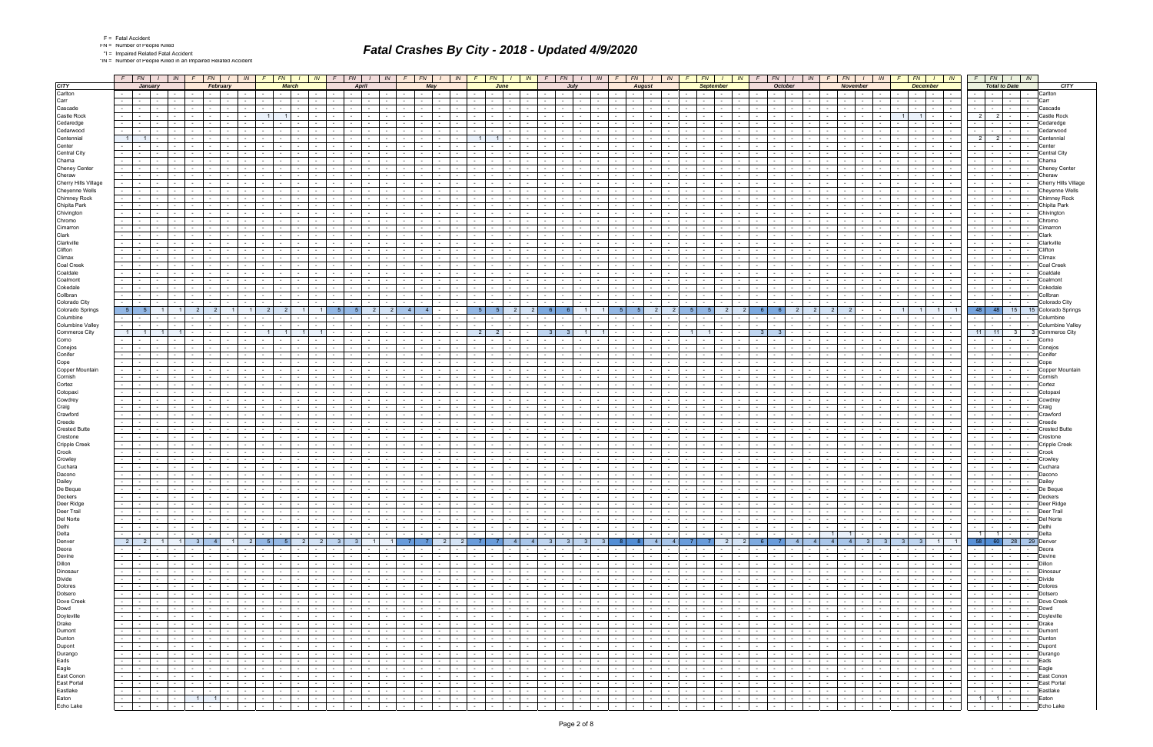|  | Fatal Accide |
|--|--------------|
|  |              |

\*IN = Number of People Killed in an Impaired Related Accident

|                         | $F$ $FN$ $I$<br>$F$ $FN$<br>$\mid$ $\mid N \mid$                                                                                                            | IN                                                        | $F$ $FN$<br>$\sqrt{N}$                                                                                          | $F$ $FN$                                      | IN 1                               | FN  <br>IN                                                                                                                                                                                                                                                 | F<br>$FN$ $1$                                  | $\sqrt{N}$                                                    | FN<br>F.                                                      |                          | IN -                            | FN 1                                           | IN                                            | FN                                              | $\sqrt{N}$                 | <b>FN</b>                                                                                                                                                                                                                      | $\blacksquare$                     |                | $FN$ $I$                           | IN             | F                               | FN                                                                                                                                                                                                                                               | $\sqrt{N}$     | $F$ $FN$ $I$             |                   | $\sqrt{N}$                           |  |
|-------------------------|-------------------------------------------------------------------------------------------------------------------------------------------------------------|-----------------------------------------------------------|-----------------------------------------------------------------------------------------------------------------|-----------------------------------------------|------------------------------------|------------------------------------------------------------------------------------------------------------------------------------------------------------------------------------------------------------------------------------------------------------|------------------------------------------------|---------------------------------------------------------------|---------------------------------------------------------------|--------------------------|---------------------------------|------------------------------------------------|-----------------------------------------------|-------------------------------------------------|----------------------------|--------------------------------------------------------------------------------------------------------------------------------------------------------------------------------------------------------------------------------|------------------------------------|----------------|------------------------------------|----------------|---------------------------------|--------------------------------------------------------------------------------------------------------------------------------------------------------------------------------------------------------------------------------------------------|----------------|--------------------------|-------------------|--------------------------------------|--|
| <b>CITY</b>             | <b>January</b>                                                                                                                                              | February                                                  | <b>March</b>                                                                                                    |                                               | <b>April</b>                       | May                                                                                                                                                                                                                                                        | June                                           |                                                               |                                                               | July                     |                                 |                                                | <b>August</b>                                 | <b>September</b>                                |                            | October                                                                                                                                                                                                                        |                                    |                | <b>November</b>                    |                |                                 | <b>December</b>                                                                                                                                                                                                                                  |                | <b>Total to Date</b>     |                   | <b>CITY</b>                          |  |
| Carlton                 | <b>Contract</b><br>$\sim$                                                                                                                                   | $\sim$                                                    | $\sim$ $-$                                                                                                      | $\sim$<br>$\sim 100$                          |                                    |                                                                                                                                                                                                                                                            |                                                |                                                               | <b>Service</b>                                                |                          |                                 |                                                |                                               | $\sim$ 100 $\mu$<br>$\sim$                      |                            | $\sim 100$                                                                                                                                                                                                                     | <b>Contract Contract</b><br>$\sim$ |                | $\sim$                             |                |                                 | $\sim$<br>$\sim$ $-$                                                                                                                                                                                                                             |                | $\sim$                   | $\sim$ $-$        | Carlton                              |  |
| Carr                    | $\sim$<br>$\sim$                                                                                                                                            |                                                           |                                                                                                                 |                                               |                                    |                                                                                                                                                                                                                                                            |                                                |                                                               |                                                               |                          |                                 |                                                |                                               |                                                 |                            |                                                                                                                                                                                                                                | $\sim$                             |                | $\sim$                             |                | $\sim$                          | $\sim$ $-$                                                                                                                                                                                                                                       |                | $\sim$                   | $\sim 10^{-11}$   | Carr                                 |  |
| Cascade                 | $\sim$<br>$\sim$                                                                                                                                            |                                                           | $\sim$                                                                                                          | $\sim$                                        |                                    |                                                                                                                                                                                                                                                            |                                                |                                                               | $\sim$                                                        |                          |                                 |                                                |                                               |                                                 |                            |                                                                                                                                                                                                                                | $\sim$<br><b>1999</b>              |                | $\sim$                             |                |                                 |                                                                                                                                                                                                                                                  |                |                          | $\sim$ $-$        | Cascade                              |  |
| Castle Rock             | $\sim$                                                                                                                                                      |                                                           | $1 \mid$<br>$\overline{1}$                                                                                      |                                               |                                    |                                                                                                                                                                                                                                                            |                                                |                                                               | $\sim$                                                        |                          |                                 |                                                |                                               |                                                 |                            |                                                                                                                                                                                                                                |                                    |                |                                    |                | $1 \vert$                       | 11                                                                                                                                                                                                                                               | $\overline{2}$ | 2 <sup>1</sup>           |                   | Castle Rock                          |  |
| Cedaredge               | $\sim$                                                                                                                                                      |                                                           |                                                                                                                 |                                               |                                    |                                                                                                                                                                                                                                                            |                                                |                                                               |                                                               |                          |                                 |                                                |                                               |                                                 |                            |                                                                                                                                                                                                                                |                                    |                |                                    |                |                                 |                                                                                                                                                                                                                                                  |                |                          | $\sim$            | edaredge                             |  |
| Cedarwood<br>Centennial |                                                                                                                                                             |                                                           | $\sim$                                                                                                          |                                               |                                    |                                                                                                                                                                                                                                                            |                                                |                                                               |                                                               |                          |                                 |                                                |                                               |                                                 |                            |                                                                                                                                                                                                                                |                                    |                |                                    |                |                                 |                                                                                                                                                                                                                                                  |                |                          |                   | Cedarwood                            |  |
| Center                  | 11                                                                                                                                                          |                                                           |                                                                                                                 |                                               |                                    |                                                                                                                                                                                                                                                            | 1 <sup>1</sup><br>$\overline{1}$               |                                                               |                                                               |                          |                                 |                                                |                                               |                                                 |                            |                                                                                                                                                                                                                                |                                    |                |                                    |                |                                 |                                                                                                                                                                                                                                                  | 2 <sup>1</sup> | $2^{\sim}$               | $\sim$            | Centennia                            |  |
| <b>Central City</b>     |                                                                                                                                                             |                                                           |                                                                                                                 |                                               |                                    |                                                                                                                                                                                                                                                            |                                                |                                                               |                                                               |                          |                                 |                                                |                                               |                                                 |                            |                                                                                                                                                                                                                                |                                    |                |                                    |                |                                 |                                                                                                                                                                                                                                                  |                |                          |                   | Central Cit∖                         |  |
| Chama                   | $\sim$                                                                                                                                                      |                                                           | $\sim$                                                                                                          |                                               |                                    |                                                                                                                                                                                                                                                            |                                                |                                                               |                                                               |                          |                                 |                                                |                                               |                                                 |                            |                                                                                                                                                                                                                                |                                    |                |                                    |                |                                 |                                                                                                                                                                                                                                                  |                | $\sim$                   | $\sim$            | :hama                                |  |
| <b>Cheney Center</b>    |                                                                                                                                                             |                                                           |                                                                                                                 |                                               |                                    |                                                                                                                                                                                                                                                            |                                                |                                                               |                                                               |                          |                                 |                                                |                                               |                                                 |                            |                                                                                                                                                                                                                                |                                    |                |                                    |                |                                 |                                                                                                                                                                                                                                                  |                |                          |                   | Cheney Center                        |  |
| Cheraw                  |                                                                                                                                                             |                                                           |                                                                                                                 |                                               |                                    |                                                                                                                                                                                                                                                            |                                                |                                                               |                                                               |                          |                                 |                                                |                                               |                                                 |                            |                                                                                                                                                                                                                                |                                    |                |                                    |                |                                 |                                                                                                                                                                                                                                                  |                |                          | $\sim$            | Cheraw                               |  |
| Cherry Hills Village    | $\sim$<br>$\sim$<br>$\sim$                                                                                                                                  |                                                           | $\sim$                                                                                                          |                                               |                                    |                                                                                                                                                                                                                                                            |                                                |                                                               | $\sim$                                                        |                          |                                 |                                                |                                               |                                                 |                            |                                                                                                                                                                                                                                | $\overline{\phantom{a}}$           |                | $\sim$                             |                |                                 | $\sim$                                                                                                                                                                                                                                           |                | $\sim$                   | $\sim$ $-$        | Cherry Hills Village                 |  |
| Cheyenne Wells          | $\sim$                                                                                                                                                      |                                                           |                                                                                                                 |                                               |                                    |                                                                                                                                                                                                                                                            |                                                |                                                               |                                                               |                          |                                 |                                                |                                               |                                                 |                            |                                                                                                                                                                                                                                |                                    |                |                                    |                |                                 |                                                                                                                                                                                                                                                  |                |                          |                   | heyenne Wells                        |  |
| <b>Chimney Rock</b>     |                                                                                                                                                             |                                                           |                                                                                                                 |                                               |                                    |                                                                                                                                                                                                                                                            |                                                |                                                               |                                                               |                          |                                 |                                                |                                               |                                                 |                            |                                                                                                                                                                                                                                |                                    |                |                                    |                |                                 |                                                                                                                                                                                                                                                  |                |                          | $\sim$            | Chimney Rock                         |  |
| Chipita Park            | $\sim$<br>$\sim$                                                                                                                                            | $\sim$                                                    | $\sim$ 100 $\sim$                                                                                               | $\sim$                                        |                                    |                                                                                                                                                                                                                                                            |                                                | $\sim$ 100 $\sim$                                             | $\sim$<br>$\sim$                                              | $\overline{\phantom{a}}$ |                                 |                                                |                                               |                                                 |                            | $\sim$                                                                                                                                                                                                                         | $\overline{\phantom{a}}$           |                | $\sim$                             |                | $\sim$                          | $\sim$ 100 $\mu$<br>$\sim$                                                                                                                                                                                                                       |                | $\sim$                   | $\sim 100$        | Chipita Park                         |  |
| Chivington              | $\sim$                                                                                                                                                      |                                                           |                                                                                                                 |                                               |                                    |                                                                                                                                                                                                                                                            |                                                |                                                               |                                                               |                          |                                 |                                                |                                               |                                                 |                            |                                                                                                                                                                                                                                |                                    |                |                                    |                |                                 |                                                                                                                                                                                                                                                  |                |                          |                   | Chivinaton                           |  |
| Chromo                  | $\sim$                                                                                                                                                      |                                                           |                                                                                                                 |                                               |                                    |                                                                                                                                                                                                                                                            |                                                |                                                               |                                                               |                          |                                 |                                                |                                               |                                                 |                            |                                                                                                                                                                                                                                |                                    |                |                                    |                |                                 |                                                                                                                                                                                                                                                  |                |                          | $\sim$            | Chromo                               |  |
| Cimarron                | $\sim$<br>$\sim$                                                                                                                                            |                                                           | $\sim$                                                                                                          | $\sim$                                        |                                    |                                                                                                                                                                                                                                                            |                                                | $\sim$                                                        |                                                               |                          |                                 |                                                |                                               |                                                 |                            | $\sim$                                                                                                                                                                                                                         | $\overline{\phantom{a}}$           |                | $\sim$                             |                |                                 | $\sim$                                                                                                                                                                                                                                           |                |                          | $\sim$ $-$        | Cimarroı                             |  |
| Clark                   | $\sim$                                                                                                                                                      |                                                           |                                                                                                                 |                                               |                                    |                                                                                                                                                                                                                                                            |                                                |                                                               |                                                               |                          |                                 |                                                |                                               |                                                 |                            |                                                                                                                                                                                                                                |                                    |                |                                    |                |                                 |                                                                                                                                                                                                                                                  |                |                          |                   | Clark                                |  |
| Clarkville              | $\sim$<br>$\sim$                                                                                                                                            |                                                           | $\sim$                                                                                                          |                                               |                                    |                                                                                                                                                                                                                                                            |                                                |                                                               |                                                               |                          |                                 |                                                |                                               |                                                 |                            |                                                                                                                                                                                                                                | $\sim$                             |                |                                    |                |                                 |                                                                                                                                                                                                                                                  |                |                          | $\sim$ $-$        | Clarkville                           |  |
| Clifton                 | $\sim$<br>$\sim$                                                                                                                                            |                                                           | $\sim$ $-$                                                                                                      |                                               |                                    |                                                                                                                                                                                                                                                            |                                                | $\sim$                                                        |                                                               |                          |                                 |                                                |                                               |                                                 |                            | $\sim$                                                                                                                                                                                                                         |                                    |                | $\sim$                             |                |                                 |                                                                                                                                                                                                                                                  |                |                          | $\sim$ $-$        | ነifton                               |  |
| Climax                  | $\sim$                                                                                                                                                      |                                                           |                                                                                                                 |                                               |                                    |                                                                                                                                                                                                                                                            |                                                |                                                               |                                                               |                          |                                 |                                                |                                               |                                                 |                            |                                                                                                                                                                                                                                |                                    |                |                                    |                |                                 |                                                                                                                                                                                                                                                  |                |                          |                   | :limax                               |  |
| Coal Creek<br>Coaldale  | $\sim$<br>$\sim$                                                                                                                                            |                                                           |                                                                                                                 |                                               |                                    |                                                                                                                                                                                                                                                            |                                                |                                                               |                                                               |                          |                                 |                                                |                                               |                                                 |                            |                                                                                                                                                                                                                                |                                    |                |                                    |                |                                 |                                                                                                                                                                                                                                                  |                |                          | $\sim$            | Coal Creel<br>caldale                |  |
| Coalmont                | $\sim$                                                                                                                                                      |                                                           |                                                                                                                 |                                               |                                    |                                                                                                                                                                                                                                                            |                                                |                                                               |                                                               |                          |                                 |                                                |                                               |                                                 |                            |                                                                                                                                                                                                                                |                                    |                |                                    |                |                                 |                                                                                                                                                                                                                                                  |                |                          |                   | Coalmon                              |  |
| Cokedale                | $\sim$                                                                                                                                                      |                                                           |                                                                                                                 |                                               |                                    |                                                                                                                                                                                                                                                            |                                                |                                                               |                                                               |                          |                                 |                                                |                                               |                                                 |                            |                                                                                                                                                                                                                                |                                    |                |                                    |                |                                 |                                                                                                                                                                                                                                                  |                |                          | $\sim$ $-$        | `okedal                              |  |
| Collbran                |                                                                                                                                                             |                                                           |                                                                                                                 |                                               |                                    |                                                                                                                                                                                                                                                            |                                                |                                                               |                                                               |                          |                                 |                                                |                                               |                                                 |                            |                                                                                                                                                                                                                                |                                    |                |                                    |                |                                 |                                                                                                                                                                                                                                                  |                |                          | $\sim$            | collbran,                            |  |
| Colorado City           |                                                                                                                                                             |                                                           |                                                                                                                 |                                               |                                    |                                                                                                                                                                                                                                                            |                                                |                                                               |                                                               |                          |                                 |                                                |                                               |                                                 |                            |                                                                                                                                                                                                                                |                                    |                |                                    |                |                                 |                                                                                                                                                                                                                                                  |                |                          |                   | Colorado City                        |  |
| Colorado Springs        | 5 <sup>1</sup>                                                                                                                                              |                                                           | 2 <sup>1</sup>                                                                                                  |                                               |                                    | $\overline{4}$                                                                                                                                                                                                                                             |                                                |                                                               |                                                               |                          |                                 |                                                |                                               | $\overline{2}$                                  |                            |                                                                                                                                                                                                                                |                                    |                |                                    |                | $\overline{1}$                  | $\overline{1}$                                                                                                                                                                                                                                   | 48             | $-48$                    | 15                | 15 Colorado Springs                  |  |
| Columbine               |                                                                                                                                                             |                                                           |                                                                                                                 |                                               |                                    |                                                                                                                                                                                                                                                            |                                                |                                                               |                                                               |                          |                                 |                                                |                                               |                                                 |                            |                                                                                                                                                                                                                                |                                    |                |                                    |                |                                 |                                                                                                                                                                                                                                                  |                |                          | $\sim$            | Columbine                            |  |
| <b>Columbine Valley</b> |                                                                                                                                                             |                                                           |                                                                                                                 |                                               |                                    |                                                                                                                                                                                                                                                            |                                                |                                                               |                                                               |                          |                                 |                                                |                                               |                                                 |                            |                                                                                                                                                                                                                                |                                    |                |                                    |                |                                 |                                                                                                                                                                                                                                                  |                |                          | $\sim$ $-$        | Columbine Valley                     |  |
| <b>Commerce City</b>    | 11                                                                                                                                                          |                                                           | 1 <sup>1</sup>                                                                                                  |                                               |                                    |                                                                                                                                                                                                                                                            | 2 <sup>1</sup>                                 |                                                               |                                                               |                          |                                 |                                                |                                               |                                                 |                            | 3 <sup>1</sup>                                                                                                                                                                                                                 |                                    |                |                                    |                |                                 |                                                                                                                                                                                                                                                  | 11             | 11                       | 3 <sup>1</sup>    | 3 Commerce City                      |  |
| Como                    |                                                                                                                                                             |                                                           |                                                                                                                 |                                               |                                    |                                                                                                                                                                                                                                                            |                                                |                                                               |                                                               |                          |                                 |                                                |                                               |                                                 |                            |                                                                                                                                                                                                                                |                                    |                |                                    |                |                                 |                                                                                                                                                                                                                                                  |                |                          |                   | Como                                 |  |
| Conejos                 | $\sim$<br>$\sim$                                                                                                                                            |                                                           | $\sim$                                                                                                          |                                               |                                    |                                                                                                                                                                                                                                                            |                                                | $\sim$                                                        | $\sim$<br>$\sim$                                              |                          |                                 |                                                |                                               |                                                 |                            |                                                                                                                                                                                                                                |                                    |                |                                    |                |                                 |                                                                                                                                                                                                                                                  |                | $\sim$                   | $\sim$<br>$\sim$  | Conejos                              |  |
| Conifer                 |                                                                                                                                                             |                                                           |                                                                                                                 |                                               |                                    |                                                                                                                                                                                                                                                            |                                                |                                                               |                                                               |                          |                                 |                                                |                                               |                                                 |                            |                                                                                                                                                                                                                                |                                    |                |                                    |                |                                 |                                                                                                                                                                                                                                                  |                |                          |                   | ≿onifer                              |  |
| Cope                    |                                                                                                                                                             |                                                           |                                                                                                                 |                                               |                                    |                                                                                                                                                                                                                                                            |                                                |                                                               |                                                               |                          |                                 |                                                |                                               |                                                 |                            |                                                                                                                                                                                                                                |                                    |                |                                    |                |                                 |                                                                                                                                                                                                                                                  |                |                          |                   | Cope                                 |  |
| Copper Mountain         | $\sim$                                                                                                                                                      |                                                           | $\sim$                                                                                                          |                                               |                                    |                                                                                                                                                                                                                                                            |                                                | $\sim$                                                        |                                                               |                          |                                 |                                                |                                               |                                                 |                            |                                                                                                                                                                                                                                |                                    |                |                                    |                |                                 |                                                                                                                                                                                                                                                  |                |                          | $\sim$ $-$        | Copper Mountain                      |  |
| Cornish                 |                                                                                                                                                             |                                                           |                                                                                                                 |                                               |                                    |                                                                                                                                                                                                                                                            |                                                |                                                               |                                                               |                          |                                 |                                                |                                               |                                                 |                            |                                                                                                                                                                                                                                |                                    |                |                                    |                |                                 |                                                                                                                                                                                                                                                  |                |                          |                   | Cornisl                              |  |
| Cortez                  | $\sim$                                                                                                                                                      |                                                           |                                                                                                                 |                                               |                                    |                                                                                                                                                                                                                                                            |                                                |                                                               |                                                               |                          |                                 |                                                |                                               |                                                 |                            |                                                                                                                                                                                                                                |                                    |                |                                    |                |                                 |                                                                                                                                                                                                                                                  |                |                          |                   | Cortez                               |  |
| Cotopaxi<br>Cowdrey     | $\sim$<br>$\sim$                                                                                                                                            |                                                           |                                                                                                                 |                                               |                                    |                                                                                                                                                                                                                                                            |                                                |                                                               |                                                               |                          |                                 |                                                |                                               |                                                 |                            |                                                                                                                                                                                                                                |                                    |                |                                    |                |                                 |                                                                                                                                                                                                                                                  |                |                          | $\sim$ 100 $\sim$ | Cotopax<br>`owdre                    |  |
| Craig                   | $\sim$                                                                                                                                                      |                                                           |                                                                                                                 |                                               |                                    |                                                                                                                                                                                                                                                            |                                                |                                                               |                                                               |                          |                                 |                                                |                                               |                                                 |                            |                                                                                                                                                                                                                                |                                    |                |                                    |                |                                 |                                                                                                                                                                                                                                                  |                |                          |                   | Craig                                |  |
| Crawford                |                                                                                                                                                             |                                                           |                                                                                                                 |                                               |                                    |                                                                                                                                                                                                                                                            |                                                |                                                               |                                                               |                          |                                 |                                                |                                               |                                                 |                            |                                                                                                                                                                                                                                |                                    |                |                                    |                |                                 |                                                                                                                                                                                                                                                  |                |                          |                   | Crawforc                             |  |
| Creede                  |                                                                                                                                                             |                                                           |                                                                                                                 |                                               |                                    |                                                                                                                                                                                                                                                            |                                                |                                                               |                                                               |                          |                                 |                                                |                                               |                                                 |                            |                                                                                                                                                                                                                                |                                    |                |                                    |                |                                 |                                                                                                                                                                                                                                                  |                |                          |                   | reed                                 |  |
| <b>Crested Butte</b>    |                                                                                                                                                             |                                                           |                                                                                                                 |                                               |                                    |                                                                                                                                                                                                                                                            |                                                |                                                               |                                                               |                          |                                 |                                                |                                               |                                                 |                            |                                                                                                                                                                                                                                |                                    |                |                                    |                |                                 |                                                                                                                                                                                                                                                  |                |                          | $\sim$            | ੈrested Butte                        |  |
| Crestone                |                                                                                                                                                             |                                                           |                                                                                                                 |                                               |                                    |                                                                                                                                                                                                                                                            |                                                |                                                               |                                                               |                          |                                 |                                                |                                               |                                                 |                            |                                                                                                                                                                                                                                |                                    |                |                                    |                |                                 |                                                                                                                                                                                                                                                  |                |                          | $\sim$            | Crestone                             |  |
| <b>Cripple Creek</b>    |                                                                                                                                                             |                                                           |                                                                                                                 |                                               |                                    |                                                                                                                                                                                                                                                            |                                                |                                                               |                                                               |                          |                                 |                                                |                                               |                                                 |                            |                                                                                                                                                                                                                                |                                    |                |                                    |                |                                 |                                                                                                                                                                                                                                                  |                |                          |                   | Cripple Creek                        |  |
| Crook                   | $\sim$                                                                                                                                                      |                                                           |                                                                                                                 |                                               |                                    |                                                                                                                                                                                                                                                            |                                                |                                                               |                                                               |                          |                                 |                                                |                                               |                                                 |                            |                                                                                                                                                                                                                                |                                    |                |                                    |                |                                 |                                                                                                                                                                                                                                                  |                |                          | $\sim$            | Crook                                |  |
| Crowley                 | $\sim$                                                                                                                                                      |                                                           |                                                                                                                 |                                               |                                    |                                                                                                                                                                                                                                                            |                                                |                                                               |                                                               |                          |                                 |                                                |                                               |                                                 |                            |                                                                                                                                                                                                                                |                                    |                |                                    |                |                                 |                                                                                                                                                                                                                                                  |                |                          |                   | Crowle∖                              |  |
| Cuchara                 | $\sim$                                                                                                                                                      |                                                           |                                                                                                                 |                                               |                                    |                                                                                                                                                                                                                                                            |                                                |                                                               |                                                               |                          |                                 |                                                |                                               |                                                 |                            |                                                                                                                                                                                                                                |                                    |                |                                    |                |                                 |                                                                                                                                                                                                                                                  |                |                          |                   | วuchara                              |  |
| Dacono                  | $\sim 10$<br>$\sim$                                                                                                                                         |                                                           | $\sim$                                                                                                          |                                               |                                    |                                                                                                                                                                                                                                                            |                                                |                                                               |                                                               |                          |                                 |                                                |                                               |                                                 |                            |                                                                                                                                                                                                                                | $\overline{\phantom{a}}$           |                |                                    |                |                                 | $\sim$                                                                                                                                                                                                                                           |                |                          | $\sim$            | Dacono                               |  |
| Dailey                  |                                                                                                                                                             |                                                           |                                                                                                                 |                                               |                                    |                                                                                                                                                                                                                                                            |                                                |                                                               |                                                               |                          |                                 |                                                |                                               |                                                 |                            |                                                                                                                                                                                                                                |                                    |                |                                    |                |                                 |                                                                                                                                                                                                                                                  |                |                          | $\sim$ $-$        | Daile∖                               |  |
| De Beque                | $\sim$<br>$\sim$<br>$\sim$ $-$<br>$\sim$                                                                                                                    | .                                                         | $\sim$<br>$\mathbf{1}$<br>$\sim$ $-$<br>$\sim$ $-$                                                              | $\sim$<br>$\sim$<br>the contract of the con-  | $\sim$                             | .                                                                                                                                                                                                                                                          |                                                | $\mathbf{I}$ and $\mathbf{I}$                                 | $\sim$<br>$\mathbf{1}$ and $\mathbf{1}$ and $\mathbf{1}$      |                          | $\sim$ $\sim$<br>$\sim$ $-$     |                                                |                                               |                                                 |                            | $\sim$ $-$                                                                                                                                                                                                                     | $\sim$                             |                | $\blacksquare$                     | .              |                                 | .                                                                                                                                                                                                                                                |                | $\sim$                   | $\sim$ $-$        | De Beque                             |  |
| Deckers<br>Deer Ridge   | $\overline{\mathcal{L}_{\mathcal{A}}}$<br><b>Contract</b><br>$\sim 100$<br><b>Contract Contract</b><br>$\sim$                                               | and the state<br>$\sim$ $-$                               | the contract of<br>the contract of                                                                              | the contract of                               | <b>Contract Contract</b>           | <b>Contract Contract</b><br>the contract of the contract of the contract of the contract of the contract of the contract of the contract of the contract of the contract of the contract of the contract of the contract of the contract of the contract o |                                                | <b>Contract Contract</b>                                      | $\sim$<br>$\sim$ $\sim$ $\sim$                                |                          |                                 |                                                | .<br>.                                        | $\sim$ $\sim$ $\sim$ $\sim$ $\sim$              |                            | the collection of the collection                                                                                                                                                                                               | .                                  |                | $-1 - 1 - 1$                       | $\sim$ $-$     | the contract of                 | <b>The Common</b>                                                                                                                                                                                                                                |                | $-1 - 1 - 1 - 1$         |                   | <b>IDeckers</b><br>- Deer Ridge      |  |
| Deer Trail              | $\sim 100$<br>$\sim$ $-$<br>and the state                                                                                                                   | and the state of the state of                             | and the contract of the contract of<br>the contract of                                                          | the contract of                               | the contract of                    | the contract of the contract of the con-                                                                                                                                                                                                                   | <b>Contract Contract</b><br>.                  | <b>Contract Contract</b>                                      | and the contract                                              |                          |                                 | .                                              |                                               |                                                 |                            |                                                                                                                                                                                                                                |                                    |                |                                    | $\sim$         |                                 | $-1 - 1 - 1 - 1 - 1$                                                                                                                                                                                                                             |                |                          |                   | -   -   -   - Deer Trail             |  |
| Del Norte               | the contract of the contract of the con-                                                                                                                    | .<br>$\sim 10^{-11}$                                      |                                                                                                                 |                                               | 1989   1989   1989   1989          |                                                                                                                                                                                                                                                            |                                                |                                                               |                                                               |                          |                                 |                                                |                                               |                                                 |                            | the contract of the contract of the contract of the contract of the contract of the contract of the contract of the contract of the contract of the contract of the contract of the contract of the contract of the contract o |                                    |                | $-$ 1 $-$ 1 $-$ 1 $-$              |                |                                 | $-1 - 1 - 1 - 1$                                                                                                                                                                                                                                 |                |                          |                   | -   -   -   - Del Norte              |  |
| Delhi                   | $\sim 10^{-1}$<br>.                                                                                                                                         | the contract of the contract of the<br>$\sim 10^{-11}$    | the company's state<br>the collection                                                                           | and the con-                                  | and the control                    | -   -   -   -   -   -   -   -                                                                                                                                                                                                                              |                                                | $\sim 10^{-10}$                                               | and the collection                                            |                          |                                 |                                                | .                                             | the collection of the collection                |                            | $-1 - 1 - 1$                                                                                                                                                                                                                   | and the state                      |                | .                                  | $\sim$         |                                 | 14   4   4   TAT                                                                                                                                                                                                                                 |                |                          |                   | -   -   -   -   Delhi                |  |
| Delta                   | $\sim$ 10 $\pm$<br>the contract of the contract of                                                                                                          | $-1 - 1 - 1 - 1$<br>$\sim$ 100 $\mu$                      | the contract of<br>the contract of                                                                              | the contract of                               | the contract of                    | .                                                                                                                                                                                                                                                          | $      -$                                      | <b>Contract Contract</b>                                      | the contract of the contract of the con-                      |                          |                                 |                                                | .                                             | the contract of                                 | the contract of            | .                                                                                                                                                                                                                              |                                    |                | $1 \quad 1 \quad -1$               | $\sim$         |                                 | $-1 - 1 - 1 - 1 - 1$                                                                                                                                                                                                                             |                |                          |                   | 1   1   -   -   Delta                |  |
| Denver                  | 2 2 1 1 3 4 1 2 5 5 2 2 3 3                                                                                                                                 |                                                           |                                                                                                                 |                                               |                                    | 1   1   7   7   2   2   7   7   4   4   3   3   3   8   8   4   4   7   7   2   2   6   7   4   4   4   4   3   3   3   1   1                                                                                                                              |                                                |                                                               |                                                               |                          |                                 |                                                |                                               |                                                 |                            |                                                                                                                                                                                                                                |                                    |                |                                    |                |                                 |                                                                                                                                                                                                                                                  |                |                          |                   | 58 60 28 29 Denver                   |  |
| Deora                   | $\sim 100$<br>$\sim$ $-$<br>the contract of<br>$\sim$                                                                                                       | $-1$<br>$\sim 10^{-1}$<br>$\sim$ 100 $\mu$                | <b>Service</b> Service<br>and the state of the state                                                            | and the state of the state of                 | and the state of the state of      | the contract<br>$\sim$ $-$<br>$\sim$ $-$                                                                                                                                                                                                                   | $\sim$ $\sim$<br>the contract of               | <b>Contract Contract</b>                                      | the contract of the contract of the con-                      |                          |                                 | .                                              | the contract of                               | the contract of the contract of                 | the contract of            | the contract of                                                                                                                                                                                                                | the collection                     |                | $     -$                           | $\sim$         | the contract of the contract of | $\sim$ $\sim$<br>$\sim 100$                                                                                                                                                                                                                      |                | <b>Carolina College</b>  |                   | - Deora                              |  |
| Devine                  | $\sim$ 10 $\pm$<br><b>Contract Contract</b><br>the contract of the con-<br>$\sim$                                                                           | $\sim$ $\sim$ $\sim$ $\sim$<br>$\sim$ $-$                 | the contract of<br>the contract of the con-                                                                     | the contract of the con-                      | $\sim 10^{-10}$<br>$\sim 100$      | $ -$<br>$\sim 10^{-11}$<br>and the state of the state                                                                                                                                                                                                      | <b>Contract</b>                                | the contract of<br>$\sim 10^{-11}$                            |                                                               |                          | $\sim 10^{-10}$                 |                                                | the contract of                               | $\sim$ $\sim$<br>$\sim$ $-$                     | the contract of            | the contract of                                                                                                                                                                                                                | the contract of the con-           | <b>Service</b> | $\sim$ $\sim$ $\sim$ $\sim$ $\sim$ | $\sim$         |                                 |                                                                                                                                                                                                                                                  |                | the contract of the con- |                   | - Devine                             |  |
| Dillon                  | $\sim$<br><b>Contract Contract</b><br>$\sim 100$                                                                                                            | $\sim$ $\sim$<br>$\sim 10^{-1}$                           | the contract of<br>and the state of the state                                                                   | the contract of                               | and the state of the state of      | $\sim$ $\sim$ $\sim$ $\sim$<br>$\sim$ $-$<br>the contract of                                                                                                                                                                                               | and the control<br>$\sim$ $\sim$ $\sim$ $\sim$ | <b>Contract</b>                                               | $      -$                                                     |                          | <b>Second Second</b>            | .                                              | $\sim$ 100 $\mu$<br><b>Contract</b>           |                                                 |                            | and the contract of the contract of                                                                                                                                                                                            | <b>Contract Contract</b>           |                |                                    |                |                                 | $-1 - 1 - 1 - 1 - 1$                                                                                                                                                                                                                             |                |                          |                   | - - - - - Dillon                     |  |
| Dinosaur                | $-1 - 1$<br>and the state of the state of the state<br>$\sim$                                                                                               | $1 - 1 - 1$                                               | <b>Service</b> Service<br>the contract of                                                                       | <b>Contract Contract</b>                      | and the state                      | $\mathbf{1}$ and $\mathbf{1}$ and $\mathbf{1}$<br>and the state of the state of                                                                                                                                                                            | $\sim$ $-$<br>and the state of the state       | $\sim 10^{-10}$                                               | the contract of the con-                                      |                          | $\sim$ $\sim$ $\sim$ $\sim$     | and the contract of the contract of the        | and the state                                 | .                                               |                            | the contract of the con-                                                                                                                                                                                                       | <b>Contract Contract</b>           |                | $-1 - 1 - 1$                       | $\sim 10^{-1}$ |                                 |                                                                                                                                                                                                                                                  |                |                          |                   | -   -   -   - Dinosaur               |  |
| Divide                  | $\sim 100$<br>the contract of the contract of<br>$\sim$                                                                                                     | $1 - 1 - 1$<br>$\sim$ 100 $\mu$                           | <b>Contract Contract</b><br>the contract of the con-                                                            | and the state                                 | <b>Contract Contract</b>           | <b>Second Second Second</b><br>$\sim$ $\sim$ $\sim$                                                                                                                                                                                                        | $\sim$ $\sim$                                  | $\sim$ 100 $\pm$ 100 $\pm$<br>$\sim 10^{-10}$                 | the collection of the collection                              |                          | <b>Contract Contract</b>        | the contract of                                | the contract of                               | $\sim$ 1<br>$\sim$ $\sim$ $\sim$                | <b>Carl Carl</b>           | 그래도 1                                                                                                                                                                                                                          | the company                        |                | $-1 - 1 - 1$                       | $\sim$         |                                 | <u>the community of the community of the community of the community of the community of the community of the community of the community of the community of the community of the community of the community of the community of </u>             |                |                          |                   |                                      |  |
| Dolores<br>Dotsero      | $\sim$ 10 $\pm$<br><b>Contract Contract</b><br>$\sim 100$<br>$\sim$<br>$\sim 100$<br>and the state of the state of<br><b>Contract Contract</b><br>$-1$ $-1$ | $1 - 1 -$<br>$\sim$ $-$                                   | the contract of the con-<br>the contract of<br>the contract of the con-<br>and the contract of the con-         | the contract of<br>and the state of the state | the contract of the con-           | the contract<br>the contract of                                                                                                                                                                                                                            | .<br>$\sim$ $\sim$ $\sim$ $\sim$               | <b>Contract Contract</b><br><b>Contract Contract</b>          | and the contracts<br>the contract of the contract of the con- |                          |                                 | .<br>.                                         | the contract of                               | the contract of the contract of                 |                            |                                                                                                                                                                                                                                |                                    |                |                                    | $\sim$         |                                 | $-1 - 1 - 1 - 1 - 1$                                                                                                                                                                                                                             |                |                          |                   | $    -$ Dolores<br>- - - - - Dotsero |  |
| Dove Creek              | $\sim 100$<br>.                                                                                                                                             | $-1 - 1 -$<br>$\sim 10^{-11}$                             | the contract of<br>and the state                                                                                | and the con-                                  | the contract of<br>and the control | .<br>$-1 - 1 - 1 - 1 -$                                                                                                                                                                                                                                    | the contract of<br>the contract of the con-    | <b>Contract Contract</b>                                      | the contract of the contract of the con-                      |                          | <b>Contract Contract Street</b> | $-1$ $-1$ $-1$                                 | the contract of the con-<br>start in the con- | the contract of the contract of the con-        | the contract of            | the contract of                                                                                                                                                                                                                | and the state                      |                | .                                  | $\sim$         | the contract of                 | <b>Contract Contract</b>                                                                                                                                                                                                                         |                |                          |                   | -   -   -   - Dove Creek             |  |
| Dowd                    | $\sim$ $-$<br><b>Contract Contract</b><br>$\sim$ $-$<br>$\sim$                                                                                              | and the state                                             | the contract of<br>the contract of                                                                              | the contract of                               | and the state                      | the contract of<br>$-1$<br>$\sim$                                                                                                                                                                                                                          | $\sim$ $-$                                     | <b>Contract Contract</b><br><b>Contract</b>                   | the contract of the contract of the con-                      |                          | .                               | $\sim 10^{-11}$<br>$\frac{1}{2}$ $\frac{1}{2}$ | the contract of                               | $\sim 10^{-11}$<br>$\sim$ $\sim$ $\sim$ $\sim$  | and the contract           | <b>Service</b><br><b>Contract Contract</b>                                                                                                                                                                                     | the collection                     |                | $-1 - 1 - 1$                       | $\sim$         | the contract of                 | 1940 F.                                                                                                                                                                                                                                          |                |                          |                   |                                      |  |
| Doyleville              | $\sim$ $-$<br><b>Contract Contract</b><br>$\sim 100$<br>$\mathbf{I}$<br>$\sim$                                                                              | $\mathbf{1}$ $\mathbf{1}$<br>$\sim 10^{-1}$<br>$\sim$ $-$ | the contract of<br>the contract of                                                                              | the contract of                               | the contract of the con-           | $\sim$ $-$<br>$\sim$<br>the contract of                                                                                                                                                                                                                    | $\sim$ $  -$                                   | the contract of the con-<br>$\sim$ $\sim$ $\sim$              | .                                                             |                          |                                 | .                                              | the contract of                               | the contract of the contract of                 | the contract of            | the contract of                                                                                                                                                                                                                | the contract of the con-           |                |                                    | $\sim$         |                                 |                                                                                                                                                                                                                                                  |                |                          |                   | Doyleville                           |  |
| Drake                   | $\sim$<br>.                                                                                                                                                 | $-1 - 1 - 1 - 1$<br>$\sim 10^{-11}$                       | the company's state<br>and the state                                                                            | and the con-                                  | the contract of                    | the contract of the contract of the con-<br>$\sim$ $-$                                                                                                                                                                                                     | the contract of the con-                       | <b>Contract Contract</b>                                      | the contract of the contract of the con-                      |                          |                                 | $-1$ $-1$ $-1$                                 | start in the con-                             | $\sim$ $\sim$<br>$\sim$ $\sim$ $\sim$           | <b>Contract Contract</b>   | $-1 - 1 - 1$                                                                                                                                                                                                                   | and the state                      |                | .                                  | $\sim$         | the contract of                 | <b>Contract Contract</b>                                                                                                                                                                                                                         |                |                          |                   | - Drake                              |  |
| Dumont                  | $\sim$ $-$<br><b>Contract Contract</b><br>$\sim$ $-$<br>$\sim$                                                                                              | $1 - 1 - 1$                                               | and the contract of the contract of<br>the contract of the con-                                                 | <b>Contract Contract</b>                      | and the state of the state of      | $\sim$ $-$<br>and the state<br>$\sim$ $\sim$ $\sim$                                                                                                                                                                                                        | $\sim$ $-$                                     | <b>Contract Contract Contract</b><br><b>Contract Contract</b> | the contract of the con-                                      |                          | <b>Contract Contract</b>        | .                                              | the contract of the con-                      | $\sim 10^{-11}$<br>$\sim$ $\sim$ $\sim$ $\sim$  | and the contract           | <b><i>Committee States</i></b>                                                                                                                                                                                                 | المحال جال                         |                |                                    | $\sim$         |                                 | . <del>.</del>                                                                                                                                                                                                                                   |                |                          |                   |                                      |  |
| Dunton                  | $\sim$ 10 $\pm$<br><b>Contract Contract</b><br><b>Contract</b><br>$\mathbf{I}$                                                                              | the contract of the contract of<br>$\sim$ $-$             | the contract of<br>the contract of                                                                              | the contract of                               | the contract of                    | and the state<br>$\sim$ $\sim$ $\sim$ $\sim$<br>$\sim 10^{-11}$                                                                                                                                                                                            | $\sim 10^{-11}$                                | the contract of the con-<br>$\sim$ $\sim$ $\sim$              | .                                                             |                          |                                 | .                                              | the contract of the con-                      | $\sim$ $\sim$ $\sim$ $\sim$                     | the contract of            |                                                                                                                                                                                                                                |                                    |                |                                    | $\sim$         |                                 |                                                                                                                                                                                                                                                  |                |                          |                   | -   -   -   - Dunton                 |  |
| Dupont                  | $\sim$ $\sim$<br>.                                                                                                                                          | $-1 - 1 - 1$<br>$\sim$ $-$                                | the contract of the contract of<br>and the state                                                                | the collection                                | <b>Contract Contract</b>           |                                                                                                                                                                                                                                                            |                                                | <b>Contract</b>                                               | the contract of the contract of the con-                      |                          |                                 |                                                | .                                             |                                                 |                            |                                                                                                                                                                                                                                |                                    |                |                                    |                |                                 |                                                                                                                                                                                                                                                  |                |                          |                   | -   -   -   - Dupont                 |  |
| Durango                 | $\sim 100$<br>.                                                                                                                                             | the contract of the contract of the con-                  | <b>Service Control</b><br>the contract of                                                                       | <b>Contract Contract Contract</b>             | and the state of the state of      | $-1$<br>$\sim 10^{-11}$<br>and the state                                                                                                                                                                                                                   | $\sim$ $-$                                     | <b>Contract Contract Contract</b><br><b>Contract Contract</b> | the contract of the con-                                      |                          |                                 | .                                              | the contract of                               | $\sim 10^{-11}$<br>$\sim$ $\sim$ $\sim$ $\sim$  | and the state of the state | the contract of the con-                                                                                                                                                                                                       | and the state of the state of      |                |                                    | $\sim$         | the contract of the contract of | and the state                                                                                                                                                                                                                                    |                |                          |                   |                                      |  |
| Eads                    | the contract of the contract of the con-                                                                                                                    | $-1 - 1 - 1$<br>$\sim 10^{-11}$                           | the contract of the contract of the contract of the contract of the contract of the contract of the contract of |                                               | 1. – 1. – 1                        | $-1 - 1 - 1 - 1 - 1$                                                                                                                                                                                                                                       |                                                |                                                               | .                                                             |                          |                                 |                                                | 1940   Andrew Headline (1940)                 | the contract of the contract of the contract of |                            | .                                                                                                                                                                                                                              |                                    |                | the collection of the collection   |                |                                 | . <del>. .</del>                                                                                                                                                                                                                                 |                |                          |                   | - - - - - Eads                       |  |
| Eagle                   | $\sim$ 10 $\pm$<br><b>Contract Contract</b><br>the contract of<br>$\sim$ $-$                                                                                | $1 - 1 - 1 = 1$<br>$\sim 10^{-11}$                        | the contract of<br>the collection                                                                               |                                               | the contract of                    | the contract of<br>and the state                                                                                                                                                                                                                           |                                                | <b>Contract</b>                                               | the contract of the contract of the con-                      |                          |                                 |                                                | .                                             | 1981 - 1981 - 1982                              |                            | .                                                                                                                                                                                                                              |                                    |                |                                    | $\sim$         |                                 | <u>and the second second second</u>                                                                                                                                                                                                              |                |                          |                   | -   -   -   -   Eagle                |  |
| East Conon              | $\sim$ 10 $\pm$<br><b>Contract Contract</b><br>and the state                                                                                                | $-1 - 1 - 1$                                              | the contract of<br>and the contract of the con-                                                                 | and the state                                 | the contract of                    | $\sim$ $\sim$ $\sim$ $\sim$<br>$\sim$ $-$<br>and the state                                                                                                                                                                                                 | $\sim$ $\sim$ $\sim$ $\sim$                    | the contract of<br><b>Contract</b>                            | the contract of the contract of the con-                      |                          | $\sim$ $\sim$ $\sim$            | the contract of the contract of                | the contract of the con-                      |                                                 |                            |                                                                                                                                                                                                                                |                                    |                |                                    | $\sim$         |                                 | $-1 - 1 - 1 - 1 -$                                                                                                                                                                                                                               |                |                          |                   | -   -   -   - East Conon             |  |
| East Portal             | the contract of the contract of the con-                                                                                                                    | $-1 - 1 - 1 - 1$<br>$\sim$ $-$                            | the contract of<br>the contract of                                                                              | $\mathbb{R}^n$ . The set of $\mathbb{R}^n$    | the contract of                    | $-1 - 1 - 1 - 1 - 1$                                                                                                                                                                                                                                       |                                                |                                                               |                                                               |                          |                                 |                                                | 1 - 1 - 1 - 1 - 1 - 1                         | te di estima di estima di                       |                            | .                                                                                                                                                                                                                              |                                    |                | $-1 - 1 - 1 - 1$                   | $\sim$ $-$     |                                 | the contract of the contract of the contract of the contract of the contract of the contract of the contract of the contract of the contract of the contract of the contract of the contract of the contract of the contract o                   |                |                          |                   | -   -   -   -   East Portal          |  |
| Eastlake                | $\sim$<br>the contract of the con-<br><b>Contract Contract</b>                                                                                              | $-1 - 1 -$<br>$\sim$ $-$                                  | the contract of<br>the collection                                                                               | and the state                                 | <b>Contract Contract</b>           | $\sim$ $-$<br>the contract<br>$\sim$ $\sim$ $\sim$                                                                                                                                                                                                         |                                                | <b>Contract Contract</b>                                      | and the collection                                            |                          |                                 | .                                              | the contract of the con-                      |                                                 |                            | <b>Contract Contract Contract</b>                                                                                                                                                                                              | and the state                      |                |                                    | $\sim$ $-$     |                                 |                                                                                                                                                                                                                                                  |                |                          |                   | -   -   -   -   Eastlake             |  |
| Eaton<br>Echo Lake      | $\sim$ $\sim$<br>.<br>$-1 - 1 - 1 -$                                                                                                                        | $1 \quad 1$<br>$\sim 10^{-11}$                            | the contract of the con-<br>the contract of                                                                     | the contract of<br><b>।</b> स्                | the contract of                    |                                                                                                                                                                                                                                                            | +   +   +   +   +   +   +                      | .                                                             | the contract of the contract of the con-                      |                          |                                 |                                                | .<br>  -   -   -   -   -                      | .                                               |                            |                                                                                                                                                                                                                                |                                    |                |                                    |                |                                 | the contract of the contract of the contract of the contract of the contract of the contract of the contract of the contract of the contract of the contract of the contract of the contract of the contract of the contract o<br>. <del>.</del> |                |                          |                   | 1 1 - Eaton                          |  |
|                         |                                                                                                                                                             | $-1 - 1 - 1 - 1 - 1$                                      |                                                                                                                 |                                               |                                    | <b>Contract Contract</b><br>$\sim$ $-$                                                                                                                                                                                                                     |                                                |                                                               |                                                               |                          |                                 |                                                |                                               |                                                 |                            | .                                                                                                                                                                                                                              |                                    |                |                                    | $\sim$         |                                 |                                                                                                                                                                                                                                                  |                |                          |                   | -   -   -   - Echo Lake              |  |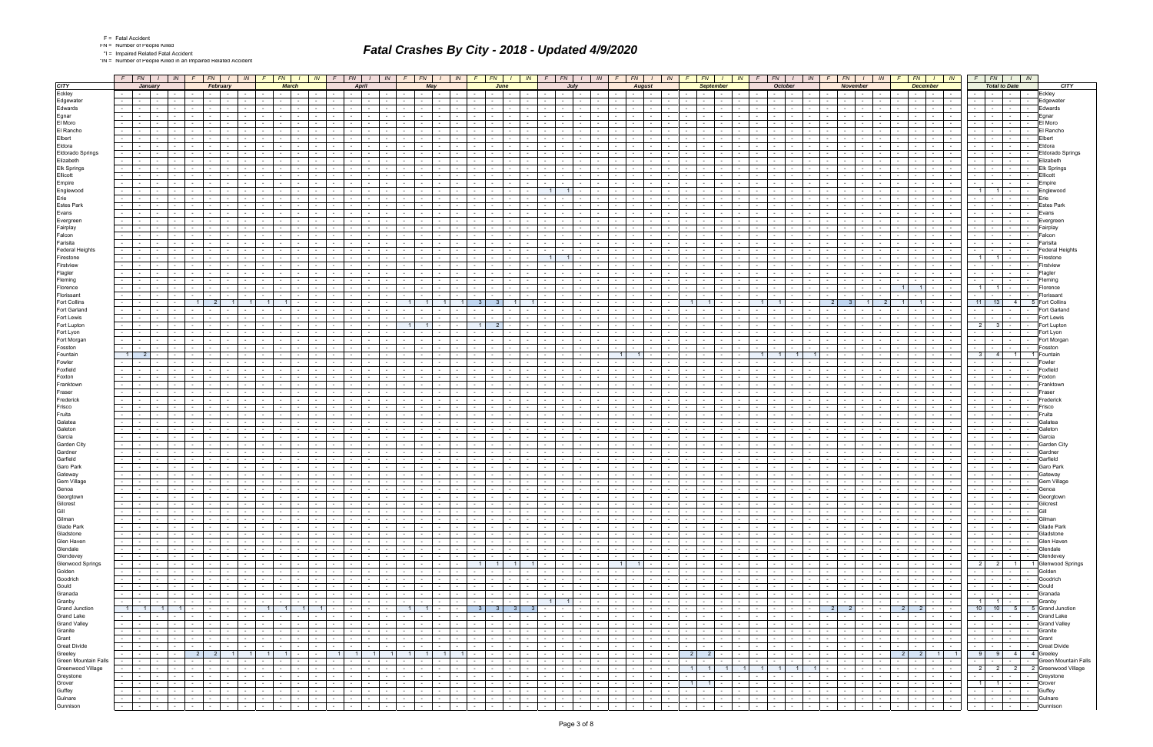|  | Fatal Accide |
|--|--------------|
|  |              |

F = Fatal Accident FN = Number of People Killed

\*I = Impaired Related Fatal Accident \*IN = Number of People Killed in an Impaired Related Accident

|                                         | $F$ $FN$ $I$ $IN$                                                                    | $F$ $FN$ $I$                                                   | IN<br>$F$ $FN$                                             | $\sqrt{N}$<br>$F \parallel F N$<br>$1 \mid W$                                                    | $F$ $FN$ $I$ $N$                                                                | $F$ $FN$ $1$                                                           | $IN$ $F$ $F$ $N$ $I$ $N$ $F$ $F$ $N$ $I$                             | IN                                                                                | FN<br>$\parallel$ <i>IN</i> $\parallel$ <i>F</i>             | FN  <br>$\sqrt{1 + \frac{1}{2}}$                                                  | $FN$ $1$<br>IN<br>FN  <br>$\sqrt{1}$ $\sqrt{N}$                                                                              | $F$ $FN$ $I$ $N$                                                                                                                                                                                                               |                     |
|-----------------------------------------|--------------------------------------------------------------------------------------|----------------------------------------------------------------|------------------------------------------------------------|--------------------------------------------------------------------------------------------------|---------------------------------------------------------------------------------|------------------------------------------------------------------------|----------------------------------------------------------------------|-----------------------------------------------------------------------------------|--------------------------------------------------------------|-----------------------------------------------------------------------------------|------------------------------------------------------------------------------------------------------------------------------|--------------------------------------------------------------------------------------------------------------------------------------------------------------------------------------------------------------------------------|---------------------|
| <b>CITY</b>                             | January                                                                              | February                                                       | <b>March</b>                                               | <b>April</b>                                                                                     | May                                                                             | June                                                                   | . Juh                                                                | <b>August</b>                                                                     | <b>September</b>                                             | <b>October</b>                                                                    | <b>December</b><br>November                                                                                                  | <b>Total to Date</b>                                                                                                                                                                                                           | <b>CITY</b>         |
| Eckley                                  | $\sim$ 1<br>and the state<br>$\sim$                                                  | $\sim$<br><b>Contract Contract</b><br>$\sim$                   |                                                            | $\sim$<br>$\sim 10^{-11}$<br>$\sim$ $\sim$<br>$\sim$                                             | $\sim$<br>$\sim$ $-$<br>$\sim$ 100 $\mu$<br>$\sim$                              | $\sim$ 10 $\pm$<br>$\sim$                                              | the contract of the con-<br>$\sim$                                   | $\sim$ $ \sim$<br>$\sim$<br>$\sim$                                                | $\sim$<br>$\sim$ $-$<br>$\sim$                               | $\sim$ 10 $\pm$<br><b>Contract Contract</b><br>$\sim$ $-$                         | $\sim$ $-$<br><b>Contract</b><br>$\sim$<br>$\sim$ $-$<br>$\sim$ $-$<br>$\sim$                                                | $\sim$<br>$\sim$ $-$<br>$\sim$ 100 $\mu$                                                                                                                                                                                       | Eckley              |
| Edgewater                               |                                                                                      |                                                                |                                                            |                                                                                                  |                                                                                 |                                                                        |                                                                      |                                                                                   |                                                              |                                                                                   |                                                                                                                              |                                                                                                                                                                                                                                | Edgewater           |
| Edwards                                 |                                                                                      |                                                                |                                                            |                                                                                                  |                                                                                 |                                                                        |                                                                      |                                                                                   |                                                              |                                                                                   |                                                                                                                              |                                                                                                                                                                                                                                | Edwards             |
| Egnar                                   | $\sim$                                                                               |                                                                |                                                            | $\sim$                                                                                           | $\sim$<br>$\sim$                                                                |                                                                        | $\sim$<br>$\sim$                                                     | $\sim$<br>$\sim$                                                                  |                                                              | $\sim$                                                                            | $\sim$                                                                                                                       |                                                                                                                                                                                                                                | Egnar               |
| El Moro                                 |                                                                                      |                                                                |                                                            |                                                                                                  |                                                                                 |                                                                        |                                                                      |                                                                                   |                                                              |                                                                                   |                                                                                                                              |                                                                                                                                                                                                                                | El Moro             |
| El Rancho                               |                                                                                      |                                                                |                                                            |                                                                                                  |                                                                                 |                                                                        |                                                                      |                                                                                   |                                                              |                                                                                   |                                                                                                                              |                                                                                                                                                                                                                                | El Rancho           |
| Elbert                                  | $\sim$<br>$\sim$                                                                     |                                                                |                                                            | $\sim$                                                                                           | $\sim$<br>$\sim$                                                                |                                                                        | $\sim$<br>$\sim$                                                     | $\sim$<br>$\sim$                                                                  |                                                              |                                                                                   | $\sim$                                                                                                                       | $\sim$<br>$\sim$ $\sim$<br>$\sim$                                                                                                                                                                                              | Elbert              |
| Eldora                                  |                                                                                      |                                                                |                                                            |                                                                                                  |                                                                                 |                                                                        |                                                                      |                                                                                   |                                                              |                                                                                   |                                                                                                                              |                                                                                                                                                                                                                                | Eldora              |
| <b>Eldorado Springs</b>                 | $\sim 100$                                                                           |                                                                |                                                            |                                                                                                  |                                                                                 |                                                                        |                                                                      |                                                                                   |                                                              |                                                                                   |                                                                                                                              |                                                                                                                                                                                                                                | Eldorado Springs    |
| Elizabeth                               |                                                                                      |                                                                |                                                            |                                                                                                  |                                                                                 |                                                                        | $\sim$                                                               |                                                                                   |                                                              |                                                                                   |                                                                                                                              |                                                                                                                                                                                                                                | Elizabeth           |
| <b>Elk Springs</b>                      |                                                                                      |                                                                |                                                            |                                                                                                  |                                                                                 |                                                                        |                                                                      |                                                                                   |                                                              |                                                                                   |                                                                                                                              |                                                                                                                                                                                                                                | <b>Elk Springs</b>  |
| Ellicott                                |                                                                                      |                                                                |                                                            |                                                                                                  |                                                                                 |                                                                        |                                                                      |                                                                                   |                                                              |                                                                                   |                                                                                                                              |                                                                                                                                                                                                                                | Ellicott            |
| Empire                                  |                                                                                      |                                                                |                                                            |                                                                                                  |                                                                                 |                                                                        |                                                                      |                                                                                   |                                                              |                                                                                   |                                                                                                                              |                                                                                                                                                                                                                                | Empire              |
| Englewood                               |                                                                                      |                                                                |                                                            |                                                                                                  |                                                                                 |                                                                        |                                                                      |                                                                                   |                                                              |                                                                                   |                                                                                                                              |                                                                                                                                                                                                                                | Englewood           |
| Erie                                    |                                                                                      |                                                                |                                                            |                                                                                                  |                                                                                 |                                                                        |                                                                      |                                                                                   |                                                              |                                                                                   |                                                                                                                              |                                                                                                                                                                                                                                |                     |
| <b>Estes Park</b>                       |                                                                                      |                                                                |                                                            |                                                                                                  |                                                                                 |                                                                        |                                                                      |                                                                                   |                                                              |                                                                                   |                                                                                                                              |                                                                                                                                                                                                                                | <b>Estes Park</b>   |
| Evans                                   |                                                                                      |                                                                |                                                            |                                                                                                  |                                                                                 |                                                                        |                                                                      |                                                                                   |                                                              |                                                                                   |                                                                                                                              |                                                                                                                                                                                                                                | Evans               |
|                                         |                                                                                      |                                                                |                                                            |                                                                                                  |                                                                                 |                                                                        |                                                                      |                                                                                   |                                                              |                                                                                   |                                                                                                                              |                                                                                                                                                                                                                                | Evergreet           |
| Evergreen<br>Fairplay                   |                                                                                      |                                                                |                                                            |                                                                                                  |                                                                                 |                                                                        |                                                                      |                                                                                   |                                                              |                                                                                   |                                                                                                                              |                                                                                                                                                                                                                                | Fairplay            |
|                                         |                                                                                      |                                                                |                                                            |                                                                                                  |                                                                                 |                                                                        |                                                                      |                                                                                   |                                                              |                                                                                   |                                                                                                                              |                                                                                                                                                                                                                                |                     |
| Falcon                                  |                                                                                      |                                                                |                                                            |                                                                                                  |                                                                                 |                                                                        |                                                                      |                                                                                   |                                                              |                                                                                   |                                                                                                                              |                                                                                                                                                                                                                                | Falcon              |
| Farisita                                |                                                                                      |                                                                |                                                            |                                                                                                  |                                                                                 |                                                                        |                                                                      |                                                                                   |                                                              |                                                                                   |                                                                                                                              |                                                                                                                                                                                                                                | Farisita            |
| <b>Federal Heights</b>                  |                                                                                      |                                                                |                                                            |                                                                                                  |                                                                                 |                                                                        |                                                                      |                                                                                   |                                                              |                                                                                   |                                                                                                                              |                                                                                                                                                                                                                                | Federal Heights     |
| Firestone                               |                                                                                      |                                                                |                                                            |                                                                                                  |                                                                                 | $\overline{1}$                                                         | $\overline{1}$                                                       |                                                                                   |                                                              |                                                                                   |                                                                                                                              | $1 \mid$<br>$\overline{1}$                                                                                                                                                                                                     | Firestone           |
| Firstview                               |                                                                                      |                                                                |                                                            |                                                                                                  |                                                                                 |                                                                        |                                                                      |                                                                                   |                                                              |                                                                                   |                                                                                                                              |                                                                                                                                                                                                                                | Firstview           |
| Flagler                                 |                                                                                      |                                                                |                                                            |                                                                                                  |                                                                                 |                                                                        |                                                                      |                                                                                   |                                                              |                                                                                   |                                                                                                                              |                                                                                                                                                                                                                                | Flagler             |
| Fleming                                 | $\sim$<br>$\sim$                                                                     |                                                                |                                                            |                                                                                                  | $\sim$                                                                          |                                                                        | $\sim$<br>$\sim$                                                     |                                                                                   |                                                              |                                                                                   |                                                                                                                              |                                                                                                                                                                                                                                | Fleming             |
| Florence                                |                                                                                      |                                                                |                                                            |                                                                                                  |                                                                                 |                                                                        |                                                                      |                                                                                   |                                                              |                                                                                   |                                                                                                                              |                                                                                                                                                                                                                                | Florence            |
| Florissant                              |                                                                                      |                                                                |                                                            |                                                                                                  |                                                                                 |                                                                        |                                                                      |                                                                                   |                                                              |                                                                                   |                                                                                                                              |                                                                                                                                                                                                                                | Florissant          |
| <b>Fort Collins</b>                     |                                                                                      | $\overline{2}$                                                 | $\overline{1}$                                             |                                                                                                  | 1 <sup>1</sup>                                                                  | -3<br>-3.                                                              | $\sim$                                                               |                                                                                   | -1                                                           | 2 <sup>1</sup>                                                                    | - 3-<br>$\blacksquare$ 1                                                                                                     | $11$ 13<br>$-4$                                                                                                                                                                                                                | <b>Fort Collins</b> |
| Fort Garland                            |                                                                                      |                                                                |                                                            |                                                                                                  |                                                                                 |                                                                        |                                                                      |                                                                                   |                                                              |                                                                                   |                                                                                                                              |                                                                                                                                                                                                                                | Fort Garland        |
| Fort Lewis                              |                                                                                      |                                                                |                                                            |                                                                                                  |                                                                                 |                                                                        |                                                                      |                                                                                   |                                                              |                                                                                   |                                                                                                                              |                                                                                                                                                                                                                                | Fort Lewis          |
| Fort Lupton                             |                                                                                      |                                                                |                                                            |                                                                                                  | $\sim$                                                                          | 2 <sup>1</sup><br>$\overline{1}$                                       |                                                                      |                                                                                   |                                                              |                                                                                   |                                                                                                                              | $\overline{2}$<br>3 <sup>1</sup><br>$\sim$ 100 $\sim$                                                                                                                                                                          | Fort Lupton         |
| Fort Lyon                               |                                                                                      |                                                                |                                                            |                                                                                                  |                                                                                 |                                                                        |                                                                      |                                                                                   |                                                              |                                                                                   |                                                                                                                              |                                                                                                                                                                                                                                | Fort Lyon           |
| Fort Morgan                             |                                                                                      |                                                                |                                                            |                                                                                                  |                                                                                 |                                                                        |                                                                      |                                                                                   |                                                              |                                                                                   |                                                                                                                              |                                                                                                                                                                                                                                | Fort Morgar         |
| Fosston                                 |                                                                                      |                                                                |                                                            |                                                                                                  |                                                                                 |                                                                        |                                                                      |                                                                                   |                                                              |                                                                                   |                                                                                                                              |                                                                                                                                                                                                                                | Fosston             |
| Fountain                                | $\overline{1}$                                                                       |                                                                |                                                            |                                                                                                  |                                                                                 |                                                                        |                                                                      |                                                                                   |                                                              |                                                                                   |                                                                                                                              | 3 <sup>1</sup><br>$-4$<br>$\overline{1}$                                                                                                                                                                                       | Fountain            |
| Fowler                                  |                                                                                      |                                                                |                                                            |                                                                                                  |                                                                                 |                                                                        |                                                                      |                                                                                   |                                                              |                                                                                   |                                                                                                                              |                                                                                                                                                                                                                                | Fowler              |
| Foxfield                                |                                                                                      |                                                                |                                                            |                                                                                                  |                                                                                 |                                                                        |                                                                      |                                                                                   |                                                              |                                                                                   |                                                                                                                              |                                                                                                                                                                                                                                | Foxfield            |
| Foxton                                  |                                                                                      |                                                                |                                                            |                                                                                                  |                                                                                 |                                                                        |                                                                      |                                                                                   |                                                              |                                                                                   |                                                                                                                              |                                                                                                                                                                                                                                | Foxton              |
| Franktown                               |                                                                                      |                                                                |                                                            |                                                                                                  |                                                                                 |                                                                        |                                                                      |                                                                                   |                                                              |                                                                                   |                                                                                                                              |                                                                                                                                                                                                                                | Franktowr           |
| Fraser                                  |                                                                                      |                                                                |                                                            |                                                                                                  |                                                                                 |                                                                        |                                                                      |                                                                                   |                                                              |                                                                                   |                                                                                                                              |                                                                                                                                                                                                                                | Fraseı              |
| Frederick                               |                                                                                      |                                                                |                                                            |                                                                                                  |                                                                                 |                                                                        |                                                                      |                                                                                   |                                                              |                                                                                   |                                                                                                                              |                                                                                                                                                                                                                                | Frederick           |
| Frisco                                  |                                                                                      |                                                                |                                                            |                                                                                                  |                                                                                 |                                                                        |                                                                      |                                                                                   |                                                              |                                                                                   |                                                                                                                              |                                                                                                                                                                                                                                | Frisco              |
| Fruita                                  |                                                                                      |                                                                |                                                            |                                                                                                  |                                                                                 |                                                                        |                                                                      |                                                                                   |                                                              |                                                                                   |                                                                                                                              |                                                                                                                                                                                                                                | Fruita              |
| Galatea                                 |                                                                                      |                                                                |                                                            |                                                                                                  |                                                                                 |                                                                        |                                                                      |                                                                                   |                                                              |                                                                                   |                                                                                                                              |                                                                                                                                                                                                                                | Galatea             |
| Galeton                                 | $\sim$                                                                               |                                                                |                                                            |                                                                                                  |                                                                                 |                                                                        |                                                                      |                                                                                   |                                                              |                                                                                   |                                                                                                                              |                                                                                                                                                                                                                                | Galeton             |
| Garcia                                  |                                                                                      |                                                                |                                                            |                                                                                                  |                                                                                 |                                                                        |                                                                      |                                                                                   |                                                              |                                                                                   |                                                                                                                              |                                                                                                                                                                                                                                | Garcia              |
| Garden City                             |                                                                                      |                                                                |                                                            |                                                                                                  |                                                                                 |                                                                        |                                                                      |                                                                                   |                                                              |                                                                                   |                                                                                                                              |                                                                                                                                                                                                                                | Garden City         |
| Gardner                                 |                                                                                      |                                                                |                                                            |                                                                                                  |                                                                                 |                                                                        |                                                                      |                                                                                   |                                                              |                                                                                   |                                                                                                                              |                                                                                                                                                                                                                                | Gardner             |
| Garfield                                |                                                                                      |                                                                |                                                            |                                                                                                  |                                                                                 |                                                                        |                                                                      |                                                                                   |                                                              |                                                                                   |                                                                                                                              |                                                                                                                                                                                                                                | Garfield            |
| Garo Park                               | $\sim$                                                                               |                                                                |                                                            | $\sim$                                                                                           | $\sim$                                                                          |                                                                        | $\sim$<br>$\sim$                                                     |                                                                                   |                                                              |                                                                                   |                                                                                                                              |                                                                                                                                                                                                                                | Garo Park           |
| Gateway                                 |                                                                                      |                                                                |                                                            |                                                                                                  |                                                                                 |                                                                        |                                                                      |                                                                                   |                                                              |                                                                                   |                                                                                                                              |                                                                                                                                                                                                                                | Gatewa۱             |
| <b>Gem Village</b>                      | $\sim$                                                                               |                                                                |                                                            |                                                                                                  |                                                                                 |                                                                        |                                                                      |                                                                                   |                                                              |                                                                                   |                                                                                                                              |                                                                                                                                                                                                                                | Gem Village         |
| Genoa                                   | $\sim 100$<br>$\sim$ $-$<br>$\sim 10^{-11}$<br>$\sim$                                | $\sim$<br>$\sim$ $-$<br>$\overline{\phantom{a}}$               | $\sim$ $-$<br>$\sim$                                       | $\sim$<br>$\sim$ $ \sim$<br>$\sim$<br>$\sim$ $\sim$                                              | $\sim$<br>$\sim$ 100 $\mu$                                                      | $\sim$ 10 $\pm$<br>$\sim$<br>$\sim$                                    | <b>Contract Contract</b><br>$\sim 10^{-11}$<br>$\sim$                | $\sim$ $-$<br>$\sim$                                                              | $\sim$<br>$\sim$ 100 $\sim$                                  | $\sim$ $-$<br>$\sim$ $-$                                                          | $\sim$<br>$\sim 100$<br>$\sim$<br>$\sim$                                                                                     | $\sim$<br>$\sim$<br>$\sim$ 100 $\mu$                                                                                                                                                                                           | Genoa               |
|                                         |                                                                                      |                                                                |                                                            |                                                                                                  |                                                                                 |                                                                        |                                                                      |                                                                                   |                                                              |                                                                                   |                                                                                                                              | $\mathbf{r}$                                                                                                                                                                                                                   | <b>Peorgrown</b>    |
| Georgtown<br>Gilcrest<br>Gill<br>Gilman | $\sim 100$<br><b>Contract</b><br>$\sim 10^{-11}$<br>$\sim 100$                       | $\sim$<br><b>Contract</b>                                      | $\sim 10^{-11}$                                            | $\sim$<br>$\sim 100$<br>$\sim 10^{-10}$                                                          | $\sim 10$<br>$\sim$<br>$\sim 10^{-11}$<br><b>Contract</b>                       | $\sim$ $\sim$ $\sim$<br>$\sim$ $-$<br>$\sim 100$                       | the contract of<br>$\sim$ $-$<br>$\sim$ $-$                          | <b>Contract</b><br>$\sim$<br>$\sim$<br>$\sim 10^{-1}$                             | $\sim$<br>$\sim$ 100 $\mu$<br>$\sim$ $-$                     | $\sim 10^{-11}$                                                                   | <b>Contract</b><br>$\sim$<br>$\sim 100$<br><b>Contract</b><br>$\sim$<br>$\sim$ $-$<br>$\sim$ $-$                             | $\overline{\phantom{a}}$<br>$\overline{\phantom{a}}$<br>the contract of the contract of the                                                                                                                                    | Gilcrest            |
|                                         | $\sim 10$<br>the contract of<br>$\sim 10^{-11}$                                      | $\sim$ $-$<br>$\sim$ $ -$<br>$\sim$                            | $\sim$ $\sim$<br>$\sim 10^{-11}$<br>$\sim$ $-$<br>$\sim$   | $\sim 10^{-11}$<br>$\sim$ $-$<br>$\sim 10^{-10}$<br>$\sim$ $\sim$ $\sim$ $\sim$<br>$\sim 100$    | $\sim$<br>the contract<br>$\sim$ 100 $\mu$<br><b>Contract</b>                   | $\sim$ $-$<br>the contract of the<br>$\sim$ $-$                        | and the control<br>$\sim 100$<br>$\sim 100$                          | $\sim$ $\sim$ $\sim$ $\sim$<br>$\sim 100$<br>$\sim 100$<br>$\sim$                 | $\sim$<br>$\sim$ $-1$<br>$\sim$<br>$\sim$ $-$                | the contract of<br>$\sim 10^{-11}$<br><b>Contract</b>                             | the control of the<br>$  -$<br>$\sim$ $ \sim$                                                                                | $\sim$<br>$-1 - 1$<br>$\sim$ $-$                                                                                                                                                                                               | Gill                |
|                                         | $\sim 100$<br>the contract of<br>$\sim$ $-$                                          | $\sim$ $-$<br><b>Common</b><br>$\sim$                          | $\sim$<br>$\sim 10^{-11}$<br>$\sim$                        | $\sim 10^{-11}$<br><b>Contract</b><br>$\sim 10^{-11}$<br>$\sim 10^{-11}$<br>$\sim$ $-$           | $\sim 100$<br>$\sim$ $-$<br><b>Contract Contract</b>                            | $\sim 10^{-11}$<br>$\sim$ $-$<br>$\sim 100$<br>$\sim$                  | $\sim$ $-$<br><b>Contract</b><br>$\sim$<br>$\sim$ $-$                | $\sim$<br><b>Contract</b><br>$\sim$ $-$                                           | $\sim$<br>$\sim$<br>$\sim$ 10 $\pm$                          | $\sim 100$<br>$\sim 10^{-11}$<br>$\sim$                                           | $\sim$ $\sim$<br>$\sim$ $\sim$ $\sim$ $\sim$<br>the contract of<br>$\sim 100$<br>$\sim$                                      | $\sim$<br>$\sim$ $ -$<br>$\sim 10^{-10}$<br>$\sim$                                                                                                                                                                             | Gilman              |
| Glade Park                              | $\sim 10^{-11}$<br>the contract of<br>$\sim 100$                                     | $\sim$<br><b>Contract Contract</b><br>$\sim$                   | $\sim$<br>$\sim 100$ m $^{-1}$<br>$\sim$                   | $\sim 10^{-11}$<br>$\sim 100$<br>$\sim 100$<br>$\sim$ $-$<br>$\sim 100$                          | <b>Contract</b><br>$\sim$<br>$\sim$ $\sim$ $\sim$<br>$\sim$<br>$\sim$ 100 $\mu$ | $\sim$<br>$\sim 10^{-11}$<br><b>Service</b><br>$\sim$                  | the contract of<br>$\sim 10^{-11}$<br>$\sim$                         | <b>Contract</b><br>$\sim$<br>$\sim 10^{-11}$<br>$\sim$ 10 $\pm$                   | $\sim$<br>$\sim$<br>$\sim$ 100 $\mu$                         | the contract of<br>$\sim 10^{-11}$<br>$\sim 100$                                  | $\sim$ $-$<br>$\sim 100$ km s $^{-1}$<br>$\sim$<br><b>Service State</b><br><b>Contract</b><br>$\sim$                         | $\sim$ $\sim$ $\sim$ $\sim$<br>$\sim$                                                                                                                                                                                          | Glade Park          |
| Gladstone                               | $\sim$ $\sim$<br>the company's<br>$\sim 10^{-11}$                                    | $\sim$<br>$\sim$ $\sim$ $\sim$ $\sim$<br>$\sim$ $-$            | $\sim$ $-$<br>$\sim$ $-$<br>$\sim 10^{-11}$<br>$\sim$      | the contract of<br>$\sim 10^{-11}$<br><b>Contract Contract</b>                                   | $\sim$ $-$<br><b>Contract Contract</b><br>$\sim 100$                            | $\sim$<br>$\mathbf{1}$ and $\mathbf{1}$<br>$\sim$ $-$<br>$-1$          | the contract of the contract of the con-<br>$\sim 100$<br>$\sim$ $-$ | $\mathbf{I}$ $\mathbf{I}$<br>$\sim 10^{-1}$<br>$\sim 10^{-11}$<br>$\sim$ 10 $\pm$ | $\sim$ $-$<br>the contract of<br>$\sim$                      | the contract of<br>$\sim 10^{-1}$<br>$\sim 10^{-10}$                              | $\sim 10^{-10}$<br>$\sim 10^{-1}$<br>$\sim$ $\sim$ $\sim$ $\sim$<br>the property of<br>$\sim$ 1<br>$\sim$ $-$                | and the collection<br>$\sim$ $\sim$ $\sim$ $\sim$                                                                                                                                                                              | Gladstone           |
| Glen Haven                              | <b>Contract Contract</b><br>$\sim 10^{-11}$<br>$\sim$                                | $\sim$<br><b>Contract Contract</b><br>$\overline{\phantom{a}}$ | $\sim 10^{-10}$<br>$\sim$<br>$\sim$                        | $\sim$<br>$\sim 10^{-1}$<br>$\sim$ $-$<br>$\sim$<br>$\sim$                                       | $\sim$<br>$\sim$ 100 $\mu$<br><b>Service</b><br>$\sim$                          | $\sim 100$<br>$\sim$<br><b>Contract Contract</b>                       | $\sim$<br>$\sim 10^{-11}$<br>$\sim$                                  | $\sim$<br>$\sim$<br>$\sim$                                                        | $\sim$<br>$\sim$ $-$                                         | $\sim$<br>$\sim$                                                                  | $\sim$<br>$\sim$ $-$<br>$\sim$<br>$\sim 100$<br>$\sim$<br>$\sim$<br>$\sim$                                                   | and the state<br>$\sim$<br>$\sim$ 100 $\mu$                                                                                                                                                                                    | Glen Haven          |
| Glendale                                | $\sim 10^{-11}$<br>the contract of<br><b>Contract</b>                                | $\sim$<br><b>Common</b><br>$\sim$                              | $\sim$<br>$\sim 10^{-11}$<br>$\sim$<br>$\sim$              | $\sim$ $-$<br>$\sim 10^{-11}$<br>$\sim 10^{-11}$<br>$\sim 10^{-11}$<br>$\sim$ $-$                | $\sim$<br>$\sim 100$<br>$\sim$ $\sim$ $\sim$<br>$\sim$ $-$<br>$\sim$ $-$        | $\sim 100$<br>$\sim$<br>$\sim 10^{-11}$<br>$\sim$                      | the contract of<br>$\sim$<br>$\sim 10^{-1}$                          | $\sim$<br><b>Contract</b><br>$\sim 10^{-11}$<br>$\sim$                            | $\sim$ $-$<br>$\sim$<br><b>Contract</b><br>$\sim$            | $\sim 10^{-11}$<br>the contract of<br><b>Contract</b>                             | $\sim$ $-$<br><b>Contract</b><br>$\sim 100$<br>the contract of<br><b>Service</b><br>$\sim$ $ \sim$                           | $\sim 10^{-11}$                                                                                                                                                                                                                | Glendale            |
| Glendevey                               | $\sim$ 1<br>المستوات والمستوات<br>$\sim 10^{-11}$                                    | $\sim$<br>line and<br>$\sim$                                   | $\sim 10^{-11}$<br><b>Contract</b><br>$\sim$<br>$\sim$     | $\sim$ $\sim$ $\sim$<br>$\sim 10^{-11}$<br>$\sim$ $-$<br>$\sim$ $-$<br>$\sim 100$                | $\sim$<br>$\sim 100$<br>the contract<br>$\sim 100$                              | $\sim$<br><b>Contract</b><br>$\sim$                                    | the contract of the contract of the con-<br>$\sim$<br>$\sim$         | $\sim$ $\sim$ $\sim$ $\sim$ $\sim$<br>$\sim$ $-$<br>$\sim 10^{-11}$<br>$\sim$     | $\sim 10^{-11}$<br>$\sim$<br>$\sim$ $-$<br>$\sim$            | $\sim 100$<br>$\sim 10^{-11}$<br>$-1$<br>$\sim 10^{-10}$                          | $\sim 10^{-11}$<br>$\sim 10^{-1}$<br>$\sim$ $\sim$ $\sim$ $\sim$<br>the property of<br>$\sim$ $\sim$ $\sim$ $\sim$<br>$\sim$ | <b>Second Second Second</b><br>$\sim$ $\sim$ $\sim$ $\sim$                                                                                                                                                                     | Glendevey           |
| Glenwood Springs                        | $\sim 100$<br><b>Contract Contract</b><br>$\sim 10^{-11}$<br>$\sim$                  | $\sim$<br><b>Contract Contract</b><br>$\overline{\phantom{a}}$ | $\sim 10^{-10}$<br>$\sim$                                  | $\sim$<br>$\sim 10^{-1}$<br>$\sim$ $-$<br>$\sim$<br>$\sim$                                       | $\sim$ 10 $\pm$<br>$\sim$<br>$\sim$ $\sim$<br>$\sim$                            | $\overline{1}$<br>11<br>1 <sup>1</sup><br>$\sim 10^{-11}$              | $\overline{1}$<br>$\sim$ $-$<br>$\sim 10^{-11}$<br>$\sim$            | $\sim$ 1<br>$\sim$<br>$\sim$                                                      | $\sim$<br>$\sim 100$                                         | $\sim 10^{-11}$<br>$\sim$ $-$                                                     | $\sim$<br><b>Contract Contract</b><br>$\sim$ $-$<br>the contract of<br>$\sim$ $\sim$<br>$\sim$                               | 2 2 1 1 Glenwood Springs                                                                                                                                                                                                       |                     |
| Golden                                  | $\sim 10^{-1}$<br>the company of<br><b>Contract</b>                                  | $\sim$<br><b>Contract</b><br>$\sim$                            | $\sim$ $-$<br>$\sim 10^{-11}$<br><b>Contract</b><br>$\sim$ | $\sim$ $-$<br>$\sim 100$<br>$\sim 10^{-11}$<br>$\sim$ $\sim$ $\sim$<br>$\sim 100$                | $\sim$<br>$\sim 100$<br>$-1$<br>$\sim$ $-$<br>$\sim$ 100 $\mu$                  | $\sim 100$<br>$\sim$<br>$\sim 10^{-11}$<br>$\sim$                      | the contract of<br>$\sim 100$<br>$\sim 100$                          | $\sim$<br><b>Contract</b><br>$\sim 10^{-11}$<br>$\sim$                            | $\sim$ 100 $\mu$<br>$\sim$<br>$\mathbf{r}$<br>$\sim$         | the contract of<br>$\sim 10^{-11}$<br>$\sim 100$                                  | $\sim 10^{-11}$<br>$\sim$ $  -$<br>$\sim 100$<br><b>Service State</b><br>$\sim 10^{-11}$<br>$\sim$ $ \sim$                   | $\sim$ $\sim$ $\sim$ $\sim$ $\sim$                                                                                                                                                                                             | Golden              |
| Goodrich                                | $\sim 100$<br>the contract of<br><b>Contract</b>                                     | $\sim$<br>$\sim$ $  -$<br>$\sim$ $-$                           | $\sim 10^{-11}$<br>$\sim$ $-$<br>$\sim$                    | $\sim 100$<br>$\sim$ $-$<br>$\sim 100$<br>the contract of                                        | $\sim 10^{-11}$<br>$\sim$ $-$<br>the contract                                   | $\sim$<br>$\sim 10^{-11}$<br>$\sim$                                    | the contract of the contract of the con-<br>$\sim$ $-$<br>$\sim$     | $\sim 100$ km s $^{-1}$<br>$\sim 10^{-1}$<br>$\sim$<br>$\sim$ $-$                 | $\sim$<br>$\sim 100$ m $^{-1}$<br>$\sim$<br>$\sim$ 100 $\mu$ | <b>Contract</b><br>$\sim$ $  -$<br>$\sim 100$<br>$\sim 10^{-10}$                  | and the state of the state<br>$\sim$ $\sim$ $\sim$<br>$\sim$<br>$\sim$ $-$                                                   | .                                                                                                                                                                                                                              | Goodrich            |
| Gould                                   | $\sim 100$<br>$\sim$ $\sim$ $\sim$ $\sim$<br>$\sim 10^{-11}$<br>$\sim 10^{-11}$      | $\sim$<br><b>Contract Contract</b><br>$\sim$                   | <b>Contract</b><br>$\sim$ $-$<br>$\sim$                    | $\sim 10^{-11}$<br><b>Contract</b><br>$\sim 100$<br><b>Contract</b><br>$\sim$ $-$                | $\sim 100$<br>$\sim$<br>$-1$<br>$\sim 10^{-1}$<br>$\sim$ 10 $\pm$               | $\sim$ $-$<br><b>Contract</b><br>$\sim 100$<br>$\sim$                  | $\sim$ $-$<br>$\sim 10^{-11}$<br>$\sim$ $-$<br>$\sim$                | $\sim 10^{-11}$<br>$\sim$<br>$\sim$ $-$<br>$\sim$                                 | $\sim$<br>$\sim 10^{-11}$<br>$\sim$<br>$\sim$ 100 $\mu$      | $\sim 10^{-11}$<br><b>Contract Contract</b><br>$\sim 10^{-11}$                    | $\sim$ 10 $\pm$<br><b>Contract</b><br>$\sim$<br>the contract of<br><b>Contract</b><br>$\sim$                                 | $\sim$<br>the contract of the con-<br><b>Contract Contract</b>                                                                                                                                                                 | Gould               |
| Granada                                 | $\sim$ $\sim$<br>and the control<br><b>Contract</b>                                  | $\sim$<br>$\sim$ $ -$<br>$\sim$                                | the contract of<br>$\sim$ $\sim$ $\sim$ $\sim$<br>$\sim$   | <b>Carl Carl</b><br>$\sim 100$<br>the contract of                                                | $\sim$ 100 $\mu$<br>$\sim$<br><b>Contract Contract</b><br><b>Contract</b>       | $\sim$<br>$\sim 10^{-10}$<br>$\sim$ $-$                                | $-1 - 1 - 1 - 1$<br><b>Contract</b>                                  | the company's<br>$\sim$ $-$<br>$\sim 10^{-11}$<br>$\sim$                          | $\sim$ $-$<br>$\sim$<br>$\sim$<br><b>Contract</b>            | <b>Contract Contract</b><br>$\sim 100$<br>$-1$                                    | the contract of<br>$\sim 10^{-1}$<br><b>Service</b> Service<br>$\sim$ $\sim$ $\sim$<br>$\sim$                                | 그리고 1도<br>$ -$                                                                                                                                                                                                                 | Granada             |
| Granby                                  | (T) (<br>$\sim 100$<br><b>Contract Contract</b><br>$\sim 100$                        | $\sim$<br><b>Contract Contract</b><br>$\sim$                   | $\sim$<br>$\sim$ $-$<br>$\sim 10^{-11}$                    | $\sim$ $-$<br>$\sim 10^{-1}$<br>$\sim 10^{-11}$<br><b>Contract Contract</b><br>$\sim$ $-$        | $\sim$<br><b>Contract</b><br>$\sim$ 100 $\mu$<br>$\sim$ $-$<br>$\sim$ 100 $\pm$ | $\sim$<br>$\sim$ $-$<br>$\sim$                                         | $1 \mid 1 \mid -1$<br>$\sim$<br>$\sim$                               | <b>Contract</b><br>$\sim$<br>$\sim$ $-$<br>$\sim$                                 | $\sim$ 100 $\mu$<br>$\sim$<br>$\sim 100$<br>$\sim$           | $\sim 10^{-11}$<br>$\sim 100$<br><b>Contract Contract</b><br><b>Contract</b>      | $\sim$ $-$<br><b>Contract Contract</b><br>$\sim$ $-$<br>the contract of<br>$\sim 100$<br>$\sim$ $ \sim$                      | $1 \ 1 \ -1$<br>$\sim 10^{-1}$                                                                                                                                                                                                 | Granby              |
| <b>Grand Junction</b>                   | $1 \quad 1 \quad 1 \quad 1$                                                          | $\sim$ $-$<br><b>Contract Contract</b><br>$\sim$               | $1 \quad 1$                                                | $1 \quad 1 \quad - \quad -$<br>the contract                                                      | $1 \vert$<br>$\sim$ 1 $\sim$ 1 $\sim$                                           | $3 \mid 3 \mid 3 \mid$<br>3 <sup>1</sup>                               | the contract of the contract of<br>$\sim 10^{-11}$<br>$\sim$ $-$     | $\sim$<br>$\sim$<br>$\sim$ $-$<br>$\sim$                                          | $\sim$<br>$\sim$ 100 $-$<br>$\sim$<br><b>Service</b>         | <b>Contract</b><br>the contract of                                                | $2 \mid 2 \mid -$<br>$2 \mid 2 \mid -$<br>$\sim$ $-$<br>$\sim$ $ \sim$                                                       | 10 10 5 5 Grand Junction                                                                                                                                                                                                       |                     |
| <b>Grand Lake</b>                       | $\sim$ 1<br>and the control<br><b>Contract Contract</b>                              | $\sim$<br>$\sim$ $-$<br>$\sim$                                 | $\sim$ $\sim$<br>$\sim 10^{-11}$<br>$\sim$ $\sim$ $\sim$   | $\sim$ $\sim$ $\sim$<br>$\sim 100$<br>$\sim 10^{-11}$<br>$\sim$ $\sim$ $\sim$<br>$\sim 10^{-11}$ | $\sim 100$<br>$\sim$<br>$\sim$ $-$<br>$\sim$<br>$\sim 100$                      | $\sim 10^{-11}$<br>$\sim$<br><b>Contract</b><br>$\sim$                 | the contract of<br>$\sim$<br><b>Contract</b>                         | <b>Contract</b><br>$\sim$<br>$\sim 10^{-11}$<br>$\sim$                            | $\sim$<br>$\sim$<br>$\sim$<br><b>Service</b>                 | <b>Contract Contract</b><br>$\sim 10^{-1}$<br>$\sim 10^{-10}$                     | $\sim 10^{-11}$<br><b>All Part</b><br>$\sim$ $  -$<br>$\sim$<br>$\sim 10^{-11}$<br>$\sim$ $-$                                | $\sim 10^{-11}$<br>$-1 - 1$<br>$\sim 10^{-1}$                                                                                                                                                                                  | <b>Grand Lake</b>   |
| <b>Grand Valley</b>                     | $\sim$<br>$\sim$ $\sim$ $\sim$ $\sim$<br>$\sim 100$<br>$\sim$ $-$                    | $\sim$ $-$<br><b>Contract</b><br>$\sim$                        | $\sim$<br>$\sim$ $-$<br>$\sim$                             | $\sim$<br>$\sim 100$<br>$\sim 100$<br><b>Contract Contract</b><br>$\sim$ $-$                     | $\sim$<br>$\sim$ 100 $\mu$<br><b>Contract</b><br>$\sim$<br>$\sim$               | $\sim 10^{-1}$<br>$\sim$ $-$<br>$\sim$ $-$<br>$\sim$                   | <b>Contract</b><br>$\sim 10^{-11}$<br>$\sim$<br>$\sim$               | <b>Contract</b><br>$\sim$<br>$\sim$ $-$<br>$\sim$                                 | $\sim$ 100 $\mu$<br>$\sim$<br>$\sim$ $-$<br>$\sim$           | $\sim 10^{-11}$<br>$\sim$ $-$<br><b>Contract Contract</b><br>$\sim$               | <b>Service State</b><br>$\sim$ $-$<br><b>Contract</b><br>$\sim$<br>$\sim 100$<br>$\sim$ $ \sim$                              | $\sim 10^{-1}$<br>$\sim$<br>$\sim$ 100 $\pm$ 100 $\pm$<br><b>Contract</b>                                                                                                                                                      | <b>Grand Valley</b> |
| Granite                                 | $\sim$ $\sim$<br>$\sim$ $-$                                                          | $\sim$<br><b>Contract Contract</b><br>$\sim$                   | the contract of<br><b>Service</b>                          | $\sim 100$<br>the contract of<br>and the state                                                   | $\sim 10^{-11}$<br>$\sim$<br>the contract<br>$\sim 100$                         | $\sim$<br>$\mathbf{I}$ and $\mathbf{I}$<br>$\sim$                      | $\sim$ $-$<br>$\sim$ $-$                                             | <b>Contract</b><br>$\sim$<br>$\sim$ $-$<br>$\sim$                                 | $\sim$<br>$\sim$<br>$\sim$<br>$\sim$ 100 $\mu$               | <b>Contract</b><br>the contract of<br><b>Contract</b>                             | $\sim$ $-$<br>the property of<br><b>Contract Contract</b><br>$\sim$ $ \sim$                                                  | $\sim$ $\sim$ $\sim$ $\sim$                                                                                                                                                                                                    | Granite             |
| Grant                                   | $\sim 100$<br>and the control<br>$\sim 10^{-11}$                                     | $\sim$<br><b>Contract</b>                                      | $\sim 100$<br>$\sim$ $-$<br>$\sim 10^{-11}$                | $\sim$ $\sim$<br>$\sim 10^{-11}$<br>$\sim$ $-$<br>$\sim 10^{-10}$<br>$\sim 10^{-11}$             | $\sim 100$<br>$\sim$<br>$-1$<br>$\sim 10^{-1}$<br>$\sim 100$                    | $\sim 10^{-11}$<br>$\sim$<br><b>Contract</b><br>$\sim$                 | $\sim 10^{-11}$<br>$\sim$<br>$\sim 10^{-11}$                         | $\sim$<br><b>Contract</b><br>$\sim 10^{-11}$<br>$\sim$                            | $\sim$<br>$\sim$<br>$\sim 10^{-11}$<br>$\sim 100$            | <b>Contract Contract</b><br>$\sim 10^{-1}$<br>$\sim 10^{-10}$                     | $\sim 10^{-11}$<br>$\sim$ $\sim$ $\sim$ $\sim$<br>$\sim 10^{-11}$<br>the contract of<br>$\sim 10^{-11}$<br>$\sim$            | $\mathbf{I}$ $\mathbf{I}$<br>$\sim 10^{-1}$<br>the contract of                                                                                                                                                                 | Grant               |
| <b>Great Divide</b>                     | $\Delta \sim 10^4$<br>and the control<br>$\sim 10^{-11}$                             | $\sim$ $-$<br><b>Contract Contract</b><br>$\sim$               | $\sim 10^{-11}$<br><b>Contract Contract</b><br>$\sim$      | $\sim 10^{-11}$<br>$\sim 10^{-1}$<br>$\sim 10^{-11}$<br>$\sim 10^{-10}$<br>$\sim$ $-$            | $\sim$<br>$\sim 100$<br>$\sim$ $\sim$<br>$\sim$<br>$\sim$ 100 $\mu$             | $\sim$ $-$<br>$\sim$<br><b>Contract</b><br>$\sim$                      | $\sim$ $-$<br>$\sim 10^{-11}$<br>$\sim$<br>$\sim$                    | $\sim 10^{-11}$<br>$\sim$<br>$\sim$<br>$\sim$ 10 $\pm$                            | $\sim$<br>$\sim 100$<br>$\sim$<br><b>Contract Contract</b>   | $\sim 10^{-11}$<br>$\sim 10^{-11}$<br><b>Contract Contract</b><br>$\sim 10^{-11}$ | $\sim$ $-$<br><b>Contract</b><br>$\sim$<br><b>Service State</b><br>$-1$<br>$\sim$ $-$                                        | the contract of the contract of the contract of the contract of the contract of the contract of the contract of the contract of the contract of the contract of the contract of the contract of the contract of the contract o | <b>Great Divide</b> |
| Greeley                                 | $    -$<br>$\sim 100$                                                                | $2 \mid 2 \mid 1 \mid$                                         | $1 \quad 1$<br>$\overline{1}$                              | $1 \mid 1 \mid$<br>$\begin{array}{ccc} \hline \end{array}$<br>the contract of                    | $1$ 1 1<br>$1 \vert$<br>$\overline{1}$<br>$\sim 100$                            | $\sim$ $\sim$<br>$\sim$<br>$\mathbf{1}$ and $\mathbf{1}$<br>$\sim$ $-$ | the contract of<br>$\sim$ $-$<br>$\sim 100$                          | <b>Common</b><br><b>Contract</b><br><b>Contract</b>                               | $2 \mid 2 \mid$<br>$\sim$ $-$<br>$\sim$                      | $\sim 100$<br>the contract of<br>$\sim$ $\sim$ $\sim$                             | $\begin{array}{ c c c c c c c c c } \hline 2 & 2 & 1 & 1 \ \hline \end{array}$<br>$\sim$ $-$<br>$\sim$ $ -$<br>$\sim 100$    | 9 9 4 4 Greeley                                                                                                                                                                                                                |                     |
| Green Mountain Falls                    | $\sim$ $\sim$<br>المستوات والمستوات<br>$\sim 10^{-11}$                               | $-1 - 1$                                                       | $\sim$ $\sim$<br>$\sim 10^{-11}$<br>$\sim 10^{-1}$         | $\sim$ $-$<br>the contract of<br>$\sim$ 100 $\mu$<br>$\sim$ $-$                                  | $\sim$<br>the contract<br>$\sim 100$<br>$\sim 100$                              | $\sim$ $-$<br>$\sim$<br><b>Contract</b><br>$\sim$                      | the contract of<br>$\sim$ $-$<br>$\sim$ $-$                          | <b>Contract</b><br>$\sim$<br>$\sim$ $-$<br>$\sim$                                 | $\sim$<br><b>Contract</b><br>$\sim$<br>$\sim 100$            | <b>Contract</b><br>the contract of<br>$\sim 10^{-10}$                             | $\sim 10^{-10}$<br>$\sim$ $\sim$ $\sim$ $\sim$<br>the property of<br>$\sim 100$<br>$\sim$                                    | -   -   -   -   Green Mountain Falls                                                                                                                                                                                           |                     |
| Greenwood Village                       | $\sim 10^{-11}$<br>and the state<br>$\sim 10^{-11}$                                  | $\sim$<br>l – I<br>$\sim$                                      | $\sim$<br><b>Contract</b><br>$\sim$ $-$<br>$\sim$          | $\sim$ $\sim$ $\sim$<br>$\sim 10^{-11}$<br>$\sim 10^{-11}$<br>$\sim 10^{-10}$<br>$\sim 10^{-1}$  | $\sim 100$<br>$\sim$<br>$\sim$ $\sim$ $\sim$<br>$\sim$ $-$<br>$\sim$ 100 $\mu$  | $\sim$ $\sim$ $\sim$<br>$\sim$<br><b>Contract</b><br>$\sim$            | $\sim$ $-$<br>$\sim 10^{-11}$<br>$\sim$ $-$<br>$\sim$                | $\sim 100$ km s $^{-1}$<br>$\sim$<br>$\sim 10^{-11}$                              | $1 \mid 1 \mid 1 \mid 1$<br>$\overline{1}$                   | $1 \quad 1$<br>$\overline{1}$<br>$\sim 10^{-10}$                                  | $\sim 10^{-11}$<br><b>Contract</b><br>$\sim$<br><b>Service State</b><br>$\sim$ $\sim$ $\sim$ $\sim$<br>$\sim$                | 2 2 2 3 Greenwood Village                                                                                                                                                                                                      |                     |
| Greystone                               | $\mathcal{L}_{\rm{eff}}$<br><b>Contract Contract</b><br><b>Contract</b>              | $\sim 100$<br>$\sim$ $-$<br>$\sim$ $-$                         | the contract of<br>$\sim$ $\sim$<br>$\sim$                 | <b>Carl Carl</b><br>$\sim 10^{-11}$<br>$\sim$ $\sim$<br>$\sim$ $-$                               | $\sim$<br>$\sim$ 100 $\mu$<br>the contract<br>$\sim 100$                        | $\sim$ $\sim$<br>the contract of<br>$\sim$ $-$                         | <b>Contract Contract</b><br>$\sim$<br>$\sim$ $-$                     | $\sim 10^{-11}$<br>$\sim$ $-$<br>$\sim 10^{-11}$<br>$\sim$                        | $\sim$<br>$\mathbf{r}$<br>$\sim$<br>$\sim$ 100 $\mu$         | <b>Contract</b><br>the contract of<br>$\sim$ $\sim$ $\sim$                        | $\sim$ $-$<br>$\sim 10^{-1}$<br>the contract of<br>$\sim$ $ \sim$<br>$\sim$ $\sim$ $\sim$                                    | -   -   - Greystone<br>$\sim$ $-$                                                                                                                                                                                              |                     |
| Grover                                  | $\sim 10^{-1}$<br>and the control<br>$\sim 10^{-11}$                                 | $\sim$<br>$\sim$ 100 $\mu$ m $^{-1}$<br>$\sim$                 | $\sim$<br>$\sim 10^{-11}$<br>$\sim$                        | $\sim$<br><b>Contract</b><br>$\sim 100$<br>$\sim 10^{-10}$<br>$\sim$                             | $\sim$ 100 $\mu$<br>$\sim$ $-$<br>the contract<br>$\sim 100$                    | $\sim 100$<br>$\sim$<br><b>Contract</b><br>$\sim$                      | $\sim$ $-$<br><b>Contract</b><br>$\sim 10^{-11}$<br>$\sim$ $-$       | 1<br><b>Contract</b><br>$\sim$<br>$\sim 10^{-11}$                                 | $\sim$ 1 $\sim$<br><b>Contract</b><br>$\sim$                 | $\sim$<br>$\sim$ $  -$<br>$\sim 10^{-11}$<br>$\sim 10^{-11}$                      | $\sim 10^{-11}$<br>$\sim$ $  -$<br>$\sim 10^{-1}$<br><b>Service State</b><br>$\sim 100$<br>$\sim$                            |                                                                                                                                                                                                                                | Grover              |
| Guffey                                  | $\sim 10^{-11}$<br>$\sim$ $\sim$ $\sim$ $\sim$<br>$\sim 10^{-11}$<br>$\sim 10^{-11}$ | $\sim$<br>$\sim$ $-$<br>$\sim$                                 | $\sim$<br><b>Contract</b><br>$\sim$ $-$<br>$\sim$          | $\sim$ $\sim$ $\sim$<br>$\sim 10^{-11}$<br>$\sim 10^{-11}$<br>$\sim 10^{-11}$<br>$\sim 10^{-1}$  | $\sim 100$<br>$\sim$<br>$-1$<br>$\sim$ $-$<br>$\sim 100$                        | $\sim 10^{-11}$<br>$\sim$<br><b>Contract</b><br>$\sim$                 | $\sim$ $-$<br>$\sim 10^{-11}$<br>$\sim$ $-$<br>$\sim$                | $\sim$ $-$<br><b>Contract</b><br>$\sim$<br>$\sim$                                 | $\sim 10^{-11}$<br>$\sim$<br><b>Contract</b><br>$\sim$       | $\sim 10^{-11}$<br><b>Contract Contract</b><br>$\sim 10^{-11}$<br>$\sim 10^{-11}$ | $\sim$ $-$<br><b>Contract</b><br>$\sim$ $-$<br>the contract of<br>$\sim$ $\sim$ $\sim$<br>$\sim$ $-$                         | $\sim$<br>the contract of<br>$  -$                                                                                                                                                                                             | Guffey              |
| Gulnare                                 | $-1 - 1 - 1 - 1 - 1$                                                                 | $-1 - 1 - 1 - 1$                                               | the contract of<br>$\sim 10^{-11}$                         | the collection<br><b>Second Control</b><br><b>Contract Contract</b>                              | $\sim 100$<br>$\sim$ $-$<br>and the state                                       | the company<br>$\sim$ $-$<br>$\sim$ $\sim$                             | the contract of the con-<br>$\sim 10^{-10}$                          | the contract of the con-<br>$\sim 10^{-11}$<br>$\sim$                             | $\sim$ $-$<br>$\sim$ - $\sim$ 1<br>the contract of           | the contract of<br>$\sim$ $\sim$<br>$\sim 10^{-11}$                               | $-1 - 1 - 1$<br>$\sim$ $ \sim$                                                                                               |                                                                                                                                                                                                                                |                     |
| Gunnison                                | $\sim 10^{-1}$<br><b>Contract Contract</b><br><b>Contract</b>                        | $\sim$<br>$\sim$ $\sim$ $\sim$ $\sim$<br>$\sim$                | $\sim$<br>$\mathbf{1}$<br><b>Contract</b><br>$\sim$        | <b>Carl Carl</b><br>$\sim 100$<br>$\sim 10^{-1}$                                                 | $\sim$ $-$<br>$\sim$ 100 $\mu$<br><b>Service</b><br>$\sim$ 100 $\mu$            | $\sim$<br>$\sim$ $-$<br>$\sim$                                         | the contract of the con-<br>$\sim$<br>$\sim$ $-$                     | $\sim 10^{-11}$<br>$\sim$ $-$<br><b>Contract</b><br>$\sim$                        | $\sim$<br>$\sim$<br>$\sim$<br><b>Service</b>                 | <b>Contract Contract</b><br>$\sim 10^{-11}$<br>$\sim 10^{-11}$                    | $\sim$ $-$<br><b>Contract Contract</b><br>the contract of<br>$\sim 100$<br>$\sim$                                            | $-1 - 1 - 1$<br>$\sim 10^{-11}$                                                                                                                                                                                                | Gunnison            |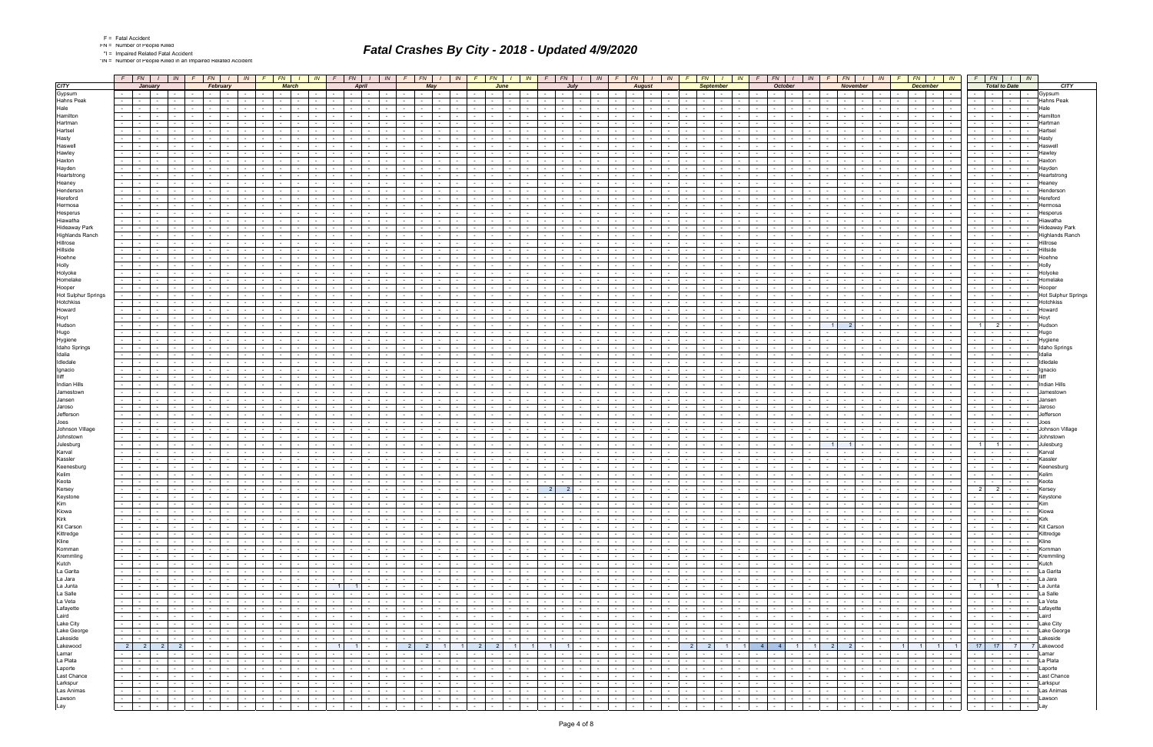|  | Fatal Accide |
|--|--------------|
|  |              |

\*IN = Number of People Killed in an Impaired Related Accident

|                                         |        | $F$ $FN$ $I$ $IN$                                                     |                                     |                          |                                              | $F$ $FN$ $I$                                                              | IN                                 |                                    | $F$ $FN$ $I$             |                                                                         | IN.            | FN<br>F                                                                                                         | IN                   | F<br>FN                                                        | IN -                         | $F \mid FN$                                                                                                     | $\sqrt{N}$                                                               | F.                                                    | FN                               | IN -                                             | FN                                                                                                                                                                                                                                                          | IN                                                      |                          | FN                                             | IN                                 | FN -                                                                     |                                    | $\sqrt{N}$       | FN                                                                                                                                                                                                                             |                                 | $I \parallel IN \parallel F$ |                                                           |                                                             | $FN$ $I$ $IN$                   |                      | $F$ $FN$<br>$\sqrt{N}$                                                                                                                                                                                                         |                                        |
|-----------------------------------------|--------|-----------------------------------------------------------------------|-------------------------------------|--------------------------|----------------------------------------------|---------------------------------------------------------------------------|------------------------------------|------------------------------------|--------------------------|-------------------------------------------------------------------------|----------------|-----------------------------------------------------------------------------------------------------------------|----------------------|----------------------------------------------------------------|------------------------------|-----------------------------------------------------------------------------------------------------------------|--------------------------------------------------------------------------|-------------------------------------------------------|----------------------------------|--------------------------------------------------|-------------------------------------------------------------------------------------------------------------------------------------------------------------------------------------------------------------------------------------------------------------|---------------------------------------------------------|--------------------------|------------------------------------------------|------------------------------------|--------------------------------------------------------------------------|------------------------------------|------------------|--------------------------------------------------------------------------------------------------------------------------------------------------------------------------------------------------------------------------------|---------------------------------|------------------------------|-----------------------------------------------------------|-------------------------------------------------------------|---------------------------------|----------------------|--------------------------------------------------------------------------------------------------------------------------------------------------------------------------------------------------------------------------------|----------------------------------------|
| <b>CITY</b>                             |        | <b>January</b>                                                        |                                     |                          |                                              | February                                                                  |                                    |                                    | <b>March</b>             |                                                                         |                | <b>April</b>                                                                                                    |                      | May                                                            |                              | June                                                                                                            |                                                                          |                                                       | July                             |                                                  | <b>August</b>                                                                                                                                                                                                                                               |                                                         |                          | <b>September</b>                               |                                    |                                                                          | <b>October</b>                     |                  |                                                                                                                                                                                                                                | <b>November</b>                 |                              |                                                           | <b>December</b>                                             |                                 |                      | <b>Total to Date</b>                                                                                                                                                                                                           | <b>CITY</b>                            |
| Gypsum                                  |        |                                                                       | $\sim$                              |                          | $\sim$ 100 $\mu$                             | $\sim$                                                                    |                                    |                                    | $\sim$                   |                                                                         |                | $\sim$                                                                                                          |                      |                                                                |                              |                                                                                                                 |                                                                          |                                                       |                                  |                                                  |                                                                                                                                                                                                                                                             |                                                         |                          |                                                |                                    | $\sim$ 10 $\pm$                                                          | <b>Contract Contract</b>           |                  | $\sim$                                                                                                                                                                                                                         |                                 |                              |                                                           | $\sim$ 100 $\sim$                                           |                                 |                      | $\sim$                                                                                                                                                                                                                         | Gypsum                                 |
| <b>Hahns Peak</b>                       |        |                                                                       |                                     |                          |                                              |                                                                           |                                    |                                    |                          |                                                                         |                |                                                                                                                 |                      |                                                                |                              |                                                                                                                 |                                                                          |                                                       |                                  |                                                  |                                                                                                                                                                                                                                                             |                                                         |                          |                                                |                                    |                                                                          |                                    |                  |                                                                                                                                                                                                                                |                                 |                              |                                                           | $\sim$                                                      |                                 |                      | $\sim$                                                                                                                                                                                                                         | <b>Hahns Peak</b>                      |
| Hale<br>Hamilton                        |        |                                                                       |                                     |                          |                                              |                                                                           |                                    |                                    | $\sim$                   |                                                                         |                |                                                                                                                 |                      |                                                                |                              |                                                                                                                 |                                                                          |                                                       |                                  |                                                  |                                                                                                                                                                                                                                                             |                                                         |                          |                                                |                                    |                                                                          | $\sim$                             |                  |                                                                                                                                                                                                                                |                                 |                              |                                                           |                                                             |                                 |                      | $\sim$                                                                                                                                                                                                                         | Hamiltor                               |
| Hartman                                 |        |                                                                       |                                     |                          |                                              |                                                                           |                                    |                                    |                          |                                                                         |                |                                                                                                                 |                      |                                                                |                              |                                                                                                                 |                                                                          |                                                       |                                  |                                                  |                                                                                                                                                                                                                                                             |                                                         |                          |                                                |                                    |                                                                          |                                    |                  |                                                                                                                                                                                                                                |                                 |                              |                                                           |                                                             |                                 |                      |                                                                                                                                                                                                                                |                                        |
| Hartsel                                 |        |                                                                       |                                     |                          |                                              |                                                                           |                                    |                                    |                          |                                                                         |                |                                                                                                                 |                      |                                                                |                              |                                                                                                                 |                                                                          |                                                       |                                  |                                                  |                                                                                                                                                                                                                                                             |                                                         |                          |                                                |                                    |                                                                          |                                    |                  |                                                                                                                                                                                                                                |                                 |                              |                                                           |                                                             |                                 |                      | $\sim$                                                                                                                                                                                                                         |                                        |
| Hasty                                   |        |                                                                       |                                     |                          |                                              |                                                                           |                                    |                                    |                          |                                                                         |                |                                                                                                                 |                      |                                                                |                              |                                                                                                                 |                                                                          |                                                       |                                  |                                                  |                                                                                                                                                                                                                                                             |                                                         |                          |                                                |                                    |                                                                          |                                    |                  |                                                                                                                                                                                                                                |                                 |                              |                                                           |                                                             |                                 |                      | $\sim$                                                                                                                                                                                                                         |                                        |
| Haswell                                 |        |                                                                       |                                     |                          |                                              |                                                                           |                                    |                                    |                          |                                                                         |                |                                                                                                                 |                      |                                                                |                              |                                                                                                                 |                                                                          |                                                       |                                  |                                                  |                                                                                                                                                                                                                                                             |                                                         |                          |                                                |                                    |                                                                          |                                    |                  |                                                                                                                                                                                                                                |                                 |                              |                                                           |                                                             |                                 |                      |                                                                                                                                                                                                                                |                                        |
| Hawley                                  |        |                                                                       |                                     |                          |                                              |                                                                           |                                    |                                    |                          |                                                                         |                |                                                                                                                 |                      |                                                                |                              |                                                                                                                 |                                                                          |                                                       |                                  |                                                  |                                                                                                                                                                                                                                                             |                                                         |                          |                                                |                                    |                                                                          |                                    |                  |                                                                                                                                                                                                                                |                                 |                              |                                                           |                                                             |                                 |                      |                                                                                                                                                                                                                                | Hawle                                  |
| Haxton                                  |        |                                                                       |                                     |                          |                                              |                                                                           |                                    |                                    | $\sim$                   |                                                                         |                | $\sim$                                                                                                          |                      |                                                                |                              |                                                                                                                 |                                                                          |                                                       |                                  |                                                  |                                                                                                                                                                                                                                                             |                                                         |                          |                                                |                                    |                                                                          |                                    |                  |                                                                                                                                                                                                                                | $\sim$                          |                              |                                                           |                                                             |                                 |                      | $\sim$                                                                                                                                                                                                                         | Haxtor                                 |
| Hayden                                  |        |                                                                       |                                     |                          |                                              |                                                                           |                                    |                                    |                          |                                                                         |                |                                                                                                                 |                      |                                                                |                              |                                                                                                                 |                                                                          |                                                       |                                  |                                                  |                                                                                                                                                                                                                                                             |                                                         |                          |                                                |                                    |                                                                          |                                    |                  |                                                                                                                                                                                                                                |                                 |                              |                                                           |                                                             |                                 |                      |                                                                                                                                                                                                                                |                                        |
| Heartstrong<br>Heaney                   |        |                                                                       |                                     |                          | $\sim$                                       | $\sim$                                                                    |                                    |                                    | $\sim$                   |                                                                         |                | $\sim$                                                                                                          |                      |                                                                |                              |                                                                                                                 |                                                                          |                                                       |                                  |                                                  |                                                                                                                                                                                                                                                             |                                                         |                          |                                                |                                    |                                                                          |                                    |                  | $\sim$                                                                                                                                                                                                                         | $\sim$                          |                              |                                                           |                                                             |                                 |                      | $\sim$<br>$\sim$                                                                                                                                                                                                               | Heartstron                             |
| Henderson                               |        |                                                                       |                                     |                          |                                              |                                                                           |                                    |                                    |                          |                                                                         |                |                                                                                                                 |                      |                                                                |                              |                                                                                                                 |                                                                          |                                                       |                                  |                                                  |                                                                                                                                                                                                                                                             |                                                         |                          |                                                |                                    |                                                                          |                                    |                  |                                                                                                                                                                                                                                |                                 |                              |                                                           |                                                             |                                 |                      |                                                                                                                                                                                                                                | Heaney                                 |
| Hereford                                |        |                                                                       |                                     |                          |                                              |                                                                           |                                    |                                    |                          |                                                                         |                |                                                                                                                 |                      |                                                                |                              |                                                                                                                 |                                                                          |                                                       |                                  |                                                  |                                                                                                                                                                                                                                                             |                                                         |                          |                                                |                                    |                                                                          |                                    |                  |                                                                                                                                                                                                                                |                                 |                              |                                                           |                                                             |                                 |                      | $\sim$                                                                                                                                                                                                                         |                                        |
| Hermosa                                 |        |                                                                       | $\sim$                              |                          | $\sim$                                       |                                                                           |                                    |                                    | $\sim$                   |                                                                         |                |                                                                                                                 |                      |                                                                |                              |                                                                                                                 |                                                                          |                                                       |                                  |                                                  |                                                                                                                                                                                                                                                             |                                                         |                          |                                                |                                    |                                                                          |                                    |                  | $\sim$                                                                                                                                                                                                                         |                                 |                              |                                                           |                                                             |                                 |                      | $\sim$                                                                                                                                                                                                                         |                                        |
| Hesperus                                |        |                                                                       |                                     |                          |                                              |                                                                           |                                    |                                    |                          |                                                                         |                |                                                                                                                 |                      |                                                                |                              |                                                                                                                 |                                                                          |                                                       |                                  |                                                  |                                                                                                                                                                                                                                                             |                                                         |                          |                                                |                                    |                                                                          |                                    |                  |                                                                                                                                                                                                                                |                                 |                              |                                                           |                                                             |                                 |                      |                                                                                                                                                                                                                                |                                        |
| Hiawatha                                |        |                                                                       |                                     |                          |                                              |                                                                           |                                    |                                    |                          |                                                                         |                |                                                                                                                 |                      |                                                                |                              |                                                                                                                 |                                                                          |                                                       |                                  |                                                  |                                                                                                                                                                                                                                                             |                                                         |                          |                                                |                                    |                                                                          |                                    |                  |                                                                                                                                                                                                                                |                                 |                              |                                                           |                                                             |                                 |                      |                                                                                                                                                                                                                                |                                        |
| <b>Hideaway Park</b>                    |        |                                                                       |                                     |                          |                                              |                                                                           |                                    |                                    |                          |                                                                         |                |                                                                                                                 |                      |                                                                |                              |                                                                                                                 |                                                                          |                                                       |                                  |                                                  |                                                                                                                                                                                                                                                             |                                                         |                          |                                                |                                    |                                                                          |                                    |                  |                                                                                                                                                                                                                                |                                 |                              |                                                           |                                                             |                                 |                      | $\sim$                                                                                                                                                                                                                         | Hideawav Park                          |
| <b>Highlands Ranch</b><br>Hillrose      |        |                                                                       |                                     |                          |                                              |                                                                           |                                    |                                    |                          |                                                                         |                |                                                                                                                 |                      |                                                                |                              |                                                                                                                 |                                                                          |                                                       |                                  |                                                  |                                                                                                                                                                                                                                                             |                                                         |                          |                                                |                                    |                                                                          |                                    |                  |                                                                                                                                                                                                                                | $\sim$                          |                              |                                                           |                                                             |                                 |                      | $\sim$                                                                                                                                                                                                                         | <b>Highlands Ranch</b><br>Hillrose     |
| Hillside                                |        |                                                                       |                                     |                          |                                              |                                                                           |                                    |                                    |                          |                                                                         |                |                                                                                                                 |                      |                                                                |                              |                                                                                                                 |                                                                          |                                                       |                                  |                                                  |                                                                                                                                                                                                                                                             |                                                         |                          |                                                |                                    |                                                                          |                                    |                  |                                                                                                                                                                                                                                |                                 |                              |                                                           |                                                             |                                 |                      | $\sim$                                                                                                                                                                                                                         | Hillside                               |
| Hoehne                                  |        |                                                                       |                                     |                          |                                              |                                                                           |                                    |                                    |                          |                                                                         |                |                                                                                                                 |                      |                                                                |                              |                                                                                                                 |                                                                          |                                                       |                                  |                                                  |                                                                                                                                                                                                                                                             |                                                         |                          |                                                |                                    |                                                                          |                                    |                  |                                                                                                                                                                                                                                |                                 |                              |                                                           |                                                             |                                 |                      |                                                                                                                                                                                                                                | Hoehn                                  |
| Holly                                   |        |                                                                       |                                     |                          |                                              |                                                                           |                                    |                                    |                          |                                                                         |                |                                                                                                                 |                      |                                                                |                              |                                                                                                                 |                                                                          |                                                       |                                  |                                                  |                                                                                                                                                                                                                                                             |                                                         |                          |                                                |                                    |                                                                          |                                    |                  |                                                                                                                                                                                                                                | $\sim$                          |                              |                                                           |                                                             |                                 |                      |                                                                                                                                                                                                                                |                                        |
| Holyoke                                 |        |                                                                       |                                     |                          |                                              |                                                                           |                                    |                                    |                          |                                                                         |                |                                                                                                                 |                      |                                                                |                              |                                                                                                                 |                                                                          |                                                       |                                  |                                                  |                                                                                                                                                                                                                                                             |                                                         |                          |                                                |                                    |                                                                          |                                    |                  |                                                                                                                                                                                                                                |                                 |                              |                                                           |                                                             |                                 |                      | $\sim$                                                                                                                                                                                                                         | Holyoke                                |
| Homelake                                |        |                                                                       |                                     |                          |                                              |                                                                           |                                    |                                    |                          |                                                                         |                |                                                                                                                 |                      |                                                                |                              |                                                                                                                 |                                                                          |                                                       |                                  |                                                  |                                                                                                                                                                                                                                                             |                                                         |                          |                                                |                                    |                                                                          |                                    |                  |                                                                                                                                                                                                                                |                                 |                              |                                                           |                                                             |                                 |                      |                                                                                                                                                                                                                                |                                        |
| Hooper                                  |        |                                                                       |                                     |                          |                                              |                                                                           |                                    |                                    |                          |                                                                         |                |                                                                                                                 |                      |                                                                |                              |                                                                                                                 |                                                                          |                                                       |                                  |                                                  |                                                                                                                                                                                                                                                             |                                                         |                          |                                                |                                    |                                                                          |                                    |                  |                                                                                                                                                                                                                                |                                 |                              |                                                           |                                                             |                                 |                      | $\sim$                                                                                                                                                                                                                         | Hoope                                  |
| <b>Hot Sulphur Springs</b><br>Hotchkiss |        |                                                                       |                                     |                          |                                              |                                                                           |                                    |                                    |                          |                                                                         |                |                                                                                                                 |                      |                                                                |                              |                                                                                                                 |                                                                          |                                                       |                                  |                                                  |                                                                                                                                                                                                                                                             |                                                         |                          |                                                |                                    |                                                                          |                                    |                  |                                                                                                                                                                                                                                |                                 |                              |                                                           |                                                             |                                 |                      | $\sim$<br>$\sim$                                                                                                                                                                                                               | <b>Hot Sulphur Springs</b><br>Hotchkis |
| Howard                                  |        |                                                                       |                                     |                          |                                              |                                                                           |                                    |                                    |                          |                                                                         |                |                                                                                                                 |                      |                                                                |                              |                                                                                                                 |                                                                          |                                                       |                                  |                                                  |                                                                                                                                                                                                                                                             |                                                         |                          |                                                |                                    |                                                                          |                                    |                  |                                                                                                                                                                                                                                |                                 |                              |                                                           |                                                             |                                 |                      | $\sim$<br>$\sim$                                                                                                                                                                                                               | Howard                                 |
| Hoyt                                    |        |                                                                       |                                     |                          |                                              |                                                                           |                                    |                                    |                          |                                                                         |                |                                                                                                                 |                      |                                                                |                              |                                                                                                                 |                                                                          |                                                       |                                  |                                                  |                                                                                                                                                                                                                                                             |                                                         |                          |                                                |                                    |                                                                          |                                    |                  |                                                                                                                                                                                                                                |                                 |                              |                                                           |                                                             |                                 |                      | $\sim$                                                                                                                                                                                                                         |                                        |
| Hudson                                  |        |                                                                       |                                     |                          |                                              |                                                                           |                                    |                                    |                          |                                                                         |                |                                                                                                                 |                      |                                                                |                              |                                                                                                                 |                                                                          |                                                       |                                  |                                                  |                                                                                                                                                                                                                                                             |                                                         |                          |                                                |                                    |                                                                          |                                    |                  |                                                                                                                                                                                                                                |                                 |                              |                                                           |                                                             |                                 | $1 \mid$             | $\overline{\mathbf{2}}$                                                                                                                                                                                                        | Hudsor                                 |
| Hugo                                    |        |                                                                       |                                     |                          |                                              |                                                                           |                                    |                                    |                          |                                                                         |                |                                                                                                                 |                      |                                                                |                              |                                                                                                                 |                                                                          |                                                       |                                  |                                                  |                                                                                                                                                                                                                                                             |                                                         |                          |                                                |                                    |                                                                          |                                    |                  |                                                                                                                                                                                                                                |                                 |                              |                                                           |                                                             |                                 |                      |                                                                                                                                                                                                                                |                                        |
| Hygiene                                 |        |                                                                       |                                     |                          |                                              |                                                                           |                                    |                                    |                          |                                                                         |                |                                                                                                                 |                      |                                                                |                              |                                                                                                                 |                                                                          |                                                       |                                  |                                                  |                                                                                                                                                                                                                                                             |                                                         |                          |                                                |                                    |                                                                          |                                    |                  |                                                                                                                                                                                                                                |                                 |                              |                                                           |                                                             |                                 |                      | $\sim$                                                                                                                                                                                                                         | Hvaier                                 |
| Idaho Springs                           |        |                                                                       |                                     |                          |                                              |                                                                           |                                    |                                    |                          |                                                                         |                |                                                                                                                 |                      |                                                                |                              |                                                                                                                 |                                                                          |                                                       |                                  |                                                  |                                                                                                                                                                                                                                                             |                                                         |                          |                                                |                                    |                                                                          |                                    |                  |                                                                                                                                                                                                                                |                                 |                              |                                                           |                                                             |                                 |                      | $\sim$                                                                                                                                                                                                                         | <b>Idaho Springs</b>                   |
| Idalia                                  |        |                                                                       |                                     |                          |                                              |                                                                           |                                    |                                    |                          |                                                                         |                |                                                                                                                 |                      |                                                                |                              |                                                                                                                 |                                                                          |                                                       |                                  |                                                  |                                                                                                                                                                                                                                                             |                                                         |                          |                                                |                                    |                                                                          |                                    |                  |                                                                                                                                                                                                                                |                                 |                              |                                                           |                                                             |                                 |                      |                                                                                                                                                                                                                                |                                        |
| Idledale                                |        |                                                                       |                                     |                          |                                              |                                                                           |                                    |                                    |                          |                                                                         |                |                                                                                                                 |                      |                                                                |                              |                                                                                                                 |                                                                          |                                                       |                                  |                                                  |                                                                                                                                                                                                                                                             |                                                         |                          |                                                |                                    |                                                                          |                                    |                  |                                                                                                                                                                                                                                |                                 |                              |                                                           |                                                             |                                 |                      | $\sim$                                                                                                                                                                                                                         | Idledal                                |
| Ignacio<br>lliff                        |        |                                                                       |                                     |                          |                                              |                                                                           |                                    |                                    |                          |                                                                         |                |                                                                                                                 |                      |                                                                |                              |                                                                                                                 |                                                                          |                                                       |                                  |                                                  |                                                                                                                                                                                                                                                             |                                                         |                          |                                                |                                    |                                                                          |                                    |                  |                                                                                                                                                                                                                                |                                 |                              |                                                           |                                                             |                                 |                      | $\sim$                                                                                                                                                                                                                         |                                        |
| Indian Hills                            |        |                                                                       |                                     |                          |                                              |                                                                           |                                    |                                    |                          |                                                                         |                |                                                                                                                 |                      |                                                                |                              |                                                                                                                 |                                                                          |                                                       |                                  |                                                  |                                                                                                                                                                                                                                                             |                                                         |                          |                                                |                                    |                                                                          |                                    |                  |                                                                                                                                                                                                                                |                                 |                              |                                                           |                                                             |                                 |                      |                                                                                                                                                                                                                                | Indian                                 |
| Jamestown                               |        |                                                                       | $\sim$                              |                          |                                              |                                                                           |                                    |                                    |                          |                                                                         |                |                                                                                                                 |                      |                                                                |                              |                                                                                                                 |                                                                          |                                                       |                                  |                                                  |                                                                                                                                                                                                                                                             |                                                         |                          |                                                |                                    |                                                                          |                                    |                  |                                                                                                                                                                                                                                |                                 |                              |                                                           |                                                             |                                 |                      | $\sim$                                                                                                                                                                                                                         |                                        |
| Jansen                                  |        |                                                                       |                                     |                          |                                              |                                                                           |                                    |                                    |                          |                                                                         |                |                                                                                                                 |                      |                                                                |                              |                                                                                                                 |                                                                          |                                                       |                                  |                                                  |                                                                                                                                                                                                                                                             |                                                         |                          |                                                |                                    |                                                                          |                                    |                  |                                                                                                                                                                                                                                |                                 |                              |                                                           |                                                             |                                 |                      |                                                                                                                                                                                                                                |                                        |
| Jaroso                                  |        |                                                                       |                                     |                          |                                              |                                                                           |                                    |                                    |                          |                                                                         |                |                                                                                                                 |                      |                                                                |                              |                                                                                                                 |                                                                          |                                                       |                                  |                                                  |                                                                                                                                                                                                                                                             |                                                         |                          |                                                |                                    |                                                                          |                                    |                  |                                                                                                                                                                                                                                |                                 |                              |                                                           |                                                             |                                 |                      | $\sim$                                                                                                                                                                                                                         | Jarosc                                 |
| Jefferson                               |        |                                                                       |                                     |                          |                                              |                                                                           |                                    |                                    |                          |                                                                         |                |                                                                                                                 |                      |                                                                |                              |                                                                                                                 |                                                                          |                                                       |                                  |                                                  |                                                                                                                                                                                                                                                             |                                                         |                          |                                                |                                    |                                                                          |                                    |                  |                                                                                                                                                                                                                                |                                 |                              |                                                           |                                                             |                                 |                      | $\sim$                                                                                                                                                                                                                         |                                        |
| Joes<br>Johnson Village                 |        |                                                                       |                                     |                          |                                              |                                                                           |                                    |                                    |                          |                                                                         |                |                                                                                                                 |                      |                                                                |                              |                                                                                                                 |                                                                          |                                                       |                                  |                                                  |                                                                                                                                                                                                                                                             |                                                         |                          |                                                |                                    |                                                                          |                                    |                  |                                                                                                                                                                                                                                | $\sim$                          |                              |                                                           |                                                             |                                 |                      |                                                                                                                                                                                                                                | Johnson Village                        |
| Johnstown                               |        |                                                                       |                                     |                          |                                              |                                                                           |                                    |                                    |                          |                                                                         |                |                                                                                                                 |                      |                                                                |                              |                                                                                                                 |                                                                          |                                                       |                                  |                                                  |                                                                                                                                                                                                                                                             |                                                         |                          |                                                |                                    |                                                                          |                                    |                  |                                                                                                                                                                                                                                |                                 |                              |                                                           |                                                             |                                 |                      | $\sim$                                                                                                                                                                                                                         |                                        |
| Julesburg                               |        |                                                                       |                                     |                          |                                              |                                                                           |                                    |                                    |                          |                                                                         |                |                                                                                                                 |                      |                                                                |                              |                                                                                                                 |                                                                          |                                                       |                                  |                                                  |                                                                                                                                                                                                                                                             |                                                         |                          |                                                |                                    |                                                                          |                                    |                  |                                                                                                                                                                                                                                |                                 |                              |                                                           |                                                             |                                 | $\overline{1}$       | $\blacksquare$                                                                                                                                                                                                                 | Julesburg                              |
| Karval                                  |        |                                                                       |                                     |                          |                                              |                                                                           |                                    |                                    |                          |                                                                         |                |                                                                                                                 |                      |                                                                |                              |                                                                                                                 |                                                                          |                                                       |                                  |                                                  |                                                                                                                                                                                                                                                             |                                                         |                          |                                                |                                    |                                                                          |                                    |                  |                                                                                                                                                                                                                                |                                 |                              |                                                           |                                                             |                                 |                      |                                                                                                                                                                                                                                | Karval                                 |
| Kassler                                 |        |                                                                       |                                     |                          |                                              |                                                                           |                                    |                                    |                          |                                                                         |                |                                                                                                                 |                      |                                                                |                              |                                                                                                                 |                                                                          |                                                       |                                  |                                                  |                                                                                                                                                                                                                                                             |                                                         |                          |                                                |                                    |                                                                          |                                    |                  |                                                                                                                                                                                                                                |                                 |                              |                                                           |                                                             |                                 |                      | $\sim$                                                                                                                                                                                                                         | Kassle                                 |
| Keenesburg                              |        |                                                                       |                                     |                          |                                              |                                                                           |                                    |                                    |                          |                                                                         |                |                                                                                                                 |                      |                                                                |                              |                                                                                                                 |                                                                          |                                                       |                                  |                                                  |                                                                                                                                                                                                                                                             |                                                         |                          |                                                |                                    |                                                                          |                                    |                  |                                                                                                                                                                                                                                |                                 |                              |                                                           |                                                             |                                 |                      | $\sim$                                                                                                                                                                                                                         | Keenesburg                             |
| Kelim                                   |        |                                                                       |                                     |                          |                                              |                                                                           |                                    |                                    |                          |                                                                         |                |                                                                                                                 |                      |                                                                |                              |                                                                                                                 |                                                                          |                                                       |                                  |                                                  |                                                                                                                                                                                                                                                             |                                                         |                          |                                                |                                    |                                                                          |                                    |                  |                                                                                                                                                                                                                                | $\sim$                          |                              |                                                           |                                                             |                                 |                      | $\sim$                                                                                                                                                                                                                         |                                        |
| Keota<br>Kersey                         |        |                                                                       |                                     |                          | $\sim$                                       | $\sim$                                                                    |                                    |                                    |                          |                                                                         |                |                                                                                                                 |                      |                                                                |                              |                                                                                                                 |                                                                          | 2                                                     | $\overline{2}$                   |                                                  |                                                                                                                                                                                                                                                             |                                                         |                          |                                                |                                    |                                                                          |                                    |                  |                                                                                                                                                                                                                                |                                 |                              |                                                           |                                                             |                                 |                      | $\sim$<br>$2 \mid 2 \mid$                                                                                                                                                                                                      | Keota<br><b>Kersey</b>                 |
|                                         |        | $\mathbf{1}$ , and $\mathbf{1}$ , and $\mathbf{1}$                    |                                     |                          |                                              | $  -$                                                                     |                                    | the contract of the con-           |                          | . .                                                                     | $\sim$         | the contract of the con-<br>$\mathbf{1}$ and $\mathbf{1}$ and $\mathbf{1}$                                      |                      | .                                                              |                              |                                                                                                                 |                                                                          | .<br>$\sim$                                           | .                                | the contract of the con-                         |                                                                                                                                                                                                                                                             | .                                                       |                          |                                                | .                                  | $\sim$ $-$                                                               | .                                  |                  | $\sim$ 100 $-$                                                                                                                                                                                                                 | the contract of the con-        |                              |                                                           |                                                             |                                 | $\sim$ $\sim$ $\sim$ |                                                                                                                                                                                                                                |                                        |
| Keystone<br>Kim                         | $\sim$ | $\sim 100$                                                            | $\sim$ $-$<br>$\mathbf{r}$          |                          | $\sim$                                       | $-1 - 1 - 1 -$                                                            |                                    | <b>Contract Contract</b>           |                          | $\sim 100$<br><b>Contract Contract</b>                                  |                | the contract of<br>$\sim$ $\sim$ $\sim$ $\sim$ $\sim$ $\sim$                                                    | $\sim$ $-$           | $      -$                                                      | $\sim$ $-$                   |                                                                                                                 |                                                                          | $\sim 100$                                            | the contract of                  | <b>Contract</b>                                  | $\sim$<br>.                                                                                                                                                                                                                                                 | $\sim$ $-$<br>$\mathbf{I}$ and $\mathbf{I}$             | $\sim$                   | $\sim$ $\sim$ $\sim$                           | the contract of                    | the contract of                                                          | and the state                      |                  | the contract of                                                                                                                                                                                                                | and the state of the state      |                              | $\sim$ $\sim$ $\sim$<br>$\sim$                            | $\mathbf{1}$ $\mathbf{1}$                                   | $\sim$ $-$                      | $\sim$ 100 $\sim$    | $\sim 100$<br>$\sim$ $-$                                                                                                                                                                                                       | Keystone<br>Kim                        |
| Kiowa                                   |        | <b>Contract Contract</b>                                              | the contract of                     |                          |                                              | the contract of the contract of the                                       | <b>Contract</b>                    | the contract of                    |                          | <b>Contract</b>                                                         | $\sim 10^{-1}$ | <b>Contract</b>                                                                                                 | $\sim$               | $-1$<br>the contract of                                        | $\sim 10^{-1}$               | the contract of                                                                                                 | $\sim 10^{-10}$                                                          | $\sim 10^{-10}$<br>$\sim 100$                         | and the state of the state of    | $\sim 10^{-10}$                                  | $\sim$ $-$<br>$\mathbf{I}$ and $\mathbf{I}$                                                                                                                                                                                                                 | $\sim 10^{-11}$<br><b>Contract</b>                      | $\sim 10^{-11}$          | <b>Contract</b>                                | the contract of                    | $\sim 10^{-10}$<br><b>Contract</b>                                       | and the state of the state of      |                  | $\sim$ $\sim$<br>$\sim 10^{-11}$                                                                                                                                                                                               | and the state of the state of   |                              | $\sim 10^{-10}$                                           | the contract of the con-                                    | $\sim 10^{-1}$                  |                      | $\sim$                                                                                                                                                                                                                         | Kiowa                                  |
| Kirk                                    | $\sim$ |                                                                       | the contract of the contract of the |                          | $\sim$ $\sim$                                | and the first part                                                        |                                    |                                    |                          | $-1 - 1 - 1 - 1$                                                        |                | and the state of the state of the state of the state of the state of the state of the state of the state of the |                      | $-1 - 1 - 1 - 1$                                               | $\sim 10^{-1}$               | the contract of the contract of the contract of the contract of the contract of the contract of the contract of |                                                                          |                                                       | and the control                  | <b>Contract Contract</b>                         | $\mathbf{1}$ $\mathbf{1}$                                                                                                                                                                                                                                   | the contract of                                         | $\sim$ $\sim$            |                                                | and the contract of the con-       | $-1 - 1 - 1 - 1 - 1$                                                     |                                    |                  | and the con-                                                                                                                                                                                                                   | المعالم المعال                  |                              | $-1 - 1 - 1 - 1 - 1$                                      |                                                             |                                 |                      | $-1 - 1 - 1 - 1 - 1$                                                                                                                                                                                                           | Kirk                                   |
| Kit Carson                              |        | $\sim$ $\sim$                                                         | the contract of                     |                          | <b>Contract Contract Street</b>              | $-1 - 1$                                                                  | $\sim 10^{-11}$                    | the contract of                    |                          | $\sim 10^{-10}$                                                         | $\sim 100$     |                                                                                                                 | $\sim$               |                                                                | $\sim$ $-$                   |                                                                                                                 | $\sim 10^{-11}$                                                          | $\sim 10^{-11}$<br>$\sim 10^{-10}$                    | and the state                    | <b>Contract</b>                                  | $\sim 10^{-11}$<br>$\lceil - \rceil$                                                                                                                                                                                                                        | $\sim$ $-$<br>$\sim$ $-$                                | $\sim$ $\sim$            | $\sim 10^{-11}$                                | the contract of                    | $\sim 10^{-11}$<br>$\sim 10^{-11}$                                       | and the state                      |                  | <b>Service</b> Service                                                                                                                                                                                                         | and the state                   |                              | $\sim$ $\sim$ $\sim$                                      |                                                             | $-1 - 1 - 1 - 1$                |                      | the contract of the contract of the contract of the contract of the contract of the contract of the contract of the contract of the contract of the contract of the contract of the contract of the contract of the contract o | Kit Carson                             |
| Kittredge<br>Kline                      |        | $\sim$ $\sim$ $\sim$ $\sim$                                           | the contract of the con-            |                          | <b>Service</b>                               |                                                                           | <b>Contract</b>                    | the contract of the con-           |                          | <b>Contract</b>                                                         | $\sim 100$     | $\sim 100$<br>.                                                                                                 | $\sim$               | $-1 - 1 - 1 - 1$                                               | $\sim$ $-$                   | $-1 - 1$                                                                                                        | <b>Contract</b><br><b>Contract</b>                                       | $\sim$ $-$                                            | <b>Contract Contract</b>         | $\sim 10^{-11}$                                  | $\sim$ $-$<br>$\sim$ $\sim$ $\sim$                                                                                                                                                                                                                          | $\sim 100$<br>$\sim$ $\sim$                             | $\sim$                   | <b>Contract</b>                                | the contract of the con-           | <b>Contract</b><br>$\sim 10^{-10}$                                       | and the state of the state         |                  | <b>Service</b><br>$\sim 10^{-11}$                                                                                                                                                                                              | and the state of the state      |                              | $\sim 100$                                                |                                                             | the contract of the contract of |                      | - - - - - Kittredge                                                                                                                                                                                                            | Kline                                  |
| Kornman                                 |        | $\sim$ $\sim$<br>$\sim$ $\sim$ $\sim$ $\sim$                          | $\sim$<br>the contract of           | $\sim$ 100 $\mu$         | $\sim$<br>$\sim$                             | the contract of the con-<br>the collection                                | <b>Contract</b><br><b>Contract</b> | the contract of<br>the contract of |                          | <b>Contract Contract</b><br>$\sim 100$<br>$\sim 10^{-10}$<br>$\sim 100$ |                | the contract of<br>.                                                                                            | $\sim$<br>$\sim$     | $-1$<br>$\sim$ $-$<br><b>Contract</b>                          | $\sim 10^{-1}$<br>$\sim$ $-$ | the contract of<br>the contract of                                                                              | $\sim 10^{-11}$<br>$\sim 10^{-10}$<br><b>Contract</b>                    | $\sim 10^{-10}$<br>$\sim 100$<br>$\sim$ $-$           | the contract of<br>and the state | <b>Contract</b><br><b>Contract</b>               | $\sim 100$<br>$\sim 10^{-10}$<br>$\sim$ $-$<br>$\mathbf{I}$ $\mathbf{I}$                                                                                                                                                                                    | $\sim$<br>$\sim 10^{-11}$<br>$\sim$ $-$<br>$\mathbf{I}$ | $\sim$ $-$<br>$\sim$ $-$ | $\sim$ $\sim$ $\sim$ $\sim$<br>$\sim 10^{-10}$ | and the control<br>the contract of | $\sim 10^{-10}$<br>$\sim 10^{-11}$<br>$\sim 10^{-10}$<br>$\sim 10^{-11}$ | the contract of<br>and the control |                  | the contract of<br>the contract                                                                                                                                                                                                | the collection<br>and the state |                              | $-1$<br>$\sim$ $\sim$ $\sim$ $\sim$                       | the contract of the contract of<br>the contract of the con- | $\sim 10^{-1}$<br>$\sim$        |                      | $\mathbb{R}^n$ and $\mathbb{R}^n$ and $\mathbb{R}^n$<br>$-1 - 1 - 1 - 1 - 1$                                                                                                                                                   | Kornman                                |
| Kremmling                               |        | $\sim$ $\sim$ $\sim$ $\sim$                                           | the contract of                     |                          |                                              |                                                                           | <b>Contract</b>                    | the contract of the con-           |                          | <b>Contract</b>                                                         | $\sim$ $-$     | $\sim 10^{-11}$<br>$\sim$ $\sim$<br>$\sim$ $\sim$                                                               | $\sim$               | the contract of the con-                                       | $\sim$                       | the contract of                                                                                                 | <b>Contract</b><br><b>Contract</b>                                       | $\sim$                                                | <b>Contract Contract</b>         | $\sim$ 100 $\mu$                                 | $\sim$<br><b>Common</b>                                                                                                                                                                                                                                     | $\sim$<br><b>Contract</b>                               | $\sim$                   | <b>Contract</b>                                | the contract of the con-           | $\sim$ 100 $\mu$<br><b>Contract</b>                                      | the contract                       | $\sim$ 100 $\mu$ | $\sim$                                                                                                                                                                                                                         | the contract                    |                              | <b>Contract</b>                                           | $\sim$ $\sim$ $\sim$ $\sim$                                 | $\sim 10^{-1}$                  |                      | -   -   -   - Kremmling                                                                                                                                                                                                        |                                        |
| Kutch                                   |        | $\sim$ $\sim$                                                         | $\sim$ $-$                          |                          |                                              | the contract of the con-                                                  |                                    | the collection                     |                          | <b>Contract</b>                                                         | $\sim 100$     | the contract of<br><b>Contract</b>                                                                              | $\sim$               | $\sim$ $\sim$<br>$\sim$ $-$<br><b>Contract</b>                 | $\sim$ $-$                   | the company of                                                                                                  | $\sim 10^{-11}$<br><b>Contract</b>                                       | $\sim 100$                                            | the contract of                  | $\sim 10^{-10}$                                  | $\sim$ $-$<br><b>Contract</b>                                                                                                                                                                                                                               | $\sim$<br>$\sim$ $-$                                    | $\sim 10^{-1}$           | $\sim 10^{-10}$                                | the contract of                    | $\sim 10^{-11}$<br>$\sim 10^{-11}$                                       | the contract of                    |                  | the contract of                                                                                                                                                                                                                | the contract                    |                              |                                                           | the contract of the con-                                    | $\sim 10^{-1}$                  |                      | $\mathbb{R}^n$ and $\mathbb{R}^n$ and $\mathbb{R}^n$                                                                                                                                                                           | Kutch                                  |
| La Garita                               |        | $\mathbf{I}$ $\mathbf{I}$                                             | the contract of                     |                          |                                              | .                                                                         |                                    | and the state                      |                          | $\sim$ $\sim$ $\sim$ $\sim$<br>$\sim 100$                               |                |                                                                                                                 | $\sim$ $-$           | <b>Contract Contract</b><br>and the state                      | $\sim$ $-$                   |                                                                                                                 |                                                                          | $\sim 10^{-11}$                                       | and the state                    | <b>Contract</b>                                  | $\sim 10^{-11}$<br>$\mathbf{I}$ $\mathbf{I}$                                                                                                                                                                                                                | $\sim$ $-$<br>$\mathbf{1}$ and $\mathbf{1}$             | $\sim$ $-$               | $\sim 10^{-10}$                                | the contract of                    | $\sim$ $\sim$ $\sim$<br>$\sim 10^{-10}$                                  | and the state                      |                  | the contract of the con-                                                                                                                                                                                                       | and the state                   |                              |                                                           |                                                             | $\sim 10^{-1}$                  |                      | - - - - - La Garita                                                                                                                                                                                                            |                                        |
| La Jara                                 |        | $-1 - 1 - 1 - 1 - 1$                                                  |                                     |                          | $\sim$ 100 $\mu$                             | the contract of the contract of the con-                                  |                                    |                                    | <b>Contract Contract</b> | and the state                                                           |                |                                                                                                                 | $\sim$ $-$           | .                                                              | $\sim$                       |                                                                                                                 | $\sim 10^{-10}$                                                          | $\sim$ $-$                                            | and the control                  | <b>Contract</b>                                  | $\sim 100$<br>$\mathbf{1}$ $\mathbf{1}$                                                                                                                                                                                                                     | the company                                             | $\sim 10^{-11}$          | $\sim 10^{-11}$                                | the collection                     | $\sim$ $\sim$ $\sim$<br>$\sim$ $\sim$ $\sim$                             | المحال جا                          |                  | $\sim$ $\sim$ $\sim$<br>$\sim 100$                                                                                                                                                                                             | and the state                   |                              | $\sim$ $\sim$ $\sim$                                      |                                                             | $-1 - 1 - 1 - 1$                |                      | $\overline{\cdot}$ $\overline{\cdot}$ $\overline{\cdot}$ $\overline{\cdot}$ $\overline{\cdot}$ La Jara                                                                                                                         |                                        |
| La Junta                                |        | $-1$                                                                  | the contract of                     |                          | <b>Contract</b>                              |                                                                           | <b>Contract</b>                    | the contract of                    |                          | the contract of the con-                                                |                | $1 \quad 1 \quad -1$                                                                                            | $\sim$ $-$           | .                                                              | $\sim$ $-$                   | the contract of                                                                                                 | the contract of                                                          | $\sim 100$                                            | the contract of                  | <b>Contract</b>                                  | $\sim 10^{-11}$<br>$\sim$ - $\sim$ - $\sim$                                                                                                                                                                                                                 | the contract of                                         | $\sim$                   | $\sim$ $\sim$ $\sim$ $\sim$                    | the contract of                    | $\sim$ $\sim$ $\sim$ $\sim$ $\sim$<br><b>Contract Contract</b>           | and the state                      |                  | the contract of                                                                                                                                                                                                                | the contract                    |                              | $ -$                                                      |                                                             |                                 |                      | 1   1   -   -   La Junta                                                                                                                                                                                                       |                                        |
| La Salle                                |        | <b>Contract Contract</b>                                              | the contract of                     |                          |                                              | $\sim$ $\sim$ $\sim$ $\sim$<br>$\sim$ $-$                                 | $\sim 10^{-11}$                    | the contract of                    |                          | <b>Contract Contract</b>                                                | $\sim 100$     | $\sim 10^{-10}$<br>$\sim 100$<br>$\mathbf{I}$ $\mathbf{I}$                                                      | $\sim$               | $\sim$ $-$<br>$\sim$ $-$<br><b>Contract Contract</b>           | $\sim 10^{-1}$               | the contract of<br>.                                                                                            | $\sim 10^{-10}$<br><b>Contract Contract</b>                              | $\sim 100$                                            | and the state                    | <b>Contract</b>                                  | $\sim 10^{-11}$<br>1. 1                                                                                                                                                                                                                                     | the contract of                                         | $\sim 10$                | <b>Contract</b>                                | the contract of                    | and the state                                                            | the contract of                    | $\sim 10^{-11}$  | $\sim 100$                                                                                                                                                                                                                     | the collection                  |                              | $\sim$ $-$                                                | the contract of                                             | $\sim$<br>المعالم المساري       |                      | - - - - - La Salle<br>-   -   -   - La Veta                                                                                                                                                                                    |                                        |
| La Veta<br>Lafayette                    |        | $-1 - 1 - 1 - 1 - 1$<br><b>Service</b>                                | $\sim$                              | <b>Contract Contract</b> | $\sim$ $\sim$<br>$\sim$                      | the contract of the contract of the con-<br>$\sim$ $-$<br><b>Contract</b> | $\sim 10^{-11}$                    | the contract of the con-           |                          | <b>Contract Contract</b>                                                | $\sim 100$     | $-1 - 1 - 1 - 1 -$<br>$\sim$ $\sim$ $\sim$<br>$\sim 100$<br>$\sim$ $ -$                                         | $\sim$               | $-1 - 1 - 1 - 1$<br>$\sim$ $\sim$<br>$\sim$<br>$\sim 10^{-10}$ | $\sim$<br>$\sim$             | $\sim$ $  -$<br><b>Contract</b>                                                                                 | $\sim 10^{-11}$                                                          | $\sim 10^{-11}$<br>$\sim 10^{-11}$<br>$\sim 10^{-10}$ | and the state<br>and the state   | $\sim$ $\sim$ $\sim$<br><b>Contract Contract</b> | the contract of the contract of the contract of the contract of the contract of the contract of the contract of the contract of the contract of the contract of the contract of the contract of the contract of the contract o<br>$\sim$<br><b>Contract</b> | $\sim$<br>$\mathbf{1}$ and $\mathbf{1}$                 | $\sim$ $-$               | the contract of<br>$\sim 10^{-11}$             | the contract of<br>the contract of | <b>Contract Contract</b><br><b>Contract Contract</b>                     | the contract of                    |                  | the contract of<br>$\sim 10^{-11}$                                                                                                                                                                                             | and the state<br>and the state  |                              | $-1$<br>$-1$                                              | the contract of the contract of the                         | $\sim$                          |                      | -   -   -   - Lafayette                                                                                                                                                                                                        |                                        |
| Laird                                   |        | .                                                                     | the contract of                     |                          |                                              | $-$ 1 $-$ 1 $-$ 1 $-$                                                     |                                    | and the con-                       |                          | $\sim 10^{-10}$ m $^{-1}$                                               | $\sim 100$     | $\mathbf{1}$ $\mathbf{1}$<br>the contract of the con-                                                           | $\sim$ $-$           | $      -$                                                      | $\sim$                       |                                                                                                                 |                                                                          |                                                       | and the state                    | $\sim$ $  -$                                     | $- - - - - -$                                                                                                                                                                                                                                               | the contract of                                         |                          | $-1 - 1$                                       | <b>Carl Land</b>                   |                                                                          |                                    |                  | the contract of                                                                                                                                                                                                                | the contract                    |                              | $\sim$ $-$                                                |                                                             |                                 |                      | $     -$                                                                                                                                                                                                                       | Laird                                  |
| Lake City                               |        | $-1 - 1 - 1 - 1 - 1$                                                  |                                     |                          | $\sim$ $\sim$ $\sim$                         | the contract of the contract of the con-                                  |                                    |                                    |                          | $\sim 10^{-1}$                                                          |                | $-1 - 1 - 1 - 1 -$                                                                                              |                      |                                                                | $\sim$ $-$                   | .                                                                                                               |                                                                          | $\sim 10^{-11}$                                       | and the state                    | <b>Contract</b>                                  | the contract of the con-                                                                                                                                                                                                                                    | the contract of                                         |                          | the contract of                                | the contract of                    | the contract of                                                          | and the state                      |                  | the contract of                                                                                                                                                                                                                | and the state                   |                              | $-1 - 1 - 1 - 1 -$                                        |                                                             |                                 |                      | -   -   -   - Lake City                                                                                                                                                                                                        |                                        |
| Lake George                             |        | <b>Service</b>                                                        | $\sim$                              | <b>Contract Contract</b> | $\sim$ $\sim$                                | $\sim$ $-$<br>$\sim$ $-$                                                  | $\sim 10^{-11}$                    | the contract of the con-           |                          | <b>Contract Contract</b>                                                | $\sim 100$     | the contract of<br>$\mathbf{I}$ $\mathbf{I}$ $\mathbf{I}$                                                       | $\sim$               | $\sim$ $-$<br>$\sim 10^{-10}$<br>$\sim$ $\sim$                 | $\sim$                       | $\sim$ $\sim$ $\sim$<br><b>Contract</b>                                                                         | $\sim 10^{-11}$                                                          | $\sim 10^{-11}$<br>$\sim 10^{-10}$                    | and the state                    | <b>Contract</b>                                  | $\sim$<br><b>Contract Contract</b>                                                                                                                                                                                                                          | $\sim$ $-$<br>$\sim$ $-$                                | $\sim$ $-$               | <b>Service</b>                                 | the contract of                    | <b>Contract</b><br>$\sim 10^{-10}$                                       | the contract of                    |                  | the contract of the con-                                                                                                                                                                                                       | and the state                   |                              | $ -$                                                      | the contract of the contract of                             | $\sim 10^{-1}$                  |                      | -   -   -   - Lake George                                                                                                                                                                                                      |                                        |
| Lakeside                                |        | $\sim$ $\sim$ $\sim$ $\sim$                                           | the contract of the con-            |                          |                                              | $-$ 1 $-$ 1 $-$ 1 $-$                                                     |                                    | and the con-                       |                          | the contracts                                                           |                | .                                                                                                               |                      | .                                                              | $\sim$ $-$                   | .                                                                                                               |                                                                          |                                                       | and the state                    | <b>Contract</b>                                  | $- - - - - -$                                                                                                                                                                                                                                               | the contract of                                         |                          | the contract of                                | and the control                    |                                                                          |                                    |                  | the contract of                                                                                                                                                                                                                | the contract                    |                              |                                                           |                                                             |                                 |                      | $\sim$ $\sim$ $\sim$ $\sim$ $\sim$                                                                                                                                                                                             | Lakeside                               |
| Lakewood                                |        | $2 \mid 2 \mid 2 \mid 2$                                              |                                     |                          |                                              | .                                                                         |                                    | and the con-                       |                          | and the state of the state                                              |                | $1 \quad 1 \quad -1$                                                                                            | $\sim$ $-$           | $2 \mid 2 \mid 1 \mid$                                         | $\blacksquare$ 1             | $2 \mid 2 \mid 1 \mid 1$                                                                                        |                                                                          |                                                       |                                  |                                                  |                                                                                                                                                                                                                                                             | $\sim$<br><b>Contract</b>                               |                          |                                                |                                    | 2 2 1 1 4 4 1 1                                                          |                                    |                  | $2 \mid 2 \mid - \mid - \mid$                                                                                                                                                                                                  |                                 |                              | $1 \quad 1 \quad 1 \quad 1$                               |                                                             |                                 |                      | 17 17 7 Zlakewood                                                                                                                                                                                                              |                                        |
| Lamar                                   |        | $-1 - 1 - 1 - 1 - 1 - 1$                                              |                                     |                          | <b>Contract Contract Street</b>              | the contract of the contract of the con-                                  |                                    | the contract of                    |                          | and the state of the state                                              |                |                                                                                                                 | $\sim$ $-$           | the contract of the contract of the con-                       | $\sim$<br>J,                 | the contract of                                                                                                 | $\sim$ $-$<br><b>Contract Contract</b>                                   | $\sim 10^{-11}$                                       | and the state of the state       | <b>Contract Contract Street</b>                  | .                                                                                                                                                                                                                                                           | the contract of the con-                                | $-1$                     | $\sim$ $\sim$ $\sim$ $\sim$                    | the contract of<br><u>ta ma</u>    | $\sim$ $-$<br>$\sim 10^{-10}$                                            | and the state of the state of      |                  | .                                                                                                                                                                                                                              |                                 |                              | .                                                         |                                                             | $\sim 10^{-1}$<br>$\sim$        |                      | -   -   -   -   Lamar                                                                                                                                                                                                          |                                        |
| La Plata<br>Laporte                     |        | $\mathsf{I}$ . The set of $\mathsf{I}$<br>$\sim$ $\sim$ $\sim$ $\sim$ | the contract of<br>the contract of  |                          | $\sim$ $\sim$ $\sim$<br>$\sim$ $\sim$ $\sim$ | - TITL 1 - 1<br>the contract of                                           | <b>Contract</b>                    | 그리고 :<br>and the control           |                          | and the state<br><b>Contract Contract</b>                               |                | $-1 - 1 - 1$<br>.                                                                                               | $\sim$<br>$\sim$ $-$ | $-1 - 1 - 1$<br>$-1 - 1 - 1$                                   | $\sim$ $-$                   | and the contract<br>and the contract                                                                            | $\sim 10^{-10}$<br>$\sim 10^{-10}$<br>$\sim 10^{-10}$<br><b>Contract</b> | $\sim 10^{-11}$<br>$\sim 100$                         | the contract of<br>and the state | $\sim 10^{-10}$<br><b>Contract</b>               | $\sim 10^{-1}$<br>$1 - 1$<br>$    -$                                                                                                                                                                                                                        | <b>Second Second</b><br>$\sim$<br>$\sim$ $-$            |                          | $-1 - 1$<br>$\sim$ 1 $\sim$ 1                  | and the control                    | 도메리<br>the contract of                                                   | 그리고<br>and the state               |                  | <b>Carl Carl</b><br><b>Service</b> Service                                                                                                                                                                                     | المحال ما<br>and the state      |                              | $\sim$ $\sim$<br>the contract of the contract of the con- | and the contract of the contract of the                     |                                 |                      | - - - - - La Plata<br>$    -$ Laporte                                                                                                                                                                                          |                                        |
| Last Chance                             |        | $\sim$ $\sim$ $\sim$ $\sim$                                           | the contract of                     |                          | $\sim$ $\sim$ $\sim$                         | the contract of                                                           | <b>Contract</b>                    | the contract of                    |                          | $\sim$ $\sim$ $\sim$ $\sim$<br>$\sim 100$                               |                | .                                                                                                               | $\sim$               | $      -$                                                      | $\sim 10^{-1}$               | $-1 - 1$                                                                                                        | $\sim 10^{-11}$                                                          | $\sim 10^{-10}$<br>$\sim 100$                         | the contract of                  | <b>Contract Contract Street</b>                  | the contract of                                                                                                                                                                                                                                             | the contract of                                         |                          | the contract of the con-                       | the contract of                    | $\sim$ $-$<br>$\sim 10^{-10}$                                            | the contract of                    |                  | the contract of                                                                                                                                                                                                                | the collection                  |                              | $  -$                                                     | the contract of the con-                                    | $\sim$                          |                      | -   -   -   - Last Chance                                                                                                                                                                                                      |                                        |
| Larkspur                                |        | $\sim$ $\sim$ $\sim$ $\sim$                                           | <b>Service</b> Service              |                          | $ -$                                         | <b>Contract Contract</b>                                                  | $\sim 10^{-11}$                    | 그리 나는                              |                          | $\sim$ $-$                                                              | $\sim 100$     | <b>Carl Land</b><br>$\sim$ $ -$                                                                                 | $\sim$               | the property of the con-                                       | $\sim$                       | a se de la contra                                                                                               | $\sim$<br>$\sim 10^{-10}$                                                | $\sim 10^{-11}$                                       | the contract of                  | ال_ 7،                                           | $\sim$ $-$<br>$\sim$ $\sim$ $\sim$ $\sim$ $\sim$                                                                                                                                                                                                            | the company's                                           | $\sim$ $-$               | $\sim 10^{-10}$                                | <u>ta ma</u>                       | $\sim$ $\sim$<br>$\sim 10^{-11}$                                         | 그래도                                |                  | 그래도                                                                                                                                                                                                                            | المحال المنا                    |                              | $-1$                                                      | the contract of                                             | $\sim$                          |                      | <u> 1999 - Jan Jan</u>                                                                                                                                                                                                         | Larkspur                               |
| Las Animas                              |        | $\sim$ $\sim$                                                         | the contract of                     |                          | $\sim$ 100 $\mu$                             | the contract of                                                           | $\sim 10^{-11}$                    |                                    | <b>Contract Contract</b> | and the state of the state                                              |                | $-1 - 1 - 1 - 1$                                                                                                | $\sim$               | .                                                              | $\sim$ $-$                   | and the contract                                                                                                | $\sim 10^{-10}$<br><b>Contract</b>                                       | $\sim 100$                                            | and the state                    | $\sim 10^{-10}$                                  | $\sim$ $-$<br>$\sim 10^{-10}$                                                                                                                                                                                                                               | $\sim$<br>$\sim$ $-$                                    | $\sim 10^{-11}$          | $\sim 10^{-10}$                                | and the control                    | $\sim 10^{-11}$<br>$\sim 10^{-11}$                                       | and the state                      |                  | <b>Service</b> Service                                                                                                                                                                                                         | and the state                   |                              | $-1$                                                      |                                                             |                                 |                      | $    -$ Las Animas                                                                                                                                                                                                             |                                        |
| Lawson                                  |        | .                                                                     | the contract of                     |                          | $\sim$ $\sim$ $\sim$                         |                                                                           |                                    | and the con-                       |                          | and the state                                                           |                | .                                                                                                               | $\sim$               | $      -$                                                      | $\sim 10^{-1}$               | the contract of the contract of the con-                                                                        | $\sim 10^{-10}$                                                          | $\sim 100$                                            | the contract of                  | <b>Contract Contract Street</b>                  | $- - - - - -$                                                                                                                                                                                                                                               | the contract of                                         | $\sim$ $-$               | $\sim 10^{-11}$                                | the contract of                    | the contract of                                                          | the contract of                    |                  | the contract of                                                                                                                                                                                                                | the contract                    |                              | $\sim$ $\sim$ $\sim$ $\sim$                               | $-1 - 1$                                                    | $\sim 10^{-1}$                  |                      | -   -   -   -   Lawson                                                                                                                                                                                                         |                                        |
| Lay                                     |        |                                                                       | المتواري المستور                    |                          |                                              | $-1 - 1 - 1 - 1 - 1$                                                      |                                    |                                    |                          | $-1 - 1 - 1 - 1 - 1$                                                    |                | and the discussion                                                                                              |                      | $-1 - 1 - 1 - 1 -$                                             |                              |                                                                                                                 |                                                                          |                                                       |                                  |                                                  | 1 - 1 - 1 - 1 - 1 - 1                                                                                                                                                                                                                                       |                                                         |                          |                                                |                                    |                                                                          |                                    |                  | the contract of the contract of the contract of the contract of the contract of the contract of the contract of the contract of the contract of the contract of the contract of the contract of the contract of the contract o |                                 |                              |                                                           |                                                             |                                 |                      |                                                                                                                                                                                                                                | Lay                                    |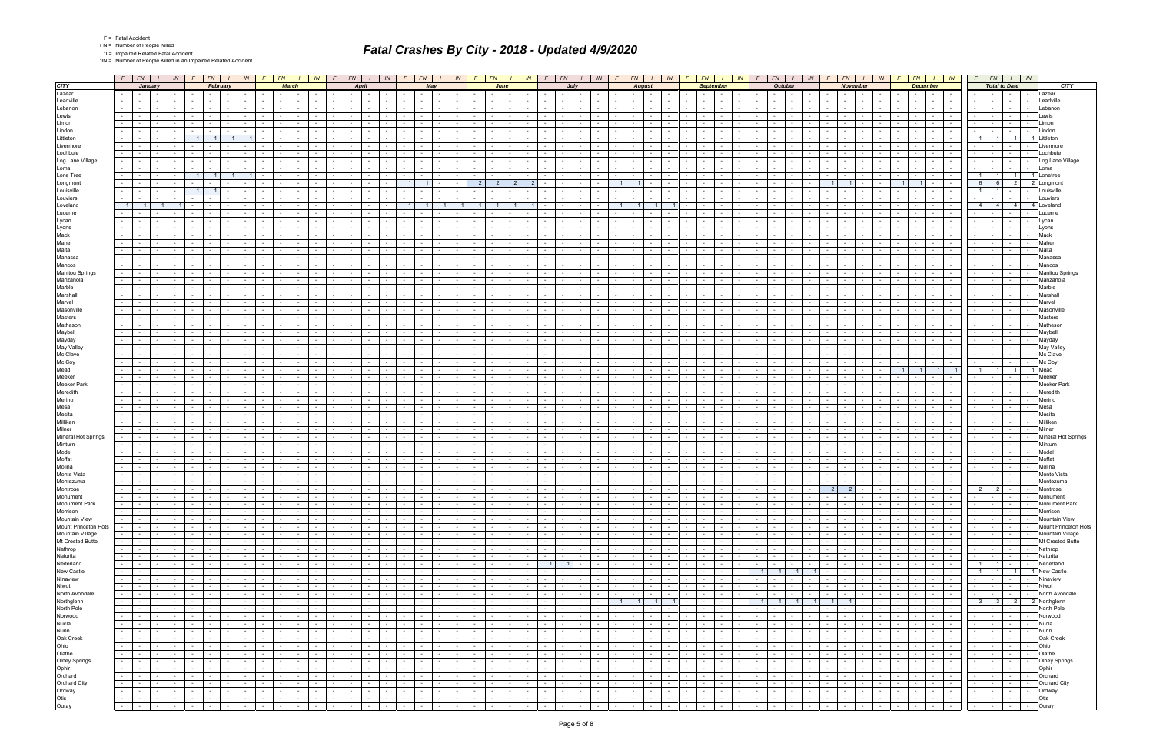|  | Fatal Accide |
|--|--------------|
|  |              |

\*IN = Number of People Killed in an Impaired Related Accident

|                           | $F$   $FN$   $I$                                                          | $IN$ $F$ $FN$<br>IN                                                 | $F$ $FN$<br>IN                                                                                      | $F$ $FN$                                   |                      | IN                             | $F \mid FN \mid$            |                             | IN         | FN  <br>F                          |                      | $\mathbb{N}$    | F               | FN  <br>$\mathbb{N}$                                                               | FN B                                                                              | IN 1                                | FN I                                                                    | IN<br>FN -                             |                          | $\mathbb{N}$                           | FN                       | $\mathbb{N}$                                   |                 | FN                                         | IN                                                 |                 | $FN$   $1$   $IN$                                                                                                                                                                                                              |                                  |
|---------------------------|---------------------------------------------------------------------------|---------------------------------------------------------------------|-----------------------------------------------------------------------------------------------------|--------------------------------------------|----------------------|--------------------------------|-----------------------------|-----------------------------|------------|------------------------------------|----------------------|-----------------|-----------------|------------------------------------------------------------------------------------|-----------------------------------------------------------------------------------|-------------------------------------|-------------------------------------------------------------------------|----------------------------------------|--------------------------|----------------------------------------|--------------------------|------------------------------------------------|-----------------|--------------------------------------------|----------------------------------------------------|-----------------|--------------------------------------------------------------------------------------------------------------------------------------------------------------------------------------------------------------------------------|----------------------------------|
| <b>CITY</b>               | January                                                                   | February                                                            | <b>March</b>                                                                                        |                                            | <b>April</b>         |                                | May                         |                             |            |                                    | June                 |                 |                 | July                                                                               | <b>August</b>                                                                     |                                     | <b>September</b>                                                        |                                        | <b>October</b>           |                                        | <b>November</b>          |                                                |                 | <b>December</b>                            |                                                    |                 | <b>Total to Date</b>                                                                                                                                                                                                           | <b>CITY</b>                      |
| Lazear                    | $\sim$ $-$<br>$\sim$                                                      | $\sim$ 100 $\sim$                                                   | $\sim 10^{-11}$<br>$\sim$ $-$                                                                       | the contract of the con-                   |                      |                                |                             |                             |            |                                    |                      |                 |                 | the contract of the con-                                                           | <b>Contract Contract</b><br>$\sim$                                                |                                     |                                                                         |                                        |                          |                                        | $\sim$ $-$               |                                                |                 | $\sim$ $-$                                 | $\sim 10^{-11}$<br>$\sim$                          |                 | $\sim$                                                                                                                                                                                                                         | Lazear                           |
| Leadville                 | $\sim$ $-$                                                                |                                                                     |                                                                                                     |                                            |                      |                                |                             |                             |            |                                    |                      |                 |                 |                                                                                    |                                                                                   |                                     |                                                                         |                                        |                          |                                        |                          |                                                |                 |                                            |                                                    |                 |                                                                                                                                                                                                                                | Leadville                        |
| Lebanon                   |                                                                           |                                                                     |                                                                                                     |                                            |                      |                                |                             |                             |            |                                    |                      |                 |                 |                                                                                    |                                                                                   |                                     |                                                                         |                                        |                          |                                        |                          |                                                |                 |                                            |                                                    |                 |                                                                                                                                                                                                                                | _ebanon                          |
| Lewis                     |                                                                           |                                                                     |                                                                                                     |                                            |                      |                                |                             |                             |            |                                    |                      |                 |                 |                                                                                    |                                                                                   |                                     |                                                                         |                                        |                          |                                        |                          |                                                |                 |                                            | $\sim$                                             |                 | $\sim$                                                                                                                                                                                                                         |                                  |
| Limon                     |                                                                           |                                                                     |                                                                                                     |                                            |                      |                                |                             |                             |            |                                    |                      |                 |                 |                                                                                    |                                                                                   |                                     |                                                                         |                                        |                          |                                        |                          |                                                |                 |                                            |                                                    |                 |                                                                                                                                                                                                                                | imon                             |
| Lindon                    |                                                                           |                                                                     |                                                                                                     |                                            |                      |                                |                             |                             |            |                                    |                      |                 |                 |                                                                                    |                                                                                   |                                     |                                                                         |                                        |                          |                                        |                          |                                                |                 |                                            |                                                    |                 |                                                                                                                                                                                                                                | _indor                           |
| Littleton                 |                                                                           |                                                                     |                                                                                                     |                                            |                      |                                |                             |                             |            |                                    |                      |                 |                 |                                                                                    |                                                                                   |                                     |                                                                         |                                        |                          |                                        |                          |                                                |                 |                                            |                                                    |                 | 11<br>$\overline{1}$                                                                                                                                                                                                           |                                  |
| Livermore                 |                                                                           |                                                                     |                                                                                                     |                                            |                      |                                |                             |                             |            |                                    |                      |                 |                 |                                                                                    |                                                                                   |                                     |                                                                         |                                        |                          |                                        |                          |                                                |                 |                                            |                                                    |                 |                                                                                                                                                                                                                                |                                  |
| Lochbuie                  |                                                                           |                                                                     |                                                                                                     |                                            |                      |                                |                             |                             |            |                                    |                      |                 |                 |                                                                                    |                                                                                   |                                     |                                                                         |                                        |                          |                                        |                          |                                                |                 |                                            |                                                    |                 |                                                                                                                                                                                                                                | Lochbuie                         |
| Log Lane Village          |                                                                           |                                                                     |                                                                                                     |                                            |                      |                                |                             |                             |            |                                    |                      |                 |                 |                                                                                    |                                                                                   |                                     |                                                                         |                                        |                          |                                        |                          |                                                |                 |                                            | $\sim$                                             |                 | $\sim$<br>$\sim$                                                                                                                                                                                                               | Log Lane Village                 |
| Loma                      |                                                                           |                                                                     |                                                                                                     |                                            |                      |                                |                             |                             |            |                                    |                      |                 |                 |                                                                                    |                                                                                   |                                     |                                                                         |                                        |                          |                                        |                          |                                                |                 |                                            |                                                    |                 |                                                                                                                                                                                                                                | l oma                            |
| Lone Tree                 |                                                                           |                                                                     |                                                                                                     |                                            |                      |                                |                             |                             |            |                                    |                      |                 |                 |                                                                                    |                                                                                   |                                     |                                                                         |                                        |                          |                                        |                          |                                                |                 |                                            |                                                    |                 | $1 \vert$<br>11                                                                                                                                                                                                                | 1 Lonetree                       |
| Longmont                  |                                                                           |                                                                     |                                                                                                     |                                            |                      |                                | 11                          |                             |            | 2 <sup>1</sup><br>$\overline{2}$   | $\overline{2}$       |                 |                 |                                                                                    |                                                                                   |                                     |                                                                         |                                        |                          |                                        |                          |                                                |                 |                                            | $\sim$                                             |                 | 6<br>$\overline{2}$                                                                                                                                                                                                            | 2 Longmont                       |
| Louisville                |                                                                           |                                                                     |                                                                                                     |                                            |                      |                                |                             |                             |            |                                    |                      |                 |                 |                                                                                    |                                                                                   |                                     |                                                                         |                                        |                          |                                        |                          |                                                |                 |                                            |                                                    |                 |                                                                                                                                                                                                                                | ouisville                        |
| Louviers                  |                                                                           |                                                                     |                                                                                                     |                                            |                      |                                |                             |                             |            |                                    |                      |                 |                 |                                                                                    |                                                                                   |                                     |                                                                         |                                        |                          |                                        |                          |                                                |                 |                                            |                                                    |                 |                                                                                                                                                                                                                                | Louviers                         |
| Loveland                  | $\overline{1}$                                                            |                                                                     |                                                                                                     |                                            |                      |                                | 11                          | $\overline{1}$              |            | 11                                 |                      |                 |                 |                                                                                    |                                                                                   |                                     |                                                                         |                                        |                          |                                        |                          |                                                |                 |                                            |                                                    |                 | 4 <sup>1</sup><br>4 <sup>1</sup>                                                                                                                                                                                               | 4 Loveland                       |
| Lucerne                   |                                                                           |                                                                     |                                                                                                     |                                            |                      |                                |                             |                             |            |                                    |                      |                 |                 |                                                                                    |                                                                                   |                                     |                                                                         |                                        |                          |                                        |                          |                                                |                 |                                            |                                                    |                 |                                                                                                                                                                                                                                |                                  |
| Lycan                     |                                                                           |                                                                     |                                                                                                     |                                            |                      |                                |                             |                             |            |                                    |                      |                 |                 |                                                                                    |                                                                                   |                                     |                                                                         |                                        |                          |                                        |                          |                                                |                 |                                            |                                                    |                 |                                                                                                                                                                                                                                | Lycan                            |
| Lyons                     |                                                                           |                                                                     |                                                                                                     |                                            |                      |                                |                             |                             |            |                                    |                      |                 |                 |                                                                                    |                                                                                   |                                     |                                                                         |                                        |                          |                                        |                          |                                                |                 |                                            |                                                    |                 |                                                                                                                                                                                                                                | vons                             |
| Mack                      |                                                                           |                                                                     |                                                                                                     |                                            |                      |                                |                             |                             |            |                                    |                      |                 |                 |                                                                                    |                                                                                   |                                     |                                                                         |                                        |                          |                                        |                          |                                                |                 |                                            |                                                    |                 |                                                                                                                                                                                                                                | Mack                             |
| Maher                     |                                                                           |                                                                     |                                                                                                     |                                            |                      |                                |                             |                             |            |                                    |                      |                 |                 |                                                                                    |                                                                                   |                                     |                                                                         |                                        |                          |                                        |                          |                                                |                 |                                            |                                                    |                 |                                                                                                                                                                                                                                | Mahe                             |
| Malta                     |                                                                           |                                                                     |                                                                                                     |                                            |                      |                                |                             |                             |            |                                    |                      |                 |                 |                                                                                    |                                                                                   |                                     |                                                                         |                                        |                          |                                        |                          |                                                |                 |                                            |                                                    |                 |                                                                                                                                                                                                                                |                                  |
| Manassa                   |                                                                           |                                                                     |                                                                                                     |                                            |                      |                                |                             |                             |            |                                    |                      |                 |                 |                                                                                    |                                                                                   |                                     |                                                                         |                                        |                          |                                        |                          |                                                |                 |                                            |                                                    |                 |                                                                                                                                                                                                                                | <b>/</b> lanassa                 |
| Mancos                    |                                                                           |                                                                     |                                                                                                     |                                            |                      |                                |                             |                             |            |                                    |                      |                 |                 |                                                                                    |                                                                                   |                                     |                                                                         |                                        |                          |                                        |                          |                                                |                 |                                            |                                                    |                 |                                                                                                                                                                                                                                |                                  |
| <b>Manitou Springs</b>    |                                                                           |                                                                     |                                                                                                     |                                            |                      |                                |                             |                             |            |                                    |                      |                 |                 |                                                                                    |                                                                                   |                                     |                                                                         |                                        |                          |                                        |                          |                                                |                 |                                            |                                                    |                 |                                                                                                                                                                                                                                | <b>Manitou Springs</b>           |
| Manzanola                 |                                                                           |                                                                     |                                                                                                     |                                            |                      |                                |                             |                             |            |                                    |                      |                 |                 |                                                                                    |                                                                                   |                                     |                                                                         |                                        |                          |                                        |                          |                                                |                 |                                            |                                                    |                 |                                                                                                                                                                                                                                | Manzanol                         |
| Marble                    |                                                                           |                                                                     |                                                                                                     |                                            |                      |                                |                             |                             |            |                                    |                      |                 |                 |                                                                                    |                                                                                   |                                     |                                                                         |                                        |                          |                                        |                          |                                                |                 |                                            |                                                    |                 |                                                                                                                                                                                                                                |                                  |
| Marshall                  |                                                                           |                                                                     |                                                                                                     |                                            |                      |                                |                             |                             |            |                                    |                      |                 |                 |                                                                                    |                                                                                   |                                     |                                                                         |                                        |                          |                                        |                          |                                                |                 |                                            |                                                    |                 |                                                                                                                                                                                                                                | Marshal                          |
| Marvel                    |                                                                           |                                                                     |                                                                                                     |                                            |                      |                                |                             |                             |            |                                    |                      |                 |                 |                                                                                    |                                                                                   |                                     |                                                                         |                                        |                          |                                        |                          |                                                |                 |                                            |                                                    |                 |                                                                                                                                                                                                                                |                                  |
| Masonville                |                                                                           |                                                                     |                                                                                                     |                                            |                      |                                |                             |                             |            |                                    |                      |                 |                 |                                                                                    |                                                                                   |                                     |                                                                         |                                        |                          |                                        |                          |                                                |                 |                                            |                                                    |                 |                                                                                                                                                                                                                                |                                  |
| Masters                   |                                                                           |                                                                     |                                                                                                     |                                            |                      |                                |                             |                             |            |                                    |                      |                 |                 |                                                                                    |                                                                                   |                                     |                                                                         |                                        |                          |                                        |                          |                                                |                 |                                            |                                                    |                 |                                                                                                                                                                                                                                | Masters                          |
| Matheson                  |                                                                           |                                                                     |                                                                                                     |                                            |                      |                                |                             |                             |            |                                    |                      |                 |                 |                                                                                    |                                                                                   |                                     |                                                                         |                                        |                          |                                        |                          |                                                |                 |                                            |                                                    |                 |                                                                                                                                                                                                                                |                                  |
| Maybell                   |                                                                           |                                                                     |                                                                                                     |                                            |                      |                                |                             |                             |            |                                    |                      |                 |                 |                                                                                    |                                                                                   |                                     |                                                                         |                                        |                          |                                        |                          |                                                |                 |                                            |                                                    |                 |                                                                                                                                                                                                                                |                                  |
| Mayday                    |                                                                           |                                                                     |                                                                                                     |                                            |                      |                                |                             |                             |            |                                    |                      |                 |                 |                                                                                    |                                                                                   |                                     |                                                                         |                                        |                          |                                        |                          |                                                |                 |                                            |                                                    |                 |                                                                                                                                                                                                                                |                                  |
| May Valley                |                                                                           |                                                                     |                                                                                                     |                                            |                      |                                |                             |                             |            |                                    |                      |                 |                 |                                                                                    |                                                                                   |                                     |                                                                         |                                        |                          |                                        |                          |                                                |                 |                                            |                                                    |                 |                                                                                                                                                                                                                                | May Valle                        |
| Mc Clave                  |                                                                           |                                                                     |                                                                                                     |                                            |                      |                                |                             |                             |            |                                    |                      |                 |                 |                                                                                    |                                                                                   |                                     |                                                                         |                                        |                          |                                        |                          |                                                |                 |                                            |                                                    |                 |                                                                                                                                                                                                                                |                                  |
| Mc Coy                    |                                                                           |                                                                     |                                                                                                     |                                            |                      |                                |                             |                             |            |                                    |                      |                 |                 |                                                                                    |                                                                                   |                                     |                                                                         |                                        |                          |                                        |                          |                                                |                 |                                            |                                                    |                 |                                                                                                                                                                                                                                | Mc Coy                           |
| Mead                      |                                                                           |                                                                     |                                                                                                     |                                            |                      |                                |                             |                             |            |                                    |                      |                 |                 |                                                                                    |                                                                                   |                                     |                                                                         |                                        |                          |                                        |                          |                                                |                 |                                            |                                                    |                 | 11<br>11                                                                                                                                                                                                                       | <b>Meac</b>                      |
| Meeker                    |                                                                           |                                                                     |                                                                                                     |                                            |                      |                                |                             |                             |            |                                    |                      |                 |                 |                                                                                    |                                                                                   |                                     |                                                                         |                                        |                          |                                        |                          |                                                |                 |                                            |                                                    |                 |                                                                                                                                                                                                                                |                                  |
| <b>Meeker Park</b>        |                                                                           |                                                                     |                                                                                                     |                                            |                      |                                |                             |                             |            |                                    |                      |                 |                 |                                                                                    |                                                                                   |                                     |                                                                         |                                        |                          |                                        |                          |                                                |                 |                                            |                                                    |                 |                                                                                                                                                                                                                                |                                  |
| Meredith                  |                                                                           |                                                                     |                                                                                                     |                                            |                      |                                |                             |                             |            |                                    |                      |                 |                 |                                                                                    |                                                                                   |                                     |                                                                         |                                        |                          |                                        |                          |                                                |                 |                                            |                                                    |                 |                                                                                                                                                                                                                                |                                  |
| Merino                    |                                                                           |                                                                     |                                                                                                     |                                            |                      |                                |                             |                             |            |                                    |                      |                 |                 |                                                                                    |                                                                                   |                                     |                                                                         |                                        |                          |                                        |                          |                                                |                 |                                            |                                                    |                 |                                                                                                                                                                                                                                |                                  |
| Mesa                      |                                                                           |                                                                     |                                                                                                     |                                            |                      |                                |                             |                             |            |                                    |                      |                 |                 |                                                                                    |                                                                                   |                                     |                                                                         |                                        |                          |                                        |                          |                                                |                 |                                            |                                                    |                 |                                                                                                                                                                                                                                |                                  |
| Mesita                    |                                                                           |                                                                     |                                                                                                     |                                            |                      |                                |                             |                             |            |                                    |                      |                 |                 |                                                                                    |                                                                                   |                                     |                                                                         |                                        |                          |                                        |                          |                                                |                 |                                            |                                                    |                 |                                                                                                                                                                                                                                |                                  |
| Milliken                  |                                                                           |                                                                     |                                                                                                     |                                            |                      |                                |                             |                             |            |                                    |                      |                 |                 |                                                                                    |                                                                                   |                                     |                                                                         |                                        |                          |                                        |                          |                                                |                 |                                            |                                                    |                 |                                                                                                                                                                                                                                | Milliker                         |
| Milner                    |                                                                           |                                                                     |                                                                                                     |                                            |                      |                                |                             |                             |            |                                    |                      |                 |                 |                                                                                    |                                                                                   |                                     |                                                                         |                                        |                          |                                        |                          |                                                |                 |                                            |                                                    |                 |                                                                                                                                                                                                                                |                                  |
| Mineral Hot Springs       |                                                                           |                                                                     |                                                                                                     |                                            |                      |                                |                             |                             |            |                                    |                      |                 |                 |                                                                                    |                                                                                   |                                     |                                                                         |                                        |                          |                                        |                          |                                                |                 |                                            |                                                    |                 |                                                                                                                                                                                                                                | Mineral Hot Springs              |
| Minturn                   |                                                                           |                                                                     |                                                                                                     |                                            |                      |                                |                             |                             |            |                                    |                      |                 |                 |                                                                                    |                                                                                   |                                     |                                                                         |                                        |                          |                                        |                          |                                                |                 |                                            |                                                    |                 |                                                                                                                                                                                                                                | Minturn                          |
| Model                     |                                                                           |                                                                     |                                                                                                     |                                            |                      |                                |                             |                             |            |                                    |                      |                 |                 |                                                                                    |                                                                                   |                                     |                                                                         |                                        |                          |                                        |                          |                                                |                 |                                            |                                                    |                 |                                                                                                                                                                                                                                | Model                            |
| Moffat                    |                                                                           |                                                                     |                                                                                                     |                                            |                      |                                |                             |                             |            |                                    |                      |                 |                 |                                                                                    |                                                                                   |                                     |                                                                         |                                        |                          |                                        |                          |                                                |                 |                                            |                                                    |                 |                                                                                                                                                                                                                                | Moffat                           |
| Molina<br>Monte Vista     |                                                                           |                                                                     |                                                                                                     |                                            |                      |                                |                             |                             |            |                                    |                      |                 |                 |                                                                                    |                                                                                   |                                     |                                                                         |                                        |                          |                                        |                          |                                                |                 |                                            |                                                    |                 |                                                                                                                                                                                                                                | Molina                           |
|                           |                                                                           |                                                                     |                                                                                                     |                                            |                      |                                |                             |                             |            |                                    |                      |                 |                 |                                                                                    |                                                                                   |                                     |                                                                         |                                        |                          |                                        |                          |                                                |                 |                                            |                                                    |                 |                                                                                                                                                                                                                                | Montezuma                        |
| Montezuma<br>Montrose     | $\sim$                                                                    |                                                                     | $\sim$<br>$\sim$                                                                                    | $\sim$                                     |                      |                                |                             |                             |            |                                    |                      |                 |                 | $\sim$<br>$\sim$                                                                   | $\sim$<br>$\sim$<br>$\sim$                                                        |                                     |                                                                         |                                        |                          |                                        | $\overline{2}$<br>$2 -$  |                                                |                 |                                            | $\sim$                                             |                 | $2$ -<br>$\overline{2}$                                                                                                                                                                                                        |                                  |
|                           |                                                                           |                                                                     |                                                                                                     |                                            |                      |                                |                             |                             |            |                                    |                      |                 |                 |                                                                                    |                                                                                   |                                     |                                                                         |                                        |                          |                                        |                          |                                                |                 |                                            |                                                    |                 |                                                                                                                                                                                                                                |                                  |
| Monument<br>Monument Park | .<br>$\sim$<br><b>Contract</b><br>$\sim$<br>$\sim$                        | $\sim$<br>$\sim$ $-$<br>$\sim$<br>$\sim$                            | $\sim$<br>$\sim$ $\sim$<br>$\sim 10^{-11}$<br>$\sim 10^{-11}$<br>$\sim 10^{-10}$<br>$\sim 10^{-11}$ | <b>Service</b><br><b>Contract Contract</b> | $\sim 10^{-11}$      | $\sim$<br>$\sim$ $\sim$ $\sim$ | $\sim$                      | $\sim 100$                  | $\sim$     | $\sim$ $-$<br>$\sim$               | $\sim 10^{-1}$       | $\sim$          | $\sim 10^{-1}$  | <b>Service</b><br>$\mathbf{1}$<br>$\sim 10^{-11}$<br>$\sim$ $-$<br>$\sim 10^{-11}$ | $\sim$<br>$\sim$ $\sim$<br>$\sim$<br>$\sim 10^{-11}$<br>$\sim 10^{-10}$<br>$\sim$ | $\sim$<br>$\sim$<br>$\sim 10^{-11}$ | .<br>$\sim$<br>$\sim$<br>$\sim 10$<br><b>Contract</b>                   | $\sim$<br>$\sim 10^{-11}$              | $\sim$                   | $\sim 10^{-11}$<br>$\sim 10$           | $\sim$<br>$\sim$ $-$     | $\sim$<br>$\sim 10^{-11}$<br>$\sim 10^{-11}$   | $\sim 10^{-11}$ | $-1$ . The set of $\sim$<br>$\sim 10^{-1}$ | the contract of the con-<br><b>Second Contract</b> | $\sim 10^{-11}$ | and the state of the state<br>$\mathbf{r}$ , $\mathbf{r}$ , $\mathbf{r}$ , $\mathbf{r}$ , $\mathbf{r}$ , $\mathbf{r}$<br>$\sim 10^{-11}$<br>$1 - 1 - 1$                                                                        | <b>Monument</b><br>Monument Park |
| Morrison                  | l – I<br>$\sim$<br>$\sim$                                                 | the contract of<br>$\sim$<br>$\sim$                                 | and the state of the state                                                                          | <b>Contract Contract</b>                   | $\sim 100$ m $^{-1}$ | $\sim$                         | and the state of the state  | $\sim 100$                  | $\sim$     | $\sim 10^{-1}$<br>$-1$             | $\sim$ $-$           | $\sim$ $ \sim$  | $\sim 10^{-10}$ | the contract of<br>$\sim 10^{-10}$                                                 | the contract of the con-<br>$\sim 100$                                            | <b>Contract</b><br>$\sim$ $-$       | <b>Contract</b><br>$\sim$<br>$\sim 100$                                 | $\sim$<br>$-1$                         | $\sim$ $ \sim$           | $\sim$ $ \sim$                         | the contract of          | and the state of the state                     |                 | the contract of                            | the contract of                                    |                 | $-1 - 1 - 1 - 1 - 1$                                                                                                                                                                                                           | Morrison                         |
| Mountain View             | $\sim$ $-$<br>$\sim$                                                      | $\sim$<br>$\sim 100$ m $^{-1}$<br>$\sim$ $-$<br>$\sim 100$          | the contract of<br>$\sim$ $\sim$<br>$\sim 10^{-11}$<br>the contract of                              | the contract of                            | <b>Contract</b>      | $\sim$ $-$                     | the contract                | <b>Service</b>              | $\sim$     | $\sim$ $-$<br>$\sim 10^{-1}$       | $\sim$ $\sim$        | $\sim 100$      | $\sim 10^{-11}$ | $\sim$ $\sim$<br><b>Contract</b><br>the contract of                                | <b>Contract</b><br>$\sim 100$                                                     | $\sim 10^{-11}$<br>$\sim$ $-$       | $\sim$<br>$\sim 10^{-1}$<br>$\sim$ 100 $\mu$                            | $\sim$ $-$<br>$\sim$ $\sim$ $\sim$     | $\sim$ $-$               | $\sim$ $-$<br>$\sim 10^{-11}$          | <b>Contract</b>          | the contract of                                |                 | the contract of                            | the contract                                       |                 |                                                                                                                                                                                                                                |                                  |
| Mount Princeton Hots      | <b>Second Contract Contract</b><br>$\sim 10^{-1}$<br>$\sim 10^{-10}$      | <b>Service</b> Service<br>$\sim 10^{-11}$<br>$\sim$                 | <b>Contract Contract</b><br>and the state                                                           | and the control                            | $\sim$ $-$           | $\sim 100$                     | $\sim$ $\sim$ $\sim$ $\sim$ | and the state               |            | and the state                      | <b>Carl Carl</b>     |                 |                 |                                                                                    | .                                                                                 | $\sim 10^{-11}$                     | $-1 - 1$<br>$\sim$<br>$\mathbf{I}$ and $\mathbf{I}$                     | $\sim$ $-$                             | <b>Contract Contract</b> | $\sim 10^{-11}$                        | the contract of          | and the state                                  |                 | <b>Contract Contract</b>                   | and the state                                      |                 | - - - - - Mountain View<br>- - - - - Mount Princeton Hots                                                                                                                                                                      |                                  |
| Mountain Village          | $-1 - 1$<br>$\sim$<br>$\sim 10^{-11}$                                     | $-1 - 1$<br>$\sim$ $-$<br>$\sim 10^{-11}$                           | in a britting and<br><b>Contract Contract</b>                                                       | <b>Contract Contract</b>                   | $\sim 10^{-10}$      | $\sim$ $-$                     | $\sim$ $\sim$ $\sim$ $\sim$ | $\sim$ $\sim$               | $\sim$     | the contract of                    | $\sim$ $\sim$        | (도서             | $\sim$ $-$      | <b>Carolina Co</b>                                                                 | .<br>$\sim 10^{-11}$                                                              | $\sim$<br>$\sim 10^{-11}$           | $\sim$ $ -$<br>$\sim$<br>$\sim$ 100 $\pm$                               | $\sim$ $-$<br>$\sim$                   | . F_ 1                   | $\sim 10^{-11}$                        | 도메리                      | and the state                                  |                 | <b>Contract Contract</b>                   | <b>Committee</b>                                   |                 | - - - - - Mountain Village                                                                                                                                                                                                     |                                  |
| Mt Crested Butte          | $\sim$<br>$\mathbf{I}$ $\mathbf{I}$ $\mathbf{I}$<br>$\sim$<br>$\sim 100$  | the contract of<br>$\sim$                                           | $\sim$ $\sim$<br>$\sim 100$<br><b>Contract Contract</b>                                             | the contract of                            | <b>Contract</b>      | $\sim 10^{-11}$                | the contract                | <b>Service</b>              | $\sim$ $-$ | $\sim$ $\sim$<br>$\sim 10^{-1}$    | $\sim$ $\sim$        | $\sim$ $-$      | $\sim 10^{-11}$ | $\sim$ $\sim$<br>$\sim 10^{-11}$<br>$\sim 10^{-10}$                                | $\sim 10^{-11}$<br>$\sim 100$ km s $^{-1}$<br>$\sim 100$                          | $\sim 10^{-11}$<br>$\sim$           | $\sim$ 100 $\mu$<br>$\sim$<br>$\sim 100$                                | $\sim$<br>$\sim$                       | $\sim 10^{-1}$           | $\sim$ $ \sim$<br>$\sim$ $\sim$ $\sim$ | <b>Contract</b>          | the contract of                                |                 | the contract of                            | the contract                                       |                 | -   -   -   -   Mt Crested Butte                                                                                                                                                                                               |                                  |
| Nathrop                   | $\sim$ 10 $\pm$<br><b>Contract Contract</b><br>$\sim$<br>$\sim$ 100 $\mu$ | $\sim$<br>$\mathbf{1}$ and $\mathbf{1}$<br>$\sim$                   | $\sim$ $\sim$ $\sim$<br>$\sim 10^{-11}$<br>the contract of the con-                                 | the contract of                            | <b>Contract</b>      | $\sim$                         | $\sim$ $\sim$ $\sim$ $\sim$ | <b>Service</b>              | $\sim$ $-$ | $\sim$ $\sim$<br>$\sim$ $-$        | $\sim 10^{-11}$      | $\sim$ $-$      | $\sim 10^{-11}$ | the contract of<br><b>Contract Contract Street</b>                                 | <b>Contract</b><br><b>Contract</b><br>$\sim$                                      | <b>Contract</b><br>$\sim$           | $\sim$ $-$<br><b>Contract</b><br><b>Contract Contract</b>               | $\sim$<br>$\sim$ $-$                   | $\sim$ $-$               | $\sim$ $-$                             | the contract of          | $\sim$ $\sim$ $\sim$ $\sim$<br><b>Contract</b> |                 | the contract of                            | the contract                                       |                 |                                                                                                                                                                                                                                | Nathrop                          |
| Naturita                  | $\sim$<br><b>Contract Contract</b><br>$\sim$<br>$\sim 10^{-11}$           | $-1 - 1$<br><b>Service</b><br>$\sim 10^{-11}$                       | <b>Contract Contract</b><br>and the con-                                                            | the contract of                            | $\sim 10^{-11}$      | $\sim$                         | <b>Contract Contract</b>    | $\sim$ $\sim$               | $\sim$     | the collection                     | $\sim$ $\sim$        | $\sim 10^{-11}$ | $\sim 10^{-10}$ | $-1 - 1$                                                                           | - 1 - 1 - 1<br>$\sim 10^{-1}$                                                     | $\sim$<br><b>Contract</b>           | $\sim$<br>$\sim$ $-$<br><b>Contract</b>                                 | $\sim$ $-$<br>$\sim$ $-$               | $\sim 10^{-11}$          | $\sim 10^{-11}$                        | and the state            | and the control                                |                 | <b>Contract Contract</b>                   | 9 - 1 <del>- 1</del>                               |                 | -   -   -   - Naturita                                                                                                                                                                                                         |                                  |
| Nederland                 | $\sim$<br><b>Contract Contract</b>                                        | the contract of<br>$\sim$                                           | $\sim 100$<br>$-1$<br><b>Contract Contract</b>                                                      | the contract of                            | <b>Contract</b>      | $\sim 10^{-11}$                | the contract                | <b>Service</b>              | $\sim$ $-$ | $\sim$ $\sim$<br>$\sim 10^{-1}$    | $\sim$ $\sim$        | $\sim 10^{-1}$  |                 | $1 \mid 1 \mid$<br><b>Contract Contract</b>                                        | <b>Contract</b><br>$\sim 100$ km s $^{-1}$<br>$\sim 10^{-11}$                     | $\sim 10^{-11}$<br>$\sim$           | $\sim$ 100 $\mu$<br>$\sim$<br>$\sim 100$                                | $\sim$<br>$-1$                         | $\sim 10^{-1}$           | $\sim$ $ \sim$<br>$\sim$ $-$           | <b>Contract</b>          | the contract of                                |                 | the contract of                            | the contract                                       |                 | 1 1 - Nederland                                                                                                                                                                                                                |                                  |
| New Castle                | $\sim$ 10 $\pm$<br><b>Contract Contract</b><br>$\sim$<br>$\sim$ 100 $\mu$ | the contract of<br>$\sim$                                           | the contract of<br>the contract of the con-                                                         | the contract of                            | <b>Contract</b>      | $\sim$ $-$                     | <b>Contract Contract</b>    | $\sim 10^{-11}$             | $\sim$     | <b>Contract</b><br>$\sim$ $-$      | $\sim 10^{-11}$      | $\sim$ $-$      | $\sim 10^{-11}$ | the contract of<br>the contract of                                                 | $\sim 100$ km s $^{-1}$<br>$\sim 100$                                             | <b>Contract</b><br>$\sim$           | <b>Contract</b><br>$\sim$<br>$\sim 100$ km s $^{-1}$                    |                                        |                          | $1$ 1 1 1 $1$ $-$                      |                          | and the state of the state of                  |                 | the contract of                            | the contract                                       |                 | 1 1 1 1 New Castle                                                                                                                                                                                                             |                                  |
| Ninaview                  | $-1 - 1 - 1$<br><b>Contract</b>                                           | <b>Contract</b><br>$\sim 10^{-11}$                                  | <b>Contract Contract</b><br>the collection                                                          |                                            |                      | $\sim$ $-$                     | the contract of             | $\sim$ $\sim$ $\sim$ $\sim$ | $\sim$ $-$ | <b>Service State</b>               | $\sim$ $\sim$        | $\sim 10^{-1}$  | $\sim$ $-$      | <b>Contract Contract</b>                                                           |                                                                                   | <b>Contract</b>                     | <b>Service</b><br>$\mathbf{I}$ $\mathbf{I}$<br>$\sim$ $-$<br>$\sim$ $-$ | $\sim$ $-$                             | the contract of the con- | $\sim$ 100 $\mu$                       | <b>Second Control</b>    | and the control                                |                 | and the state                              | and the state                                      |                 | -   -   -   - Ninaview                                                                                                                                                                                                         |                                  |
| Niwot                     | $\sim$<br>$\sim$ 100 $\sim$<br>$\sim$                                     | $\sim$ $-$<br>$\sim$<br>$\sim$                                      | $\sim 100$<br><b>Contract Contract</b><br><b>Service</b><br>$\sim 100$                              | the contract of                            | $\sim$               | $\sim$<br>$\sim$ $  -$         | $\sim 100$                  | $\sim$ $\sim$               | $\sim$     | $\sim 10^{-11}$<br>$\sim$ $-$      | $\sim 10^{-10}$      | $\sim$ $-$      | $\sim 10^{-11}$ | $\sim 10^{-11}$<br>$\sim$ 100 $\mu$<br><b>Contract Contract</b>                    | $\sim 10^{-11}$<br>$\sim$ $-$<br><b>Contract</b>                                  | <b>Contract</b><br>$\sim$           | $\sim$<br>$\sim$<br>$\sim 10^{-10}$                                     | $\sim$<br><b>Service</b>               | $\sim$ $-$               | $\sim$<br>$\sim$                       | <b>Contract</b>          | <b>Service</b><br>$\sim 10^{-11}$              |                 | the contract of                            | and the state                                      |                 | the contract of the contract of the contract of the contract of the contract of the contract of the contract of the contract of the contract of the contract of the contract of the contract of the contract of the contract o | Niwot                            |
| North Avondale            | $\sim$<br><b>Common</b><br>$\sim$<br>$\sim 100$                           | the contract of<br>$\sim$<br>$\sim 10^{-11}$                        | <b>Contract Contract</b><br>and the state                                                           | and the control                            | <b>Contract</b>      | $\sim 10^{-11}$                | <b>Contract Contract</b>    | $\sim 100$                  | $\sim$     | $-1$<br>$\sim 100$                 | $\sim$ $\sim$        | $\sim 10^{-1}$  | $\sim 10^{-11}$ | the contract of                                                                    | $\sim$ $-$                                                                        | <b>Contract</b>                     | <b>Service</b><br>$\sim$ $\sim$ $\sim$<br>$\sim 100$<br>$\mathbf{I}$    | $\sim$                                 | the contract of          | $\sim 10^{-11}$                        | <b>Contract Contract</b> | and the state of the state                     |                 | <b>Contract Contract</b>                   | the collection                                     |                 | - - - - - North Avondale                                                                                                                                                                                                       |                                  |
| Northglenn                | $\sim$<br>$\sim$ $-$<br>$\sim$<br>$\sim$ 100 $\mu$                        | $\sim$<br><b>Contract</b><br>$\sim$<br>$\sim 10^{-11}$              | $\sim 10^{-10}$<br>$\sim$ $-$<br>the collection                                                     | and the control                            | <b>Contract</b>      | $\sim 10^{-11}$                | <b>Contract Contract</b>    | $\sim$ $\sim$               | $\sim$     | the contract of                    | $\sim$ $\sim$        | $\sim 100$      | <b>Contract</b> | <b>Contract Contract</b><br>$\sim 10^{-10}$                                        | $1 \mid 1 \mid$<br>$\blacksquare$ 1                                               | $1 -$                               | $\sim 10^{-10}$<br>$\sim$<br><b>Contract</b>                            | 1 <sup>1</sup>                         | $1$ 1                    |                                        | $1 \quad 1 \quad 1$      |                                                |                 | and the state                              | and the state                                      |                 | 3 3 2 2 Northglenn                                                                                                                                                                                                             |                                  |
| North Pole                | $\sim$<br>.<br>$\sim$<br>$\sim$ 100 $\mu$                                 | the contract of the con-<br>$\sim$<br>$\sim 10^{-11}$               | and the contract<br>and the state of the state of                                                   | the contract of                            | <b>Contract</b>      | $\sim$                         | and the state of the state  | $\sim$ $\sim$ $\sim$        | $\sim$ $-$ | $\sim$ $-$<br>$\sim 10^{-1}$       | $\sim$ $\sim$        | $\sim$          | <b>Contract</b> | and the con-<br>$\sim 10^{-10}$                                                    | and the contract of the contract of<br>$\sim$ $-$                                 | $\sim$<br><b>Contract</b>           | <b>Contract</b><br>$\sim$ $-$<br><b>Contract</b>                        | $\sim$<br>$\sim$ $\sim$ $\sim$         | $\sim 10^{-10}$          | $\sim 10^{-11}$                        | the contract of the con- | and the state of the state of                  |                 | <b>Contract Contract</b>                   | and the state                                      |                 | -   -   -   - North Pole                                                                                                                                                                                                       |                                  |
| Norwood                   | $\sim$<br>$\sim$ $-$<br>$\sim$<br>$\sim$ $-$                              | the contract of<br>$\sim$ $-$<br>$\sim 10^{-11}$                    | 도메니<br><b>Contract Contract</b>                                                                     | <b>Contract Contract</b>                   | $\sim 10^{-10}$      | $\sim 10^{-1}$                 | <b>Contract Contract</b>    | $\sim$ $\sim$ $\sim$        | $\sim$     | $\sim 10$<br>$\sim$ $-$            | $\sim 100$           | J,              | $\sim$ $-$      | the contract of                                                                    | .<br>$\sim$ $-$                                                                   | $\sim 10^{-11}$<br>$\sim$           | $\sim$<br>$\sim 10^{-10}$<br>$\sim$ 100 $\pm$                           | $\sim$ $-$<br>$\sim$ $-$               | $\sim 10^{-11}$          | $\sim 10^{-11}$                        | the contract of          | the contract of                                |                 | <b>Second Second</b>                       | and the state                                      |                 | -   -   -   - Norwood                                                                                                                                                                                                          |                                  |
| Nucla                     | $\sim$<br><b>Contract</b><br>$\sim$<br>$\sim$                             | $\sim$ $-$<br>$\sim$ $-$<br>$\sim$<br>$\sim$ $-$                    | $\sim 100$<br>$\sim 10^{-10}$<br>the contract of                                                    | <b>Contract Contract</b>                   | <b>Contract</b>      | $\sim$ $-$                     | and the state               | $\sim 100$                  | $\sim$     | $\sim 10^{-1}$<br>$\sim$ $\sim$    | $\sim 10^{-11}$      | $\sim$          | $\sim 10^{-11}$ | $\sim$ $\sim$ $\sim$<br>$\sim 10^{-11}$<br>$\sim 10^{-10}$                         | $\sim 10^{-11}$<br>$\sim 100$ km s $^{-1}$<br>$\sim 100$                          | $\sim 10^{-11}$<br>$\sim$           | <b>Contract</b><br>$\sim$ $-$<br>$\sim 10^{-1}$                         | $\sim$ $-$<br>$\sim$ $\sim$ $\sim$     | $\sim$                   | $\sim 10^{-11}$                        | <b>Contract Contract</b> | the contract of                                |                 | and the control                            | and the state                                      |                 |                                                                                                                                                                                                                                | Nucla                            |
| Nunn                      | $\sim 10$<br>$\sim$ $\sim$ $\sim$ $\sim$<br>$\sim$<br>$\sim$ 100 $\mu$    | the contract of<br>$\sim$ $-$<br>$\sim 10^{-11}$                    | the contract of<br>and the state of the state of                                                    | the contract of                            | <b>Contract</b>      | $\sim$ $-$                     | <b>Contract Contract</b>    | $\sim$ $-$                  | $\sim$ $-$ | the contract of                    | $\sim$ $\sim$        | $\sim$          | $\sim 10^{-11}$ | and the con-<br><b>Contract Contract Street</b>                                    | <b>Contract Contract</b><br>$\sim 10^{-10}$                                       | <b>Contract</b><br>$\sim$           | <b>Contract Contract</b><br>$\sim$ $-$<br>$\sim 100$ km s $^{-1}$       | $\sim 10^{-1}$<br>$-1$                 | $\sim 10^{-10}$          | $\sim 10^{-11}$                        | the collection           | and the control                                |                 | <b>Contract Contract</b>                   | and the state                                      |                 |                                                                                                                                                                                                                                | Nunn                             |
| Oak Creek                 | $\sim$<br>$\sim$ $ -$<br>$\sim$<br>$\sim$ $-$                             | the contract of<br>$\sim$ $-$<br>$\sim 10^{-11}$                    | 도메니<br><b>Contract Contract</b>                                                                     | the contract of                            | $\sim 10^{-10}$      | $\sim$ $-$                     | <b>Contract Contract</b>    | $\sim$ $\sim$ $\sim$        | $\sim$     | $\sim 10$<br>$\sim$ $-$            | $\sim$ $\sim$        | k,              | $\sim 10^{-1}$  | the contract of                                                                    | $-1 - 1 - 1$<br>$\sim$ $-$                                                        | $\sim 10^{-11}$<br>$\sim$           | $\sim$<br>$\sim 10^{-11}$<br><b>Contract</b>                            | $\sim$ $-$                             | (三)                      | $\sim 10^{-11}$                        | the company              | and the control                                |                 | <b>Contract Contract</b>                   | <b>Contract Contract</b>                           |                 | - - - - Dak Creek                                                                                                                                                                                                              |                                  |
| Ohio                      | المستوري<br>$\sim$<br>$\sim$                                              | $\sim$<br>$\mathbf{r}$<br>$\sim$ $-$<br>$\sim$ $-$                  | <b>Service</b> Service<br>and the state                                                             | the contract of                            | <b>Contract</b>      | $\sim 10^{-11}$                | and the state               | $-1$                        | $\sim$     | the company                        | $\sim 100$           | $\sim$          | $\sim$ $-$      | <b>Carl Carl Carl</b><br>$\sim 10^{-10}$                                           | <b>Contract Contract Contract</b><br>$\sim 10^{-11}$                              | $\sim$<br>$\sim$ 100 $\mu$          | $\sim$<br><b>Contract</b><br>$\sim 100$                                 | $\sim$ $-$<br>$\sim$                   | $\sim 10^{-1}$           | $\sim 10^{-11}$                        | and the state            | the contract of                                |                 | <b>Contract Contract</b>                   | <b>Carl Land</b>                                   |                 | .                                                                                                                                                                                                                              | Ohio                             |
| Olathe                    | $\sim$ $-$<br>$\sim$<br>$\sim$<br>$\sim$ 100 $\mu$                        | the contract of the con-<br>$\sim$ $-$<br>$\sim 10^{-11}$           | the contract of<br>and the state of the state of                                                    | the contract of                            | <b>Contract</b>      | $\sim$                         | <b>Contract Contract</b>    | $\sim$ 100 $\mu$            | $\sim$     | $\sim$ $\sim$<br>$\sim 10^{-1}$    |                      | $\sim$ $-$      | <b>Contract</b> | the contract of<br>the contract of                                                 | $\sim 100$ km s $^{-1}$<br>$\sim 100$                                             | <b>Contract</b><br>$\sim$           | <b>Contract Contract</b><br>$\sim$<br><b>Contract</b>                   | $\sim 10^{-1}$<br>$\sim$ $\sim$ $\sim$ | $\sim$ $-$               | $\sim 10^{-11}$                        | the collection           | the contract of                                |                 | the contract of                            | the collection                                     |                 | $\overline{\cdot}$ $\overline{\cdot}$ $\cdot$ $\cdot$ $\cdot$ $\cdot$ Olathe                                                                                                                                                   |                                  |
| Olney Springs             | $\sim$ $\sim$ $\sim$ $\sim$<br>$\sim$ $-$<br>$\sim 100$<br>$\sim$         | the contract of<br>$\sim$ $-$<br>$\sim$ $-$                         | the contract of<br>the collection                                                                   | <b>Carl Carl Carl</b>                      | $\sim 10^{-10}$      | $\sim 10^{-11}$                | <b>Contract Contract</b>    | $\sim$ $-$                  | $\sim$     | <b>Security</b>                    | $\sim$ $\sim$        | $\sim 10^{-1}$  | $\sim 10^{-11}$ | the contract of                                                                    | .<br>$\sim 100$                                                                   | <b>Contract</b><br>$\sim$           | $\sim 10^{-10}$<br>$\sim$<br><b>Contract</b>                            | $\sim 10^{-1}$                         | <b>Second Control</b>    | $\sim 10^{-11}$                        | <b>Contract Contract</b> | the contract of                                |                 | <b>Second Control</b>                      | and the state                                      |                 | $     -$ Olney Springs                                                                                                                                                                                                         |                                  |
| Ophir                     | <b>Contract Contract</b><br>$\sim$<br>$\sim$ $-$                          | $\sim$ $-$<br>$\mathbf{I}$ and $\mathbf{I}$<br>$\sim$<br>$\sim$ $-$ | $\sim$ $\sim$<br>$\sim 10^{-10}$<br>the contract of                                                 | <b>Contract Contract</b>                   | <b>Contract</b>      | $\sim$                         | the contract                | $\sim 100$                  | $\sim$ $-$ | $\sim$ $\sim$<br>$\sim$            | $\sim 10^{-11}$      | $\sim$          | $\sim 10^{-11}$ | $\sim$ $\sim$ $\sim$<br>$\sim 10^{-11}$<br><b>Contract Contract</b>                | $\sim 10^{-11}$<br><b>Contract</b><br>$\sim$ $-$                                  | $\sim$<br><b>Contract</b>           | <b>Contract</b><br>$\sim$ $-$<br>$\sim 100$                             | $\sim 10^{-1}$<br>$\sim$ $\sim$ $\sim$ | $\sim 10^{-1}$           | $\sim$ $-$<br>$\sim 10^{-11}$          | $\sim 10^{-11}$          | $\sim 100$<br><b>Contract Contract Street</b>  |                 | and the state                              | <b>Carl Park</b>                                   |                 | $-1 - 1 - 1 - 1 - 1$                                                                                                                                                                                                           | Ophir                            |
| Orchard                   | $\sim$<br><b>Contract</b><br>$\sim$<br>$\sim$                             | the contract of<br>$\sim$ $-$<br>$\sim 10^{-11}$                    | <b>Contract Contract</b><br>the contract of the con-                                                | the contract of                            | $\sim 100$ m $^{-1}$ | $\sim$                         | the collection              | <b>Service</b>              | $\sim$     | $\sim$ $-$<br>$\sim$ $\sim$ $\sim$ | $\sim 10^{-11}$      | $\sim$ $-$      | $\sim 10^{-11}$ | the contract of<br>$\sim 10^{-10}$                                                 | $\sim 10^{-11}$<br>$\sim 100$ km s $^{-1}$<br>$\sim$                              | $\sim 10^{-11}$<br>$\sim$ $-$       | <b>Contract</b><br>$\sim$<br>$\sim 100$                                 | $\sim$<br>$\sim$ $\sim$ $\sim$         | $\sim$ $ \sim$           | $\sim 10^{-11}$                        | the contract of          | the contract of the con-                       |                 | the contract of                            | the contract of                                    |                 | $     -$ Orchard                                                                                                                                                                                                               |                                  |
| Orchard City              | $\sim$<br>$\sim$<br>$\sim$ 100 $\mu$                                      | the contract of<br>$\sim$ $-$<br>$\sim$                             | the contract of<br>the contract of                                                                  | <b>Carl Carl Carl</b>                      | <b>Contract</b>      | $\sim$                         | and the state               | $\sim 100$                  | $\sim$     | <b>Security</b>                    | $\sim$ $\sim$        | $\sim 10^{-1}$  | $\sim$ $-$      | $\sim 10^{-11}$<br>$\sim$ $\sim$<br>$\sim 10^{-10}$                                | $\sim 10^{-11}$<br>$\sim$ $\sim$ $\sim$ $\sim$<br>$\sim 10^{-11}$                 | <b>Contract</b><br>$\sim$           | $\sim 100$<br>$\sim$<br><b>Contract</b>                                 | $\sim$                                 | <b>Second Control</b>    | $\sim 10^{-11}$                        | <b>Contract Contract</b> | the contract of                                |                 | <b>Committee</b>                           | and the state                                      |                 | - - - - - - Orchard City                                                                                                                                                                                                       |                                  |
| Ordway                    | $\sim$<br>$\sim$<br><b>Contract Contract</b><br>$\sim$ $-$                | $\sim$ $-$<br><b>Contract</b><br>$\sim$<br>$\sim$ $-$               | $\sim 10^{-10}$<br>$\sim$ $-$<br><b>Service</b><br>$\sim 10^{-11}$                                  | <b>Contract Contract</b>                   | <b>Contract</b>      | $\sim$                         | and the state               | <b>Service</b>              | $\sim$ $-$ | $\sim$<br>$\sim$                   | $\sim 100$           | $\sim$          | $\sim 10^{-1}$  | $\sim$ $-$<br>$\sim 10^{-11}$<br>$\sim$                                            | $\sim 10$<br><b>Contract</b><br>$\sim$ $-$                                        | $\sim$ $-$<br>$\sim$ $-$            | $\sim$<br>$\sim 10^{-11}$<br>$\sim$ $-$                                 | $\sim$<br>$\sim$ $-$                   | $\sim$                   | $\sim$ $\sim$<br>$\sim$ 100 $\mu$      | $\sim 10^{-11}$          | $\sim$ $-$<br>$\sim 10^{-11}$                  |                 | and the state                              | <b>Second Contract</b>                             |                 | - - - - - Ordway                                                                                                                                                                                                               |                                  |
| Otis                      | $\sim$<br>$\sim$ $-$<br>$\sim$<br>$\sim 100$                              | <b>Second Service</b><br>$\sim$ $-$<br>$\sim 10^{-11}$              | the contract of<br><b>Contract Contract</b>                                                         | and the control                            | <b>Contract</b>      | $\sim$ $-$                     | the contract of             | $\sim 100$                  | $\sim$     | $\sim 10^{-1}$<br>$\sim$ 100 $\pm$ | $\sim 100$           | $\sim$ $ \sim$  | $\sim 10^{-11}$ | the contract of<br><b>Contract Contract</b>                                        | <b>The Committee of the Committee</b><br>$\sim 10^{-11}$                          | $\sim$<br><b>Contract</b>           | <b>Contract</b><br>$\sim$ $-$<br>$\sim 100$                             | $\sim$<br>$-1$                         | $\sim$ $-$               | $\sim 10^{-11}$                        | <b>Contract Contract</b> | the contract of                                |                 | <b>Contract Contract</b>                   | the collection                                     |                 | - - - - - Otis                                                                                                                                                                                                                 |                                  |
| Ouray                     | $\sim$<br>$\sim$ $\sim$ $\sim$ $\sim$<br>$\sim$<br>$\sim$ 10 $\pm$        | $\sim$<br>$\mathbf{1}$<br>$\sim$<br>$\sim 10^{-1}$                  | <b>Service</b> Service<br><b>Contract Contract</b>                                                  | <b>Carl Carl</b>                           | $\sim 10^{-10}$      | $\sim 10^{-11}$                | and the state               | $\sim 100$                  | $\sim$     | $\sim$ $\sim$<br>$\sim$            | $\sim$ $\sim$ $\sim$ | $\sim$          | $\sim$          | <b>Contract Contract</b><br>$\sim$ $-$                                             | $\sim 10^{-11}$<br><b>Contract Contract</b>                                       | $\sim 10^{-10}$<br>$\sim$           | $\sim 100$<br>$\sim$<br>$\sim$ $-$                                      | $\sim$ $-$                             | <b>Carl Carl</b>         | $\sim$ $-$                             | <b>Second Second</b>     | and the state                                  |                 | <b>Contract Contract</b>                   | and the state                                      |                 | $-1 - 1 - 1 - 1 - 1$                                                                                                                                                                                                           | Ouray                            |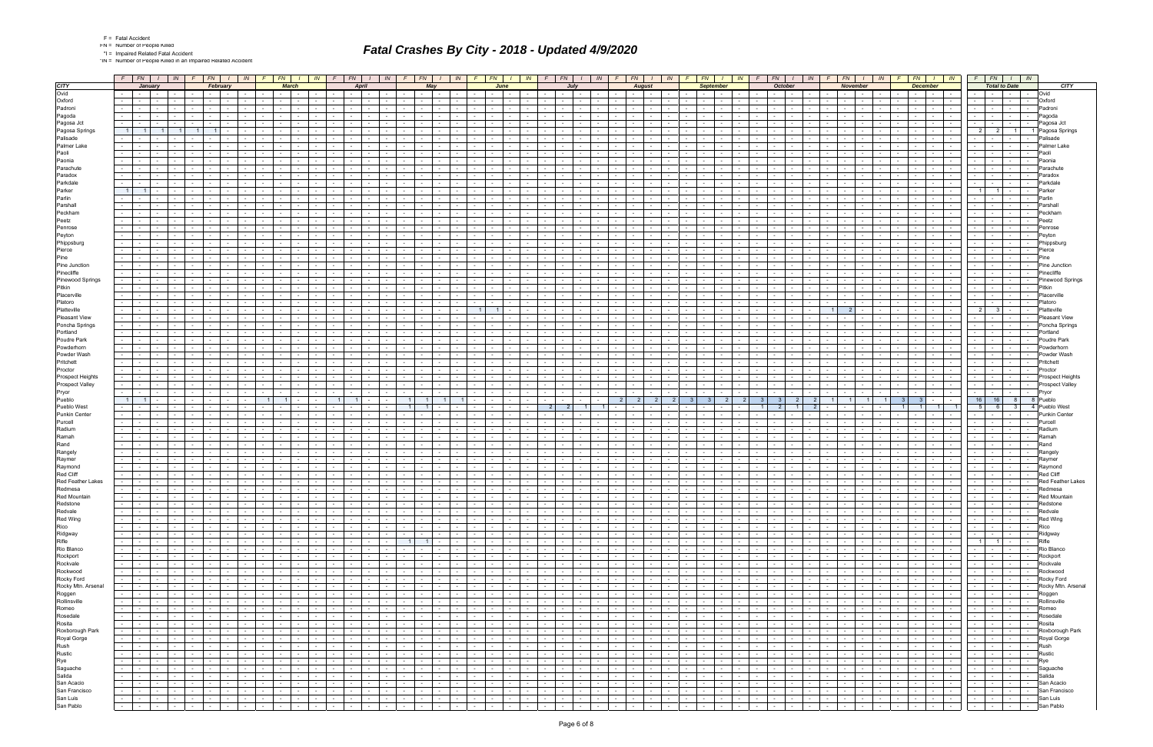|  | Fatal Accide |
|--|--------------|
|  |              |

\*IN = Number of People Killed in an Impaired Related Accident

|                                                                               |                  | $F \mid FN$   |                                    | $\mathbb{N}$                                |                 | <b>FN</b>                                            | IN -                                                                     |                      | FN -                              |                                            | IN.                      |                                | FN -                     | IN                                                                    | <b>FN</b>                          |                                    | IN                            |                                                    | FN -                 | IN -                                     |                                        | FN -                         |                                    | IN                                 | <b>FN</b>                           |                          | IN              | FN 1                                                         |                  | IN.                                    | FN .                                                            |                               | IN.                                                                    | FN.                                         | IN                                                                                                              |                 | FN                                       | IN                                |                                    | $F_N$                                                                                                                                 | $\frac{1}{1}$ IN            |            |                                      |
|-------------------------------------------------------------------------------|------------------|---------------|------------------------------------|---------------------------------------------|-----------------|------------------------------------------------------|--------------------------------------------------------------------------|----------------------|-----------------------------------|--------------------------------------------|--------------------------|--------------------------------|--------------------------|-----------------------------------------------------------------------|------------------------------------|------------------------------------|-------------------------------|----------------------------------------------------|----------------------|------------------------------------------|----------------------------------------|------------------------------|------------------------------------|------------------------------------|-------------------------------------|--------------------------|-----------------|--------------------------------------------------------------|------------------|----------------------------------------|-----------------------------------------------------------------|-------------------------------|------------------------------------------------------------------------|---------------------------------------------|-----------------------------------------------------------------------------------------------------------------|-----------------|------------------------------------------|-----------------------------------|------------------------------------|---------------------------------------------------------------------------------------------------------------------------------------|-----------------------------|------------|--------------------------------------|
| <b>CITY</b>                                                                   |                  |               | January                            |                                             |                 | February                                             |                                                                          |                      | <b>March</b>                      |                                            |                          |                                | <b>April</b>             |                                                                       |                                    | May                                |                               |                                                    | June                 |                                          |                                        |                              |                                    |                                    |                                     | <b>August</b>            |                 |                                                              | <b>September</b> |                                        |                                                                 | <b>October</b>                |                                                                        | November                                    |                                                                                                                 |                 | <b>December</b>                          |                                   |                                    | <b>Total to Date</b>                                                                                                                  |                             |            | <b>CITY</b>                          |
| Ovid                                                                          |                  |               | the contract of                    |                                             |                 | $\sim 10^{-1}$                                       | $\sim$                                                                   |                      |                                   |                                            |                          |                                |                          |                                                                       | $\sim$ $-$                         |                                    |                               |                                                    |                      |                                          |                                        |                              |                                    |                                    | <b>Service</b> Service              |                          |                 |                                                              |                  |                                        |                                                                 |                               |                                                                        | $\sim$                                      |                                                                                                                 |                 | $\sim$                                   |                                   |                                    |                                                                                                                                       |                             | $\sim$ $-$ | Ovid                                 |
| Oxford                                                                        |                  |               |                                    |                                             |                 |                                                      |                                                                          |                      |                                   |                                            |                          |                                |                          |                                                                       |                                    |                                    |                               |                                                    |                      |                                          |                                        |                              |                                    |                                    |                                     |                          |                 |                                                              |                  |                                        |                                                                 |                               |                                                                        |                                             |                                                                                                                 |                 |                                          |                                   |                                    |                                                                                                                                       |                             |            | Oxford                               |
| Padroni                                                                       |                  |               |                                    |                                             |                 |                                                      |                                                                          |                      |                                   |                                            |                          |                                |                          |                                                                       |                                    |                                    |                               |                                                    |                      |                                          |                                        |                              |                                    |                                    |                                     |                          |                 |                                                              |                  |                                        |                                                                 |                               |                                                                        |                                             |                                                                                                                 |                 |                                          |                                   |                                    |                                                                                                                                       |                             |            | Padroni                              |
| Pagoda                                                                        |                  |               | $\sim$                             |                                             |                 |                                                      |                                                                          |                      |                                   |                                            |                          |                                |                          |                                                                       |                                    |                                    |                               |                                                    |                      |                                          |                                        |                              |                                    |                                    |                                     |                          |                 |                                                              |                  |                                        |                                                                 |                               |                                                                        |                                             |                                                                                                                 |                 |                                          |                                   |                                    |                                                                                                                                       |                             |            | Pagoda                               |
| Pagosa Jct                                                                    |                  |               |                                    |                                             |                 |                                                      |                                                                          |                      |                                   |                                            |                          |                                |                          |                                                                       |                                    |                                    |                               |                                                    |                      |                                          |                                        |                              |                                    |                                    |                                     |                          |                 |                                                              |                  |                                        |                                                                 |                               |                                                                        |                                             |                                                                                                                 |                 |                                          |                                   |                                    |                                                                                                                                       |                             |            | Pagosa Jct                           |
| Pagosa Springs                                                                |                  |               |                                    |                                             |                 |                                                      |                                                                          |                      |                                   |                                            |                          |                                |                          |                                                                       |                                    |                                    |                               |                                                    |                      |                                          |                                        |                              |                                    |                                    |                                     |                          |                 |                                                              |                  |                                        |                                                                 |                               |                                                                        |                                             |                                                                                                                 |                 |                                          |                                   | $\overline{2}$                     | 2                                                                                                                                     | $\vert$ 1 $\vert$           |            | Pagosa Springs                       |
| Palisade                                                                      |                  |               |                                    |                                             |                 |                                                      |                                                                          |                      |                                   |                                            |                          |                                |                          |                                                                       |                                    |                                    |                               |                                                    |                      |                                          |                                        |                              |                                    |                                    |                                     |                          |                 |                                                              |                  |                                        |                                                                 |                               |                                                                        |                                             |                                                                                                                 |                 |                                          |                                   |                                    |                                                                                                                                       |                             |            | Palisade                             |
| Palmer Lake<br>Paoli                                                          |                  |               |                                    |                                             |                 |                                                      |                                                                          |                      |                                   |                                            |                          |                                |                          |                                                                       |                                    |                                    |                               |                                                    |                      |                                          |                                        |                              |                                    |                                    |                                     |                          |                 |                                                              |                  |                                        |                                                                 |                               |                                                                        |                                             |                                                                                                                 |                 |                                          |                                   |                                    |                                                                                                                                       |                             |            | Palmer Lake                          |
| Paonia                                                                        |                  |               | $\sim$                             |                                             |                 |                                                      |                                                                          |                      |                                   |                                            |                          |                                |                          |                                                                       |                                    |                                    |                               |                                                    |                      |                                          |                                        |                              |                                    |                                    |                                     | $\sim$                   |                 |                                                              |                  |                                        |                                                                 |                               |                                                                        |                                             |                                                                                                                 |                 |                                          |                                   |                                    |                                                                                                                                       |                             | $\sim$     | Paoli<br>Paonia                      |
| Parachute                                                                     |                  |               |                                    |                                             |                 |                                                      |                                                                          |                      |                                   |                                            |                          |                                |                          |                                                                       |                                    |                                    |                               |                                                    |                      |                                          |                                        |                              |                                    |                                    |                                     |                          |                 |                                                              |                  |                                        |                                                                 |                               |                                                                        |                                             |                                                                                                                 |                 |                                          |                                   |                                    |                                                                                                                                       |                             |            | Parachute                            |
| Paradox                                                                       |                  |               |                                    |                                             |                 |                                                      |                                                                          |                      |                                   |                                            |                          |                                |                          |                                                                       |                                    |                                    |                               |                                                    |                      |                                          |                                        |                              |                                    |                                    |                                     |                          |                 |                                                              |                  |                                        |                                                                 |                               |                                                                        |                                             |                                                                                                                 |                 |                                          |                                   |                                    |                                                                                                                                       |                             |            | Paradox                              |
| Parkdale                                                                      |                  |               | $\sim$                             |                                             |                 |                                                      | $\sim$                                                                   |                      |                                   |                                            |                          |                                |                          |                                                                       |                                    |                                    |                               |                                                    |                      |                                          |                                        |                              |                                    |                                    |                                     | $\sim$                   |                 |                                                              |                  |                                        |                                                                 |                               |                                                                        |                                             |                                                                                                                 |                 |                                          |                                   |                                    |                                                                                                                                       |                             |            | Parkdale                             |
| Parker                                                                        |                  |               |                                    |                                             |                 |                                                      |                                                                          |                      |                                   |                                            |                          |                                |                          |                                                                       |                                    |                                    |                               |                                                    |                      |                                          |                                        |                              |                                    |                                    |                                     |                          |                 |                                                              |                  |                                        |                                                                 |                               |                                                                        |                                             |                                                                                                                 |                 |                                          |                                   |                                    |                                                                                                                                       |                             |            | Parkeı                               |
| Parlin                                                                        |                  |               |                                    |                                             |                 |                                                      |                                                                          |                      |                                   |                                            |                          |                                |                          |                                                                       |                                    |                                    |                               |                                                    |                      |                                          |                                        |                              |                                    |                                    |                                     |                          |                 |                                                              |                  |                                        |                                                                 |                               |                                                                        |                                             |                                                                                                                 |                 |                                          |                                   |                                    |                                                                                                                                       |                             |            | Parlin                               |
| Parshall                                                                      |                  |               |                                    |                                             |                 |                                                      |                                                                          |                      |                                   |                                            |                          |                                |                          |                                                                       |                                    |                                    |                               |                                                    |                      |                                          |                                        |                              |                                    |                                    |                                     |                          |                 |                                                              |                  |                                        |                                                                 |                               |                                                                        |                                             |                                                                                                                 |                 |                                          |                                   |                                    |                                                                                                                                       |                             |            | Parshal                              |
| Peckham                                                                       |                  |               |                                    |                                             |                 |                                                      |                                                                          |                      |                                   |                                            |                          |                                |                          |                                                                       |                                    |                                    |                               |                                                    |                      |                                          |                                        |                              |                                    |                                    |                                     |                          |                 |                                                              |                  |                                        |                                                                 |                               |                                                                        |                                             |                                                                                                                 |                 |                                          |                                   |                                    |                                                                                                                                       |                             |            | Peckham                              |
| Peetz                                                                         |                  |               |                                    |                                             |                 |                                                      |                                                                          |                      |                                   |                                            |                          |                                |                          |                                                                       |                                    |                                    |                               |                                                    |                      |                                          |                                        |                              |                                    |                                    |                                     |                          |                 |                                                              |                  |                                        |                                                                 |                               |                                                                        |                                             |                                                                                                                 |                 |                                          |                                   |                                    |                                                                                                                                       |                             |            | Peetz                                |
| Penrose                                                                       |                  |               |                                    |                                             |                 |                                                      |                                                                          |                      |                                   |                                            |                          |                                |                          |                                                                       |                                    |                                    |                               |                                                    |                      |                                          |                                        |                              |                                    |                                    |                                     |                          |                 |                                                              |                  |                                        |                                                                 |                               |                                                                        |                                             |                                                                                                                 |                 |                                          |                                   |                                    |                                                                                                                                       |                             |            | Penros                               |
| Peyton                                                                        |                  |               |                                    |                                             |                 |                                                      |                                                                          |                      |                                   |                                            |                          |                                |                          |                                                                       |                                    |                                    |                               |                                                    |                      |                                          |                                        |                              |                                    |                                    |                                     |                          |                 |                                                              |                  |                                        |                                                                 |                               |                                                                        |                                             |                                                                                                                 |                 |                                          |                                   |                                    |                                                                                                                                       |                             |            | Pevtor                               |
| Phippsburg                                                                    |                  |               |                                    |                                             |                 |                                                      |                                                                          |                      |                                   |                                            |                          |                                |                          |                                                                       |                                    |                                    |                               |                                                    |                      |                                          |                                        |                              |                                    |                                    |                                     |                          |                 |                                                              |                  |                                        |                                                                 |                               |                                                                        |                                             |                                                                                                                 |                 |                                          |                                   |                                    |                                                                                                                                       |                             |            | Phippsburg                           |
| Pierce                                                                        |                  |               |                                    |                                             |                 |                                                      |                                                                          |                      |                                   |                                            |                          |                                |                          |                                                                       |                                    |                                    |                               |                                                    |                      |                                          |                                        |                              |                                    |                                    |                                     |                          |                 |                                                              |                  |                                        |                                                                 |                               |                                                                        |                                             |                                                                                                                 |                 |                                          |                                   |                                    |                                                                                                                                       |                             |            |                                      |
| Pine                                                                          |                  |               |                                    |                                             |                 |                                                      |                                                                          |                      |                                   |                                            |                          |                                |                          |                                                                       |                                    |                                    |                               |                                                    |                      |                                          |                                        |                              |                                    |                                    |                                     |                          |                 |                                                              |                  |                                        |                                                                 |                               |                                                                        |                                             |                                                                                                                 |                 |                                          |                                   |                                    |                                                                                                                                       |                             |            |                                      |
| Pine Junction<br>Pinecliffe                                                   |                  |               |                                    |                                             |                 |                                                      |                                                                          |                      |                                   |                                            |                          |                                |                          |                                                                       |                                    |                                    |                               |                                                    |                      |                                          |                                        |                              |                                    |                                    |                                     |                          |                 |                                                              |                  |                                        |                                                                 |                               |                                                                        |                                             |                                                                                                                 |                 |                                          |                                   |                                    |                                                                                                                                       |                             |            | Pine Junction                        |
| Pinewood Springs                                                              |                  |               |                                    |                                             |                 |                                                      |                                                                          |                      |                                   |                                            |                          |                                |                          |                                                                       |                                    |                                    |                               |                                                    |                      |                                          |                                        |                              |                                    |                                    |                                     |                          |                 |                                                              |                  |                                        |                                                                 |                               |                                                                        |                                             |                                                                                                                 |                 |                                          |                                   |                                    |                                                                                                                                       |                             |            | Pinecliff<br><b>Pinewood Springs</b> |
| Pitkin                                                                        |                  |               |                                    |                                             |                 |                                                      |                                                                          |                      |                                   |                                            |                          |                                |                          |                                                                       |                                    |                                    |                               |                                                    |                      |                                          |                                        |                              |                                    |                                    |                                     |                          |                 |                                                              |                  |                                        |                                                                 |                               |                                                                        |                                             |                                                                                                                 |                 |                                          |                                   |                                    |                                                                                                                                       |                             |            | Pitkin                               |
| Placerville                                                                   |                  |               |                                    |                                             |                 |                                                      |                                                                          |                      |                                   |                                            |                          |                                |                          |                                                                       |                                    |                                    |                               |                                                    |                      |                                          |                                        |                              |                                    |                                    |                                     |                          |                 |                                                              |                  |                                        |                                                                 |                               |                                                                        |                                             |                                                                                                                 |                 |                                          |                                   |                                    |                                                                                                                                       |                             |            | Placerville                          |
| Platoro                                                                       |                  |               |                                    |                                             |                 |                                                      |                                                                          |                      |                                   |                                            |                          |                                |                          |                                                                       |                                    |                                    |                               |                                                    |                      |                                          |                                        |                              |                                    |                                    |                                     |                          |                 |                                                              |                  |                                        |                                                                 |                               |                                                                        |                                             |                                                                                                                 |                 |                                          |                                   |                                    |                                                                                                                                       |                             |            | Platoro                              |
| Platteville                                                                   |                  |               |                                    |                                             |                 |                                                      |                                                                          |                      |                                   |                                            |                          |                                |                          |                                                                       |                                    |                                    |                               |                                                    |                      |                                          |                                        |                              |                                    |                                    |                                     |                          |                 |                                                              |                  |                                        |                                                                 |                               |                                                                        |                                             |                                                                                                                 |                 |                                          |                                   | $\overline{2}$                     | - 3                                                                                                                                   |                             |            | 'latteville                          |
| <b>Pleasant View</b>                                                          |                  |               |                                    |                                             |                 |                                                      |                                                                          |                      |                                   |                                            |                          |                                |                          |                                                                       |                                    |                                    |                               |                                                    |                      |                                          |                                        |                              |                                    |                                    |                                     |                          |                 |                                                              |                  |                                        |                                                                 |                               |                                                                        |                                             |                                                                                                                 |                 |                                          |                                   |                                    |                                                                                                                                       |                             |            | 'leasant View                        |
| Poncha Springs                                                                |                  |               |                                    |                                             |                 |                                                      |                                                                          |                      |                                   |                                            |                          |                                |                          |                                                                       |                                    |                                    |                               |                                                    |                      |                                          |                                        |                              |                                    |                                    |                                     |                          |                 |                                                              |                  |                                        |                                                                 |                               |                                                                        |                                             |                                                                                                                 |                 |                                          |                                   |                                    |                                                                                                                                       |                             |            | Poncha Springs                       |
| Portland                                                                      |                  |               |                                    |                                             |                 |                                                      |                                                                          |                      |                                   |                                            |                          |                                |                          |                                                                       |                                    |                                    |                               |                                                    |                      |                                          |                                        |                              |                                    |                                    |                                     |                          |                 |                                                              |                  |                                        |                                                                 |                               |                                                                        |                                             |                                                                                                                 |                 |                                          |                                   |                                    |                                                                                                                                       |                             |            | Portland                             |
| Poudre Park                                                                   |                  |               |                                    |                                             |                 |                                                      |                                                                          |                      |                                   |                                            |                          |                                |                          |                                                                       |                                    |                                    |                               |                                                    |                      |                                          |                                        |                              |                                    |                                    |                                     |                          |                 |                                                              |                  |                                        |                                                                 |                               |                                                                        |                                             |                                                                                                                 |                 |                                          |                                   |                                    |                                                                                                                                       |                             |            | Poudre Park                          |
| Powderhorn                                                                    |                  |               |                                    |                                             |                 |                                                      |                                                                          |                      |                                   |                                            |                          |                                |                          |                                                                       |                                    |                                    |                               |                                                    |                      |                                          |                                        |                              |                                    |                                    |                                     |                          |                 |                                                              |                  |                                        |                                                                 |                               |                                                                        |                                             |                                                                                                                 |                 |                                          |                                   |                                    |                                                                                                                                       |                             |            | Powderhor                            |
| Powder Wash                                                                   |                  |               |                                    |                                             |                 |                                                      |                                                                          |                      |                                   |                                            |                          |                                |                          |                                                                       |                                    |                                    |                               |                                                    |                      |                                          |                                        |                              |                                    |                                    |                                     |                          |                 |                                                              |                  |                                        |                                                                 |                               |                                                                        |                                             |                                                                                                                 |                 |                                          |                                   |                                    |                                                                                                                                       |                             |            | Powder Wash                          |
| Pritchett                                                                     |                  |               |                                    |                                             |                 |                                                      |                                                                          |                      |                                   |                                            |                          |                                |                          |                                                                       |                                    |                                    |                               |                                                    |                      |                                          |                                        |                              |                                    |                                    |                                     |                          |                 |                                                              |                  |                                        |                                                                 |                               |                                                                        |                                             |                                                                                                                 |                 |                                          |                                   |                                    |                                                                                                                                       |                             |            | Pritchett                            |
| Proctor                                                                       |                  |               |                                    |                                             |                 |                                                      |                                                                          |                      |                                   |                                            |                          |                                |                          |                                                                       |                                    |                                    |                               |                                                    |                      |                                          |                                        |                              |                                    |                                    |                                     |                          |                 |                                                              |                  |                                        |                                                                 |                               |                                                                        |                                             |                                                                                                                 |                 |                                          |                                   |                                    |                                                                                                                                       |                             |            | Proctor                              |
| Prospect Heights<br>Prospect Valley                                           |                  |               |                                    |                                             |                 |                                                      |                                                                          |                      |                                   |                                            |                          |                                |                          |                                                                       |                                    |                                    |                               |                                                    |                      |                                          |                                        |                              |                                    |                                    |                                     |                          |                 |                                                              |                  |                                        |                                                                 |                               |                                                                        |                                             |                                                                                                                 |                 |                                          |                                   |                                    |                                                                                                                                       |                             |            | Prospect Heights<br>Prospect Valley  |
| Pryor                                                                         |                  |               |                                    |                                             |                 |                                                      |                                                                          |                      |                                   |                                            |                          |                                |                          |                                                                       |                                    |                                    |                               |                                                    |                      |                                          |                                        |                              |                                    |                                    |                                     |                          |                 |                                                              |                  |                                        |                                                                 |                               |                                                                        |                                             |                                                                                                                 |                 |                                          |                                   |                                    |                                                                                                                                       |                             |            | Pryor                                |
|                                                                               |                  |               |                                    |                                             |                 |                                                      |                                                                          |                      |                                   |                                            |                          |                                |                          |                                                                       |                                    |                                    |                               |                                                    |                      |                                          |                                        |                              |                                    |                                    |                                     |                          |                 |                                                              |                  |                                        |                                                                 |                               |                                                                        |                                             |                                                                                                                 |                 |                                          |                                   | 16                                 | 16                                                                                                                                    | 8                           |            | Pueblo                               |
| Pueblo<br>Pueblo West                                                         |                  |               |                                    |                                             |                 |                                                      |                                                                          |                      |                                   |                                            |                          |                                |                          |                                                                       |                                    |                                    |                               |                                                    |                      |                                          |                                        |                              |                                    |                                    |                                     |                          |                 |                                                              |                  |                                        |                                                                 |                               |                                                                        |                                             |                                                                                                                 |                 |                                          |                                   | - 5                                |                                                                                                                                       |                             |            | Pueblo West                          |
| Punkin Center                                                                 |                  |               |                                    |                                             |                 |                                                      |                                                                          |                      |                                   |                                            |                          |                                |                          |                                                                       |                                    |                                    |                               |                                                    |                      |                                          |                                        |                              |                                    |                                    |                                     |                          |                 |                                                              |                  |                                        |                                                                 |                               |                                                                        |                                             |                                                                                                                 |                 |                                          |                                   |                                    |                                                                                                                                       |                             |            | <b>Punkin Center</b>                 |
| Purcell                                                                       |                  |               |                                    |                                             |                 |                                                      |                                                                          |                      |                                   |                                            |                          |                                |                          |                                                                       |                                    |                                    |                               |                                                    |                      |                                          |                                        |                              |                                    |                                    |                                     |                          |                 |                                                              |                  |                                        |                                                                 |                               |                                                                        |                                             |                                                                                                                 |                 |                                          |                                   |                                    |                                                                                                                                       |                             |            | Purcell                              |
| Radium                                                                        |                  |               |                                    |                                             |                 |                                                      |                                                                          |                      |                                   |                                            |                          |                                |                          |                                                                       |                                    |                                    |                               |                                                    |                      |                                          |                                        |                              |                                    |                                    |                                     |                          |                 |                                                              |                  |                                        |                                                                 |                               |                                                                        |                                             |                                                                                                                 |                 |                                          |                                   |                                    |                                                                                                                                       |                             |            | Radium                               |
| Ramah                                                                         |                  |               |                                    |                                             |                 |                                                      |                                                                          |                      |                                   |                                            |                          |                                |                          |                                                                       |                                    |                                    |                               |                                                    |                      |                                          |                                        |                              |                                    |                                    |                                     |                          |                 |                                                              |                  |                                        |                                                                 |                               |                                                                        |                                             |                                                                                                                 |                 |                                          |                                   |                                    |                                                                                                                                       |                             |            |                                      |
| Rand                                                                          |                  |               |                                    |                                             |                 |                                                      |                                                                          |                      |                                   |                                            |                          |                                |                          |                                                                       |                                    |                                    |                               |                                                    |                      |                                          |                                        |                              |                                    |                                    |                                     |                          |                 |                                                              |                  |                                        |                                                                 |                               |                                                                        |                                             |                                                                                                                 |                 |                                          |                                   |                                    |                                                                                                                                       |                             |            | Rand                                 |
| Rangely                                                                       |                  |               |                                    |                                             |                 |                                                      |                                                                          |                      |                                   |                                            |                          |                                |                          |                                                                       |                                    |                                    |                               |                                                    |                      |                                          |                                        |                              |                                    |                                    |                                     |                          |                 |                                                              |                  |                                        |                                                                 |                               |                                                                        |                                             |                                                                                                                 |                 |                                          |                                   |                                    |                                                                                                                                       |                             |            | Rangel                               |
| Raymer<br>Raymond                                                             |                  |               |                                    |                                             |                 |                                                      |                                                                          |                      |                                   |                                            |                          |                                |                          |                                                                       |                                    |                                    |                               |                                                    |                      |                                          |                                        |                              |                                    |                                    |                                     |                          |                 |                                                              |                  |                                        |                                                                 |                               |                                                                        |                                             |                                                                                                                 |                 |                                          |                                   |                                    |                                                                                                                                       |                             |            |                                      |
| Red Cliff                                                                     |                  |               |                                    |                                             |                 |                                                      |                                                                          |                      |                                   |                                            |                          |                                |                          |                                                                       |                                    |                                    |                               |                                                    |                      |                                          |                                        |                              |                                    |                                    |                                     |                          |                 |                                                              |                  |                                        |                                                                 |                               |                                                                        |                                             |                                                                                                                 |                 |                                          |                                   |                                    |                                                                                                                                       |                             |            | Raymond                              |
| Red Feather Lakes                                                             |                  |               |                                    |                                             |                 |                                                      |                                                                          |                      |                                   |                                            |                          |                                |                          |                                                                       |                                    |                                    |                               |                                                    |                      |                                          |                                        |                              |                                    |                                    |                                     |                          |                 |                                                              |                  |                                        |                                                                 |                               |                                                                        |                                             |                                                                                                                 |                 |                                          |                                   |                                    |                                                                                                                                       |                             |            | <b>Red Feather Lakes</b>             |
| Redmesa                                                                       |                  | $\sim$ $-$    | $\sim 10^{-11}$                    | $\sim$                                      | $\sim$          |                                                      | $\sim$                                                                   |                      |                                   |                                            |                          |                                | $\sim$<br>$\sim$         |                                                                       |                                    |                                    |                               |                                                    |                      |                                          |                                        |                              | $\sim$                             | $\sim$ 10 $\pm$                    | $\sim$ $-$                          | $\sim$                   |                 |                                                              |                  |                                        |                                                                 |                               |                                                                        | $\sim$                                      | $\sim$                                                                                                          |                 |                                          |                                   |                                    |                                                                                                                                       | <b>Contract</b>             | $\sim$ $-$ | Redmesa                              |
| <b>Red Mountain</b>                                                           |                  | .             | $\sim$ $\sim$                      |                                             | $\sim$          | $\sim$ $\sim$                                        | $\sim$                                                                   | $\sim$               | .                                 |                                            |                          |                                |                          | $\sim$ $\sim$                                                         | the contract of the con-           |                                    | $\sim$                        | the contract of the con-                           |                      |                                          |                                        |                              | .                                  |                                    | the contract of the contract of the |                          |                 |                                                              |                  |                                        |                                                                 |                               | $\sim$                                                                 | $\mathbf{1}$                                |                                                                                                                 |                 |                                          | .                                 |                                    |                                                                                                                                       |                             |            | <b>Red Mounta</b>                    |
| Redstone                                                                      | $\sim 10^{-1}$   |               | $\sim$ $\sim$<br>$\sim 10^{-11}$   | <b>Contract</b>                             | $\sim 10^{-11}$ | $\sim 100$ km s $^{-1}$                              | $\sim$<br>$\sim 10^{-11}$                                                | $\sim$               | $\sim 100$                        | $\sim$                                     | $\sim$ $-$               | $\sim$                         | $\sim 10^{-11}$          | $\sim$ $\sim$<br>$\sim 10^{-11}$                                      | the collection                     | $\sim 10^{-10}$                    | $\sim$                        | $\sim$ $\sim$                                      | $\sim$<br>$\sim$ $-$ | $\sim$                                   | $\sim 10^{-11}$                        | $\sim$                       | $\sim 10^{-11}$                    | $\sim$<br>$\sim 10^{-11}$          | 그래도                                 |                          | $\sim 10^{-11}$ | $\mathcal{L}_{\mathcal{A}}$<br>$\mathbb{T}$ . $\mathbb{R}$   | $\sim$           | $\sim 100$                             | $\sim$<br>$\sim 10^{-11}$                                       | $\sim 10^{-11}$               | $\sim$ $\sim$<br>$\sim 10^{-1}$                                        | $\sim 10^{-11}$                             | <b>Carl Carl</b>                                                                                                | $\sim 10^{-11}$ | $\sim 10^{-1}$                           | $\sim$<br>$\sim 100$ km s $^{-1}$ | $\sqrt{1-\frac{1}{2}}$             | $\sim$                                                                                                                                |                             |            | - Redstone                           |
| Redvale                                                                       |                  |               | the contract of                    | $\sim$ $-$                                  | $\sim 100$      | <b>Contract</b>                                      | $\sim$ $-$<br>$\sim 100$                                                 | $\sim$               |                                   | the contract of the contract of            | $\sim 10^{-11}$          | $\sim 100$                     |                          |                                                                       | the contract of the con-           | <b>Contract</b>                    | $\sim$ $-$                    | $-1$                                               | $\sim$               | the contract of                          | <b>Contract</b>                        | $\sim$ $ \sim$               | the contract                       | $\sim$ $-$                         | the contract of                     | $\sim 100$               |                 | the contract of the con-                                     | $\sim$           | $\sim 100$                             | $\sim$<br>$\sim$ $\sim$ $\sim$                                  | <b>Contract</b>               | $\sim$ $-$<br>$\sim$ $\sim$ $\sim$                                     | <b>Contract</b>                             | and the state of the state                                                                                      | $\sim 100$      | the contract of the con-                 | $\sim$                            | <b>Contract Contract</b>           |                                                                                                                                       | $  -$ Redvale               |            |                                      |
| Red Wing                                                                      |                  |               | the contract of                    | <b>Contract Contract</b>                    | $\sim 10^{-11}$ | <b>Contract Contract</b>                             | $\sim$ $-$<br><b>Contract</b>                                            | $\sim$               | $\sim 100$                        | $\sim$                                     | $\sim$ $-$               | $\sim 100$                     | $\sim$ $-$               | <b>Contract</b><br>$\sim 10^{-11}$                                    | the contract of                    | $\sim 10^{-11}$                    | $\sim$ $-$                    | $\sim$ $\sim$ $\sim$<br>$\sim$                     |                      | $\sim$ 100 $\pm$<br>$\sim$ $-$           | $\sim 10^{-10}$                        | $\sim$ $-$                   | the contract of                    | <b>Contract</b>                    | the contract of                     |                          | $\sim 100$      | $\sim$<br><b>Contract</b>                                    | $\sim$           | $\sim 10^{-11}$                        | $\sim$ $-$<br>$\sim$ $\sim$ $\sim$                              | <b>Contract</b>               | $\sim$ $-$<br>$\sim$ $-$                                               | <b>Contract</b>                             | the contract of                                                                                                 | the contract of |                                          | $\mathbf{I}$ and $\mathbf{I}$     |                                    |                                                                                                                                       |                             |            | -   -   -   -   Red Wing             |
| Rico<br>Ridgway                                                               |                  | $\sim$ $\sim$ | and the state of the state of      |                                             |                 | and the contract of the contract of the con-         | $\sim 10$<br><b>Contract</b>                                             | $\sim$ $-$           | and the state of the state        |                                            | $\sim$ 100 $\sim$        | $\sim$ $\sim$ $\sim$           |                          |                                                                       | and the state                      | and the state                      |                               | the contract of                                    |                      | $1 - 1 - 1$                              | $\sim$ $\sim$ $\sim$ $\sim$            | $\sim 10^{-10}$              | the contract of                    | $\sim$ $-$                         |                                     |                          | $\sim 10^{-11}$ | $-1 - 1 - 1$                                                 |                  | and the state                          | $\sim$ $-$<br>$\sim$ $\sim$ $\sim$ $\sim$                       | the contract of               |                                                                        |                                             | .                                                                                                               |                 |                                          |                                   |                                    | -   -   -   -   Rico                                                                                                                  |                             |            |                                      |
|                                                                               | $\sim$ 100 $\mu$ |               | the contract of                    | <b>Contract</b>                             |                 | the contract of                                      | $\sim$<br>$\sim 100$ m $^{-1}$                                           | $\sim$               |                                   | the contract of the con-                   | $\sim 100$               | <b>Contract Contract</b>       |                          | المحال الجال الجا                                                     | the contract of                    | $\sim 10^{-10}$                    | $\sim 10^{-1}$                | $\sim$ $-$<br>$\sim$ $\sim$                        |                      | <b>Contract Contract</b>                 | $\sim 100$                             | $\sim$                       | the contract of                    | $\sim 10^{-11}$                    | <b>Contract Contract</b>            | $\sim 100$               |                 | $-1 - 1$                                                     | $\sim$           | <b>Contract</b>                        | $\sim$<br>$\sim$ $\sim$ $\sim$                                  | $\sim 10^{-10}$               | $\sim 10^{-1}$                                                         | 도메리                                         | <b>Contract Contract</b>                                                                                        |                 | .                                        | $\sim$ $ \sim$                    |                                    | -   -   -   -   Ridgway                                                                                                               |                             |            |                                      |
| Rifle<br>Rio Blanco                                                           | $\sim 100$       |               | the contract of                    | $\sim$ $-$                                  |                 | the contract of the con-                             | $\sim$ $-$<br>$\sim 100$                                                 | $\sim$               | $ -$                              | $\sim$ $-$                                 | $\sim$ $-$               | $\sim$                         | $\sim$ $-$               | $\sim$ $  -$<br>$\sim 100$                                            |                                    | $1 \mid 1 \mid -$                  | $\sim 10^{-11}$               | $\sim$ 100 $\pm$<br>$\sim$ $-$                     |                      | the contract of                          | $\sim 100$                             | $\sim$ $-$                   | the contract                       | $\sim$ $-$                         | the contract of                     | $\sim$                   |                 | $\sim$<br>$\mathbf{I}$ . The set of $\mathbf{I}$             | $\sim$           | $\sim 100$                             | $\sim$<br>$-1$                                                  | $\sim 10^{-11}$               | $\sim$ $ \sim$<br><b>Contract</b>                                      | <b>Contract</b>                             | the collection                                                                                                  |                 | the contract of the contract of the con- | $\sim$                            |                                    |                                                                                                                                       |                             |            | Rifle                                |
| Rockport                                                                      | $\sim 100$       |               | the contract of                    | $\sim 10^{-11}$<br><b>Contract Contract</b> | $\sim 10^{-11}$ | <b>Contract</b>                                      | $\sim$<br>$\sim 100$<br><b>Contract Contract</b>                         | $\sim$               | <b>Contract Contract</b>          | $\sim$ $-$                                 | $\sim$ $-$<br>$\sim$ $-$ | $\sim$<br><b>Contract</b>      | <b>Contract</b>          | $\sim$ $\sim$<br>$\sim 100$<br>the control of the control of the con- | the contract of the con-           | <b>Contract</b><br>$\sim 10^{-10}$ | $\sim$<br>$\sim 10^{-1}$      | $\sim$ $-$                                         | $-1$<br>$\sim$       | $\sim 10^{-1}$                           | $\sim 10^{-11}$                        | $\sim$ $-$<br>P.             | the contract of<br>the contract of | $\sim$ 100 $\mu$<br>$\sim$         | the collection<br>the contract of   | $\sim$ 100 $\mu$         |                 | $-1 - 1$<br>$-1 - 1$                                         | $\sim$ $-$       | $\sim 100$ km s $^{-1}$                | $\sim$<br>$\sim$ $-$<br>$\sim$ $-$                              | $\sim$ $-$<br>$\sim 10^{-11}$ | $\sim$ $-$<br>$\sim$ $\sim$ $\sim$<br>$\sim$ $\sim$<br>$\sim 10^{-11}$ | <b>Contract</b><br>$\sim 10^{-11}$          | the collection<br><b>Contract Contract</b>                                                                      | $\sim 10^{-11}$ | .                                        | $\sim$                            | $\sim$ $\sim$ $\sim$ $\sim$ $\sim$ | - - - - - Rockport                                                                                                                    |                             |            | - - - Rio Blanco                     |
| Rockvale                                                                      |                  |               | the contract of<br>the contract of | $\sim$                                      |                 | the contract of the con-<br>the contract of the con- | $\sim$<br>$\sim$ $-$<br>$\sim 100$                                       | $\sim$<br>$\sim$     | $ -$                              | $-1 - 1$<br>$\sim$ $-$                     | $\sim$ $-$               | $\sim$                         | $\sim 10^{-11}$          | $\sim$ $-$<br>$\sim 10^{-11}$                                         | the contract of<br>the contract of | <b>Contract</b>                    | $\sim$ $-$                    | $\sim$ 100 $\pm$<br>$\sim$ $\sim$ $\sim$<br>$\sim$ | $\sim$               | <b>Service</b><br><b>Service</b> Service | <b>Contract</b><br><b>Contract</b>     | $\sim$ $-$                   | the contract                       | $\sim$ $-$                         | the contract of                     | $\sim$ $-$<br>$\sim$     |                 | $\sim$<br><b>Contract Contract</b>                           | $\sim$<br>$\sim$ | $\sim$ 100 $\sim$<br>$\sim 100$        | $\sim$ $\sim$ $\sim$<br>$\sim$<br>$-1$                          | $\sim 10^{-11}$               | $\sim$ $ \sim$<br>$\sim$ $ \sim$                                       | <b>Contract</b>                             | the collection                                                                                                  |                 | <b>Contract Contract</b>                 | $\sim$<br>$\sim$                  | $\sim$ $-$                         |                                                                                                                                       |                             |            | Rockvale                             |
| Rockwood                                                                      |                  |               | the contract of                    | <b>Contract</b>                             |                 | the contract of                                      | $\sim$ $-$<br>$\sim 100$                                                 | $\sim$               | <b>Contract Contract</b>          | $\sim$                                     | $\sim$ $-$               | $\sim$                         | <b>Contract</b>          | the contract of                                                       | the contract of                    | $\sim 10^{-10}$                    | $\sim 10^{-1}$                |                                                    | $\sim$               | and the state                            | $\sim 10^{-11}$                        | $\sim$ $-$                   | the contract of                    | <b>Contract</b>                    | the contract of                     | $\sim$ 100 $\mu$         |                 | $-1 - 1$                                                     | $\sim$ $-$       | $\sim 100$ km s $^{-1}$                | $\sim$<br>$\sim$ $-$                                            | $\sim 10^{-10}$               | $\sim 10^{-11}$<br>$\sim$ $-$                                          | <b>Contract</b>                             | the collection                                                                                                  |                 | .                                        | $\sim$                            | $\mathsf{L}$ - $\mathsf{L}$        |                                                                                                                                       |                             |            | -   -   -   Rockwood                 |
| Rocky Ford                                                                    |                  | $\sim$ $\sim$ | <b>Contract Contract</b>           |                                             |                 |                                                      | $\sim 10^{-11}$<br>$\mathbf{I}$ and $\mathbf{I}$                         | $\sim$               |                                   | the contract of                            | <b>Contract</b>          | $\sim$ $\sim$ $\sim$           |                          | المتحال الجال الجار                                                   | the contract of                    | $\sim 10^{-10}$                    | $\sim 100$                    | the company                                        |                      | <b>Contract Contract</b>                 | $\sim$ $\sim$ $\sim$                   | $\sim 10^{-11}$              | <b>Second Second</b>               | $\sim 10^{-11}$                    | the contract of                     |                          | $\sim$ $-$      | $-1 - 1$                                                     | $\sim$ $-$       | <b>Contract</b>                        | $\sim$ $-$<br>$\sim$ $\sim$                                     | $\sim 10^{-11}$               | $\sim$ $-$                                                             | the contract of                             | the contract of                                                                                                 |                 |                                          | $-1 - 1 - 1 - 1$                  |                                    |                                                                                                                                       |                             |            | -   -   -   - Rocky Ford             |
|                                                                               |                  |               | the contract of                    | $\sim$                                      | $\sim 100$      | <b>Contract Contract</b>                             | $\sim$ $-$<br>$\sim$ 100 $\mu$                                           | $\sim$               | <b>Contract</b>                   | $\sim$                                     | $\sim$ 100 $\mu$         | $\sim$                         | <b>Contract</b>          | <b>Contract Contract</b><br>$\sim 100$                                | the contract of the con-           | <b>Contract Contract</b>           | $\sim$                        | $ -$<br>$\sim$                                     | $-1$                 | $\sim$ $-$                               | $\sim 10^{-11}$                        | $\sim$ $-$                   | $\sim$ 1.000 $\sim$                | $\sim$                             | and the state of the state of       | $\sim$                   |                 | $\sim$<br><b>Contract Contract</b>                           | $\sim$           | $\sim$ $-$                             | $\sim$ $-$<br>$\sim$                                            | $\sim 10^{-11}$               | $\sim 10^{-11}$<br>$\sim$                                              | $\sim 10^{-11}$                             | and the state                                                                                                   |                 | $-1 - 1 - 1$                             | $\sim$                            |                                    |                                                                                                                                       |                             |            | -   -   -   -   Rocky Mtn. Arsenal   |
| Rocky Mtn. Arsenal<br>Roggen                                                  | $\sim$ 100 $\mu$ |               | the contract of                    | <b>Contract</b>                             |                 | .                                                    | $\sim$ $-$<br><b>Contract</b>                                            | $\sim$ $-$           | $\sim$ $\sim$ $\sim$ $\sim$       | $\sim 10^{-11}$                            | $\sim 10^{-11}$          | <b>Contract Contract</b>       |                          | the contract of                                                       | the contract of                    | $\sim 10^{-10}$                    | $\sim 100$                    | $ -$                                               | $\sim$               | the contract                             | <b>Contract</b>                        | $\sim$ $ \sim$               | the contract of                    | $\sim 10^{-11}$                    | the contract of                     | <b>Contract</b>          |                 | $-1 - 1$                                                     | $\sim$           | <b>Contract</b>                        | $\sim$<br>$\sim$ $\sim$ $\sim$                                  | <b>Contract</b>               | $\sim 10^{-11}$                                                        | the contract of                             | the contract of                                                                                                 |                 | .                                        | $\sim$                            |                                    |                                                                                                                                       |                             |            |                                      |
| Rollinsville<br>Romeo<br>Rosedale                                             | <b>Service</b>   |               | the contract of the con-           | <b>Contract Contract Street</b>             |                 | <b>Contract Contract</b>                             | $\sim 100$<br>$\sim 100$ km s $^{-1}$                                    | $\sim 100$           | the contract of                   |                                            | $\sim 10^{-11}$          | $\sim$                         |                          | المحارب والمنجا                                                       | the contract of                    | the contract                       |                               | the contract                                       |                      | the contract                             | $\sim$ $\sim$                          | $\sim 10^{-11}$              | the contract of                    |                                    |                                     | <b>Contract</b>          |                 | the property of the con-                                     | $\sim$ $-$       | $\sim 100$                             | $\sim$<br>$\sim$ $-$                                            | $\sim 10^{-10}$               | $\sim$ $-$                                                             | the contract of                             | and the state                                                                                                   |                 |                                          |                                   |                                    |                                                                                                                                       |                             |            | Rollinsville                         |
|                                                                               |                  |               | and the state                      | $\sim$                                      |                 | and the contract of the contract of                  | $\sim$ $-$<br><b>Contract</b>                                            | $\sim$ $-$           | $\sim$ $  -$                      | $\sim 10^{-1}$                             | $\sim 10^{-11}$          | $\sim 10^{-11}$                | $\sim$ $  -$             | $\sim$ $\sim$ $\sim$<br>$\sim 10^{-11}$                               | the contract of the con-           | $\sim 10^{-10}$                    | $\sim$ $-$                    | $-1$<br>$\sim$                                     |                      | the contract of                          | <b>Contract</b>                        | $\sim 10^{-1}$               | the contract of                    | $\sim 10^{-11}$                    | the contract of the con-            | $\sim$ $-$               |                 | the contract of the con-                                     | $\sim$ $-$       | <b>Contract</b>                        | $\sim 10^{-1}$<br>$\sim$ $-$                                    | <b>Contract</b>               | $\sim$ $-$<br>$\sim$ $\sim$ $\sim$                                     | <b>Contract</b>                             | the contract of the con-                                                                                        |                 | .                                        | $\sim$                            |                                    | - - - - - Romeo                                                                                                                       |                             |            |                                      |
|                                                                               | $\sim 100$       |               | the company of                     |                                             |                 | .                                                    | $\sim 100$<br><b>Contract Contract</b>                                   | $\sim 100$           |                                   |                                            |                          | . F JI                         |                          | the contract of                                                       | <b>Contract Contract</b>           | and the state                      |                               | and the control                                    |                      | the college of                           | $\sim 100$                             | $\sim$ $-$                   | the contract of                    |                                    |                                     |                          | <b>Contract</b> | $-1 - 1$                                                     | $\sim$ $ \sim$   | $\mathbf{1}$                           | $\sim$<br>$\sim$ $-$                                            | $\sim$ $\sim$                 | $\sim 10^{-11}$                                                        | the contract of                             |                                                                                                                 |                 | $-1 - 1 - 1$                             | $\sim$ $-$                        |                                    |                                                                                                                                       |                             |            |                                      |
| Rosedale<br>Roxborough Park<br>Royal Gorge<br>Rush                            |                  | $\sim$ $\sim$ | the contract of                    | <b>Contract</b>                             |                 |                                                      | $\sim 100$<br>$\sim 100$ km s $^{-1}$                                    | $\sim 10^{-1}$       | the contract                      |                                            | $\sim$ $-$               | $\sim$                         |                          | المحارب والمنجا                                                       | the contract of                    | the contract                       |                               | the contract                                       |                      | the contract                             | $\sim 10^{-11}$                        | $\sim 10^{-1}$               | the contract of                    | $\sim$ $\sim$                      | and the state                       | $\sim$ $-$               |                 | the contract of the con-                                     | $\sim$ $-$       | $\sim$ 100 $\mu$                       | $\sim$ $-$<br>$\sim$ $\sim$ $\sim$                              | $\sim$ $-$                    | $\sim$ $-$                                                             | the contract of                             | the contract of                                                                                                 |                 |                                          |                                   |                                    | -   -   -   -   Rosita                                                                                                                |                             |            |                                      |
|                                                                               | $\sim 100$       |               | and the state                      | $\sim$                                      | $\sim$ $\sim$   | <b>Contract Contract</b>                             | $\sim$ $-$<br><b>Contract</b>                                            | $\sim$ $-$           | $\sim$ $  -$                      | $\sim$                                     | $\sim$                   | $\sim 10^{-11}$                | <b>Contract Contract</b> | $\sim$ $\sim$ $\sim$<br>$\sim 10^{-11}$                               | the contract of the con-           | <b>Contract</b>                    | $\sim$                        | $-1$<br>$\sim$ $-$                                 |                      | $-1$<br>$\sim 10^{-1}$                   | $\sim 10^{-11}$                        | $\sim$ $-$                   | $\sim 10^{-1}$<br>$\sim$ $\sim$    | $\sim 10^{-11}$                    | the contract of the con-            | $\sim$                   |                 | the contract of the con-                                     | $\sim$ $-$       | <b>Contract</b>                        | $\sim 10^{-1}$<br>$\sim$ $-$                                    | <b>Contract</b>               | $\sim 10^{-11}$<br>$\sim$ $\sim$                                       | <b>Contract</b>                             | the contract of the con-                                                                                        |                 | .                                        | $\sim$                            |                                    |                                                                                                                                       |                             |            | - - - - - - Roxborough Park          |
|                                                                               |                  | $\sim$ $\sim$ | the contract of                    |                                             |                 | .                                                    | $\sim 10^{-10}$<br><b>Contract</b>                                       | $\sim$               |                                   | the contract of the contract of            | $\sim 100$               | $-1$                           |                          | the collection of the collection                                      | the contract of                    | $\sim$ 100 $\sim$                  | $\sim 100$                    | $\sim$ $\sim$<br>$\sim$                            |                      | <b>Service</b>                           | $\sim$ $\sim$ $\sim$                   | $\sim$ $-$                   | <b>Contract Contract</b>           | $\sim$ $ -$                        | and the state of the state          | $\sim 100$<br>$\sim$     |                 | $-1 - 1$                                                     | $\sim$           | $\sim 100$                             | $\sim$ $-$<br>$-1$                                              | $\sim$ $\sim$                 | $\sim 10^{-11}$                                                        |                                             | the contract of the contract of the contract of the contract of the contract of the contract of the contract of |                 | .                                        | $\sim$ $-$                        |                                    | $-1 - 1 - 1 - 1 - 1$                                                                                                                  |                             |            | -   -   -   -   Royal Gorge<br>Rush  |
|                                                                               | $\sim 100$       |               | the contract of<br>the contract of | $\sim 100$<br>$\sim 100$                    | $\sim 10^{-10}$ | <b>Contract</b><br>the contract of the con-          | $\sim$<br><b>Contract Contract</b><br>$\sim$<br><b>Contract Contract</b> | $\sim$<br>$\sim 100$ | <b>Contract</b><br>the collection | $\sim$                                     | $\sim$ $-$<br>$\sim 100$ | $\sim$<br>$\sim$ $\sim$ $\sim$ | $\sim$ $-$               | $\sim$ $\sim$ $\sim$<br><b>Contract</b>                               | the contract of<br>the contract of | <b>Contract</b><br>$\sim 10^{-10}$ | $\sim 10^{-11}$<br>$\sim$ $-$ | $\sim$ $\sim$ $\sim$<br>the contract               | $\sim$<br>$-1$       | $\sim$ $-$<br>the contract               | <b>Contract</b><br>$\sim 10^{-11}$     | $\sim$ $ \sim$<br>$\sim$ $-$ | the contract<br>the contract of    | <b>Contract</b><br>$\sim 10^{-11}$ | the contract of<br>and the state    | $\sim 10^{-1}$           |                 | $\sim$<br>$\mathbf{I}$ . The set of $\mathbf{I}$<br>$-1 - 1$ | $\sim$<br>$\sim$ | $\sim$ $-$<br><b>Contract Contract</b> | $\sim$<br><b>Contract</b><br>$\sim$ $-$<br>$\sim$ $\sim$ $\sim$ | $\sim$ $-$<br>$\sim$ $\sim$   | $\sim$ $-$<br>$\sim$ $-$<br><b>Contract</b>                            | <b>Contract</b><br>the contract of the con- | the contract of<br>and the state                                                                                |                 | $     -$                                 | $\sim$<br>$\sim$                  |                                    | <b>1. 1. 1. 1. 1. 1. Rustic</b>                                                                                                       |                             |            |                                      |
| nus<br>Rustic<br>Rye                                                          |                  |               | the contract of                    |                                             |                 | the contract of                                      | $\sim$<br><b>Contract</b>                                                | $\sim$               | $\sim$ $\sim$                     | $\sim$                                     | <b>Contract</b>          | . <b>.</b>                     |                          | $\sim$ $\sim$ $\sim$ $\sim$<br>$\sim 10^{-11}$                        | <b>Contract Contract</b>           | $\sim 10^{-11}$                    | $\sim 100$                    | $\sim$                                             |                      | $\sim 10^{-1}$<br>$\sim$ 100 $\pm$       | $\sim 10^{-11}$                        | $\sim$ $-$                   | the contract of                    | $\sim 10^{-1}$                     |                                     | and the state            | <b>Contract</b> | $-1 - 1$                                                     | $\sim$ $-$       | $\sim$                                 | $\sim$ $-$<br>$\sim$ $\sim$ $\sim$                              | $\sim 10^{-11}$               | $\sim$ $-$<br>$\sim$ $\sim$                                            | $\sim 10^{-11}$                             | <b>Contract Contract</b>                                                                                        |                 | $-1 - 1 - 1 - 1$                         | $\sim$                            |                                    | $\begin{array}{ c c c c c c }\n\hline\n\hline\n\hline\n\end{array}$ - $\begin{array}{ c c c c c }\n\hline\n\hline\n\end{array}$ - Rye |                             |            |                                      |
|                                                                               | <b>Service</b>   |               | the contract of                    | $\sim$                                      |                 | the contract of                                      | $\sim$<br><b>Contract</b>                                                | $\sim$ $-$           | $-1$                              | $\sim$ $-$                                 | $\sim$ $-$               | <b>Service</b>                 |                          | $\sim$ $\sim$ $\sim$<br>$\sim 100$                                    | <b>Contract Contract</b>           | $\sim 10^{-10}$                    | $\sim 10^{-1}$                | $\sim$ $-$<br>$\sim$                               |                      | the collection                           | $\sim 100$                             | $\sim 10^{-1}$               | <b>Service</b> Service             | $\sim 10^{-11}$                    | and the control                     | $\sim$                   |                 | the contract of                                              | $\sim$ $-$       | <b>Contract</b>                        | $\sim$ $\sim$<br>$\sim$ $-$                                     | $\sim 10^{-10}$               | $\sim$ $-$<br>$\sim$ $-$                                               | $\sim 10^{-11}$                             | and the state                                                                                                   |                 |                                          | $\sim$                            |                                    | $-1 - 1 - 1 - 1 -$                                                                                                                    |                             |            | Saguache                             |
|                                                                               | $\sim 100$       |               | the contract of                    | <b>Contract Contract</b>                    |                 | and the contract of the con-                         | $\sim$ $-$<br><b>Contract</b>                                            | <b>Contract</b>      |                                   | the contract of the contract of the        | $\sim 10^{-11}$          | $-1$                           |                          |                                                                       | the company of the com-            | <b>Contract Contract</b>           | $\sim 10^{-11}$               | $\sim$ $\sim$ $\sim$<br>$\sim$                     |                      | the contract                             | <b>Contract</b>                        | $\sim$ $ \sim$               | the contract of the con-           | $\sim 10^{-11}$                    | the contract of                     | $\sim 100$               |                 | $-1 - 1$                                                     | $\sim$           | $\sim 100$                             | $\sim$<br>$\sim$ $\sim$ $\sim$                                  | $\sim$ $\sim$ $\sim$          | $\sim$ $-$                                                             | the contract of the con-                    | and the state of the state                                                                                      |                 |                                          | $\sim$                            |                                    | <b>Salida Company Company 1 Company Company Salida</b>                                                                                |                             |            |                                      |
| <sup>11</sup> ye<br>Saguache<br>Salida<br>San Acacio<br>San Luis<br>San Pablo |                  |               | the contract of                    |                                             | $\sim$ $-$      | $\sim 10^{-10}$                                      | $\sim$<br><b>Contract</b>                                                | $\sim$               | $\sim$ $\sim$                     | $\sim$                                     | $\sim 10^{-11}$          | $\sim 10^{-11}$                | $\sim 10^{-11}$          | $\sim$ $-$<br>$\sim 10^{-11}$                                         | <b>Contract Contract</b>           | $\sim 10^{-10}$ km $^{-1}$         | $\sim$                        | $\sim$ $\sim$<br>$\sim$                            | $\sim$ $\sim$        | $\sim$ $-$                               | $\sim 10^{-11}$                        | $\sim$                       | <b>Service</b> Service             | $\sim 10^{-1}$                     | the contract of                     |                          | <b>Contract</b> | $\sim$<br><b>Contract Contract</b>                           | $\sim$ $-$       | $\sim 10^{-1}$                         | $\sim$<br>$\sim$ $\sim$ $\sim$                                  | $\sim 10^{-11}$               | $\sim$ $-$<br>$\sim$ $\sim$ $\sim$                                     | $\sim 10^{-11}$                             | the contract of                                                                                                 |                 | $-1 - 1 - 1$                             | $\sim$                            | $\sim 100$                         |                                                                                                                                       | <b>Second Second Second</b> |            | San Acacio                           |
|                                                                               | $\sim 10^{-11}$  |               | the contract of                    | $\sim 10^{-11}$                             | <b>Contract</b> | <b>Contract</b>                                      | $\sim$<br>$\sim$                                                         | $\sim$               | $\sim$ $\sim$                     | $\sim$                                     | $\sim$ $-$               | $\sim$ 100 $\mu$               | $\sim$ $-$               | $\sim$ $\sim$ $\sim$<br>$\sim 100$                                    | <b>Contract Contract</b>           | $\sim 10^{-11}$                    | $\sim 10^{-1}$                | $\sim$ $\sim$<br>$\sim$                            |                      | the contract of                          | $\sim 10^{-11}$                        | $\sim 10^{-1}$               | $\sim$ $-$<br>$\sim$ $-$           | $\sim$                             | the contract of                     | $\sim$                   |                 | the contract of                                              | $\sim$           | $\sim$                                 | $\sim$ $-$<br>$\sim$ $\sim$ $\sim$                              | $\sim 10^{-11}$               | $\sim$ $-$<br>$\sim$ $\sim$ $\sim$                                     | $\sim$ $-$                                  | and the state                                                                                                   | $\sim 10^{-11}$ | and the state of the state               | $\sim$                            | $\sim$ $-$                         | $\sim$                                                                                                                                | $1 - 1 -$                   |            | San Francisco                        |
|                                                                               | $\sim 100$       |               | the contract of                    | <b>Contract Contract</b>                    |                 | and the contract of the con-                         | $\sim 10^{-10}$<br><b>Contract Contract</b>                              | <b>Contract</b>      |                                   | and the state of the state of the state of |                          | $\sim$ $\sim$ $\sim$ $\sim$    |                          | .                                                                     | and the state                      | <b>Contract Contract</b>           | $\sim 100$                    | $\sim$ $\sim$ $\sim$                               | $\sim$ $-$           | the college of                           | $\sim 10^{-11}$                        | <b>Contract</b>              | $\sim$ $\sim$ $\sim$ $\sim$        | $\overline{\phantom{a}}$           | the contract of                     |                          | <b>Contract</b> | $\sim$ $\sim$ $\sim$                                         | $\sim$           | $\sim 100$                             | $\sim$<br>$-1$                                                  | $\sim$ $\sim$                 | $\sim 10^{-11}$                                                        | <b>Contract Contract</b>                    | and the state                                                                                                   |                 |                                          | $\sim$                            | $\mathbf{I}$ $\mathbf{I}$          |                                                                                                                                       | $   \leq$ San Luis          |            |                                      |
|                                                                               |                  | $\sim$ $\sim$ | the contract of                    |                                             |                 |                                                      | $\sim$ $\sim$ $\sim$ $\sim$                                              | $\sim 10^{-11}$      |                                   | .                                          |                          |                                |                          |                                                                       | the company                        | a   a                              |                               | $\sim$ $\sim$ $\sim$<br>$\sim$ $-$                 |                      | <b>Service</b> Service                   | $\mathbf{I}$ . The set of $\mathbf{I}$ | $\sim 10^{-11}$              | <b>Contract Contract</b>           | $\sim 10^{-11}$                    |                                     | <b>Contract Contract</b> | $\sim 10^{-10}$ | $-1 - 1$                                                     | $\sim$ $-$       | $\sim 10^{-11}$                        | $\sim$ $-$                                                      | $  \cdot   +   \cdot   +  $   |                                                                        |                                             | $-1 - 1 - 1 - 1 - 1$                                                                                            |                 | <b>Second Second Second</b>              | $\sim$                            |                                    | 1981 - 1981 - 1982                                                                                                                    |                             |            | San Pablo                            |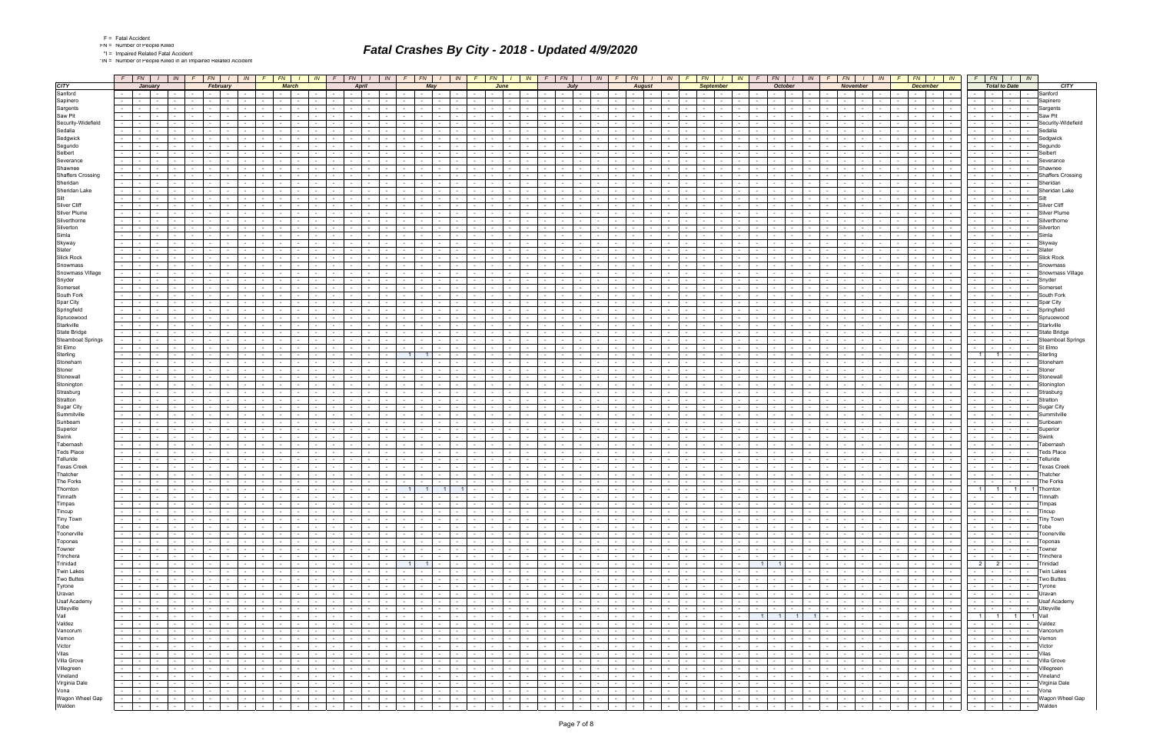| Fatal Accide |
|--------------|
|              |

\*IN = Number of People Killed in an Impaired Related Accident

|                          |               | $F$ $FN$ $I$                                                     |                  | IN                                          |                                           | $F_N$<br>IN<br>FN  <br>IN          |                               |                                    | FN                                        | IN                                               | FN                                                                   | IN | FN                                                                                                                                                                                                                             | IN -                     | F.                                       | FN                                                             | IN         | <b>FN</b>                                       |                                             | IN                                            | FN                                                    | IN 1       | FN -                                               | $\mathbb{N}$                               | FN -                                                  | IN                                                                            |                                                       | FN<br>IN                                                                                                                                                                                                                       |                                    | $F_N$                                         |                | IN.                         |                          |                 |                               |
|--------------------------|---------------|------------------------------------------------------------------|------------------|---------------------------------------------|-------------------------------------------|------------------------------------|-------------------------------|------------------------------------|-------------------------------------------|--------------------------------------------------|----------------------------------------------------------------------|----|--------------------------------------------------------------------------------------------------------------------------------------------------------------------------------------------------------------------------------|--------------------------|------------------------------------------|----------------------------------------------------------------|------------|-------------------------------------------------|---------------------------------------------|-----------------------------------------------|-------------------------------------------------------|------------|----------------------------------------------------|--------------------------------------------|-------------------------------------------------------|-------------------------------------------------------------------------------|-------------------------------------------------------|--------------------------------------------------------------------------------------------------------------------------------------------------------------------------------------------------------------------------------|------------------------------------|-----------------------------------------------|----------------|-----------------------------|--------------------------|-----------------|-------------------------------|
| <b>CITY</b>              |               |                                                                  | January          |                                             |                                           | February                           |                               |                                    | <b>March</b>                              |                                                  | April                                                                |    | May                                                                                                                                                                                                                            |                          | June                                     |                                                                |            | July                                            |                                             | <b>August</b>                                 |                                                       |            | <b>September</b>                                   |                                            | <b>October</b>                                        |                                                                               |                                                       | November                                                                                                                                                                                                                       |                                    | <b>December</b>                               |                | <b>Total to Date</b>        |                          |                 | <b>CITY</b>                   |
| Sanford                  | $\sim 100$    | $\sim$ $-$                                                       | $\sim$ 100 $\mu$ |                                             |                                           |                                    |                               |                                    |                                           |                                                  | $\sim$ $-$                                                           |    | $\sim$                                                                                                                                                                                                                         |                          |                                          |                                                                |            | the contract of the con-                        |                                             | $\sim$ $-$                                    | $\sim$                                                |            |                                                    |                                            |                                                       |                                                                               | $\sim$                                                |                                                                                                                                                                                                                                |                                    | $\sim$<br><b>Contract</b>                     |                |                             |                          | $\sim$          | Sanford                       |
| Sapinero                 |               |                                                                  |                  |                                             |                                           |                                    |                               |                                    |                                           |                                                  |                                                                      |    |                                                                                                                                                                                                                                |                          |                                          |                                                                |            |                                                 |                                             |                                               |                                                       |            |                                                    |                                            |                                                       |                                                                               |                                                       |                                                                                                                                                                                                                                |                                    |                                               |                |                             |                          |                 | Sapinero                      |
| Sargents                 |               |                                                                  |                  |                                             |                                           |                                    |                               |                                    |                                           |                                                  |                                                                      |    |                                                                                                                                                                                                                                |                          |                                          |                                                                |            |                                                 |                                             |                                               |                                                       |            |                                                    |                                            |                                                       |                                                                               |                                                       |                                                                                                                                                                                                                                |                                    |                                               |                |                             |                          |                 | Sargents                      |
| Saw Pit                  |               | $\sim$                                                           |                  |                                             |                                           |                                    |                               |                                    |                                           |                                                  |                                                                      |    | $\sim$<br>$\sim$                                                                                                                                                                                                               |                          |                                          |                                                                |            | $\sim$                                          |                                             |                                               |                                                       |            |                                                    |                                            |                                                       |                                                                               |                                                       |                                                                                                                                                                                                                                |                                    | $\sim$<br>$\sim$                              |                |                             |                          | $\sim$          | Saw Pit                       |
| Security-Widefield       |               |                                                                  |                  |                                             |                                           |                                    |                               |                                    |                                           |                                                  |                                                                      |    |                                                                                                                                                                                                                                |                          |                                          |                                                                |            |                                                 |                                             |                                               |                                                       |            |                                                    |                                            |                                                       |                                                                               |                                                       |                                                                                                                                                                                                                                |                                    |                                               |                |                             |                          |                 | Securitv-Widefield            |
| Sedalia                  |               |                                                                  |                  |                                             |                                           |                                    |                               |                                    |                                           |                                                  |                                                                      |    |                                                                                                                                                                                                                                |                          |                                          |                                                                |            |                                                 |                                             |                                               |                                                       |            |                                                    |                                            |                                                       |                                                                               |                                                       |                                                                                                                                                                                                                                |                                    |                                               |                |                             |                          |                 | Sedalia                       |
| Sedgwick                 |               |                                                                  |                  |                                             |                                           |                                    |                               |                                    |                                           |                                                  |                                                                      |    |                                                                                                                                                                                                                                |                          |                                          |                                                                |            |                                                 |                                             |                                               |                                                       |            |                                                    |                                            |                                                       |                                                                               |                                                       |                                                                                                                                                                                                                                |                                    |                                               |                |                             |                          |                 | Sedgwick                      |
| Segundo                  |               |                                                                  |                  |                                             |                                           |                                    |                               |                                    |                                           |                                                  |                                                                      |    |                                                                                                                                                                                                                                |                          |                                          |                                                                |            |                                                 |                                             |                                               |                                                       |            |                                                    |                                            |                                                       |                                                                               |                                                       |                                                                                                                                                                                                                                |                                    |                                               |                |                             |                          |                 | Segundo                       |
| Seibert                  |               |                                                                  |                  |                                             |                                           |                                    |                               |                                    |                                           |                                                  |                                                                      |    |                                                                                                                                                                                                                                |                          |                                          |                                                                |            |                                                 |                                             |                                               |                                                       |            |                                                    |                                            |                                                       |                                                                               |                                                       |                                                                                                                                                                                                                                |                                    |                                               |                |                             |                          |                 | Seibert                       |
| Severance                | $\sim 100$    | $\sim$                                                           | $\sim$           |                                             |                                           |                                    |                               |                                    |                                           |                                                  |                                                                      |    | $\sim$                                                                                                                                                                                                                         |                          |                                          |                                                                |            | $\sim$                                          |                                             |                                               |                                                       |            |                                                    |                                            |                                                       |                                                                               |                                                       |                                                                                                                                                                                                                                |                                    |                                               |                |                             |                          | $\sim$          | Severance                     |
| Shawnee                  |               |                                                                  |                  |                                             |                                           |                                    |                               |                                    |                                           |                                                  |                                                                      |    |                                                                                                                                                                                                                                |                          |                                          |                                                                |            |                                                 |                                             |                                               |                                                       |            |                                                    |                                            |                                                       |                                                                               |                                                       |                                                                                                                                                                                                                                |                                    |                                               |                |                             |                          |                 |                               |
| <b>Shaffers Crossing</b> | $\sim$        |                                                                  |                  |                                             |                                           |                                    |                               |                                    |                                           |                                                  |                                                                      |    |                                                                                                                                                                                                                                |                          |                                          |                                                                |            |                                                 |                                             |                                               |                                                       |            |                                                    |                                            |                                                       |                                                                               |                                                       |                                                                                                                                                                                                                                |                                    |                                               |                |                             |                          |                 | <b>Shaffers Crossing</b>      |
| Sheridan                 | $\sim$        |                                                                  | $\sim$           |                                             |                                           |                                    |                               |                                    |                                           |                                                  | $\sim$                                                               |    | $\sim$<br>$\sim$                                                                                                                                                                                                               |                          |                                          |                                                                |            | $\sim$<br>$\sim$                                |                                             | $\sim$                                        | $\sim$                                                |            |                                                    |                                            |                                                       |                                                                               |                                                       |                                                                                                                                                                                                                                |                                    | $\sim$                                        |                | $\sim$                      | <b>Service</b>           | $\sim$          | Sheridar                      |
| Sheridan Lake            |               |                                                                  |                  |                                             |                                           |                                    |                               |                                    |                                           |                                                  |                                                                      |    |                                                                                                                                                                                                                                |                          |                                          |                                                                |            |                                                 |                                             |                                               |                                                       |            |                                                    |                                            |                                                       |                                                                               |                                                       |                                                                                                                                                                                                                                |                                    |                                               |                |                             |                          |                 | Sheridan Lake                 |
| <b>Silt</b>              |               |                                                                  |                  |                                             |                                           |                                    |                               |                                    |                                           |                                                  |                                                                      |    |                                                                                                                                                                                                                                |                          |                                          |                                                                |            |                                                 |                                             |                                               |                                                       |            |                                                    |                                            |                                                       |                                                                               |                                                       |                                                                                                                                                                                                                                |                                    |                                               |                |                             |                          | Sil             |                               |
| Silver Cliff             |               |                                                                  |                  |                                             |                                           |                                    |                               |                                    |                                           |                                                  |                                                                      |    |                                                                                                                                                                                                                                |                          |                                          |                                                                |            |                                                 |                                             |                                               |                                                       |            |                                                    |                                            |                                                       |                                                                               |                                                       |                                                                                                                                                                                                                                |                                    |                                               |                |                             |                          | $\sim$          | Silver Cliff                  |
| Silver Plume             |               |                                                                  |                  |                                             |                                           |                                    |                               |                                    |                                           |                                                  |                                                                      |    |                                                                                                                                                                                                                                |                          |                                          |                                                                |            |                                                 |                                             |                                               |                                                       |            |                                                    |                                            |                                                       |                                                                               |                                                       |                                                                                                                                                                                                                                |                                    |                                               |                |                             |                          |                 |                               |
| Silverthorne             |               |                                                                  |                  |                                             |                                           |                                    |                               |                                    |                                           |                                                  |                                                                      |    |                                                                                                                                                                                                                                |                          |                                          |                                                                |            |                                                 |                                             |                                               |                                                       |            |                                                    |                                            |                                                       |                                                                               |                                                       |                                                                                                                                                                                                                                |                                    |                                               |                |                             |                          |                 |                               |
| Silverton                |               |                                                                  |                  |                                             |                                           |                                    |                               |                                    |                                           |                                                  |                                                                      |    |                                                                                                                                                                                                                                |                          |                                          |                                                                |            |                                                 |                                             |                                               |                                                       |            |                                                    |                                            |                                                       |                                                                               |                                                       |                                                                                                                                                                                                                                |                                    |                                               |                |                             |                          |                 |                               |
| Simla                    |               |                                                                  |                  |                                             |                                           |                                    |                               |                                    |                                           |                                                  |                                                                      |    |                                                                                                                                                                                                                                |                          |                                          |                                                                |            |                                                 |                                             |                                               |                                                       |            |                                                    |                                            |                                                       |                                                                               |                                                       |                                                                                                                                                                                                                                |                                    |                                               |                |                             |                          |                 | Simla                         |
| Skyway                   |               |                                                                  |                  |                                             |                                           |                                    |                               |                                    |                                           |                                                  |                                                                      |    |                                                                                                                                                                                                                                |                          |                                          |                                                                |            |                                                 |                                             |                                               |                                                       |            |                                                    |                                            |                                                       |                                                                               |                                                       |                                                                                                                                                                                                                                |                                    |                                               |                |                             |                          |                 | Skyway                        |
| Slater                   |               |                                                                  |                  |                                             |                                           |                                    |                               |                                    |                                           |                                                  |                                                                      |    |                                                                                                                                                                                                                                |                          |                                          |                                                                |            |                                                 |                                             |                                               |                                                       |            |                                                    |                                            |                                                       |                                                                               |                                                       |                                                                                                                                                                                                                                |                                    |                                               |                |                             |                          |                 | Slater                        |
| <b>Slick Rock</b>        |               |                                                                  |                  |                                             |                                           |                                    |                               |                                    |                                           |                                                  |                                                                      |    |                                                                                                                                                                                                                                |                          |                                          |                                                                |            |                                                 |                                             |                                               |                                                       |            |                                                    |                                            |                                                       |                                                                               |                                                       |                                                                                                                                                                                                                                |                                    |                                               |                |                             |                          |                 | <b>Slick Rock</b>             |
| Snowmass                 |               |                                                                  |                  |                                             |                                           |                                    |                               |                                    |                                           |                                                  |                                                                      |    |                                                                                                                                                                                                                                |                          |                                          |                                                                |            |                                                 |                                             |                                               |                                                       |            |                                                    |                                            |                                                       |                                                                               |                                                       |                                                                                                                                                                                                                                |                                    |                                               |                |                             |                          |                 | Snowmas:                      |
| Snowmass Village         |               |                                                                  |                  |                                             |                                           |                                    |                               |                                    |                                           |                                                  |                                                                      |    |                                                                                                                                                                                                                                |                          |                                          |                                                                |            |                                                 |                                             |                                               |                                                       |            |                                                    |                                            |                                                       |                                                                               |                                                       |                                                                                                                                                                                                                                |                                    |                                               |                |                             |                          |                 | Snowmass Village              |
| Snyder                   |               |                                                                  |                  |                                             |                                           |                                    |                               |                                    |                                           |                                                  |                                                                      |    |                                                                                                                                                                                                                                |                          |                                          |                                                                |            |                                                 |                                             |                                               |                                                       |            |                                                    |                                            |                                                       |                                                                               |                                                       |                                                                                                                                                                                                                                |                                    |                                               |                |                             |                          |                 | Snyder                        |
| Somerset                 |               |                                                                  |                  |                                             |                                           |                                    |                               |                                    |                                           |                                                  |                                                                      |    |                                                                                                                                                                                                                                |                          |                                          |                                                                |            |                                                 |                                             |                                               |                                                       |            |                                                    |                                            |                                                       |                                                                               |                                                       |                                                                                                                                                                                                                                |                                    |                                               |                |                             |                          |                 | Somerset                      |
| South Fork               |               |                                                                  |                  |                                             |                                           |                                    |                               |                                    |                                           |                                                  |                                                                      |    |                                                                                                                                                                                                                                |                          |                                          |                                                                |            |                                                 |                                             |                                               |                                                       |            |                                                    |                                            |                                                       |                                                                               |                                                       |                                                                                                                                                                                                                                |                                    |                                               |                |                             |                          |                 | South Fork                    |
| Spar City                |               |                                                                  |                  |                                             |                                           |                                    |                               |                                    |                                           |                                                  |                                                                      |    |                                                                                                                                                                                                                                |                          |                                          |                                                                |            |                                                 |                                             |                                               |                                                       |            |                                                    |                                            |                                                       |                                                                               |                                                       |                                                                                                                                                                                                                                |                                    |                                               |                |                             |                          |                 | Spar City                     |
| Springfield              |               |                                                                  |                  |                                             |                                           |                                    |                               |                                    |                                           |                                                  |                                                                      |    |                                                                                                                                                                                                                                |                          |                                          |                                                                |            |                                                 |                                             |                                               |                                                       |            |                                                    |                                            |                                                       |                                                                               |                                                       |                                                                                                                                                                                                                                |                                    |                                               |                |                             |                          |                 | Springfield                   |
| Sprucewood               |               |                                                                  |                  |                                             |                                           |                                    |                               |                                    |                                           |                                                  |                                                                      |    |                                                                                                                                                                                                                                |                          |                                          |                                                                |            |                                                 |                                             |                                               |                                                       |            |                                                    |                                            |                                                       |                                                                               |                                                       |                                                                                                                                                                                                                                |                                    |                                               |                |                             |                          |                 | Sprucewood                    |
| Starkville               |               |                                                                  |                  |                                             |                                           |                                    |                               |                                    |                                           |                                                  |                                                                      |    | $\sim$                                                                                                                                                                                                                         |                          |                                          |                                                                |            |                                                 |                                             |                                               |                                                       |            |                                                    |                                            |                                                       |                                                                               |                                                       |                                                                                                                                                                                                                                |                                    |                                               |                |                             |                          | $\sim$          | Starkville                    |
| <b>State Bridge</b>      |               |                                                                  |                  |                                             |                                           |                                    |                               |                                    |                                           |                                                  |                                                                      |    |                                                                                                                                                                                                                                |                          |                                          |                                                                |            |                                                 |                                             |                                               |                                                       |            |                                                    |                                            |                                                       |                                                                               |                                                       |                                                                                                                                                                                                                                |                                    |                                               |                |                             |                          |                 | State Bridge                  |
| <b>Steamboat Springs</b> |               |                                                                  |                  |                                             |                                           |                                    |                               |                                    |                                           |                                                  |                                                                      |    |                                                                                                                                                                                                                                |                          |                                          |                                                                |            |                                                 |                                             |                                               |                                                       |            |                                                    |                                            |                                                       |                                                                               |                                                       |                                                                                                                                                                                                                                |                                    |                                               |                |                             |                          |                 | <b>Steamboat Springs</b>      |
| St Elmo                  | $\sim 10$     |                                                                  |                  |                                             |                                           |                                    |                               |                                    |                                           |                                                  |                                                                      |    |                                                                                                                                                                                                                                |                          |                                          |                                                                |            |                                                 |                                             |                                               |                                                       |            |                                                    |                                            |                                                       |                                                                               |                                                       |                                                                                                                                                                                                                                |                                    |                                               |                |                             |                          | $\sim$          | St Elmo                       |
| Sterling                 |               |                                                                  |                  |                                             |                                           |                                    |                               |                                    |                                           |                                                  |                                                                      |    |                                                                                                                                                                                                                                |                          |                                          |                                                                |            |                                                 |                                             |                                               |                                                       |            |                                                    |                                            |                                                       |                                                                               |                                                       |                                                                                                                                                                                                                                |                                    |                                               | $\overline{1}$ |                             |                          |                 | Sterling                      |
| Stoneham                 |               |                                                                  |                  |                                             |                                           |                                    |                               |                                    |                                           |                                                  |                                                                      |    |                                                                                                                                                                                                                                |                          |                                          |                                                                |            |                                                 |                                             |                                               |                                                       |            |                                                    |                                            |                                                       |                                                                               |                                                       |                                                                                                                                                                                                                                |                                    |                                               |                |                             |                          |                 | Stoneham                      |
| Stoner                   |               |                                                                  |                  |                                             |                                           |                                    |                               |                                    |                                           |                                                  |                                                                      |    |                                                                                                                                                                                                                                |                          |                                          |                                                                |            |                                                 |                                             |                                               |                                                       |            |                                                    |                                            |                                                       |                                                                               |                                                       |                                                                                                                                                                                                                                |                                    |                                               |                |                             |                          |                 |                               |
| Stonewall                |               |                                                                  |                  |                                             |                                           |                                    |                               |                                    |                                           |                                                  |                                                                      |    |                                                                                                                                                                                                                                |                          |                                          |                                                                |            |                                                 |                                             |                                               |                                                       |            |                                                    |                                            |                                                       |                                                                               |                                                       |                                                                                                                                                                                                                                |                                    |                                               |                |                             |                          |                 |                               |
| Stonington               | $\sim$        |                                                                  |                  |                                             |                                           |                                    |                               |                                    |                                           |                                                  |                                                                      |    |                                                                                                                                                                                                                                |                          |                                          |                                                                |            |                                                 |                                             |                                               |                                                       |            |                                                    |                                            |                                                       |                                                                               |                                                       |                                                                                                                                                                                                                                |                                    |                                               |                |                             |                          |                 | Stoninato                     |
| Strasburg                |               |                                                                  |                  |                                             |                                           |                                    |                               |                                    |                                           |                                                  |                                                                      |    |                                                                                                                                                                                                                                |                          |                                          |                                                                |            |                                                 |                                             |                                               |                                                       |            |                                                    |                                            |                                                       |                                                                               |                                                       |                                                                                                                                                                                                                                |                                    |                                               |                |                             |                          |                 | Strasburg                     |
| Stratton                 |               |                                                                  |                  |                                             |                                           |                                    |                               |                                    |                                           |                                                  |                                                                      |    |                                                                                                                                                                                                                                |                          |                                          |                                                                |            |                                                 |                                             |                                               |                                                       |            |                                                    |                                            |                                                       |                                                                               |                                                       |                                                                                                                                                                                                                                |                                    |                                               |                |                             |                          |                 | Strattor                      |
| Sugar City               |               |                                                                  |                  |                                             |                                           |                                    |                               |                                    |                                           |                                                  |                                                                      |    |                                                                                                                                                                                                                                |                          |                                          |                                                                |            |                                                 |                                             |                                               |                                                       |            |                                                    |                                            |                                                       |                                                                               |                                                       |                                                                                                                                                                                                                                |                                    |                                               |                |                             |                          |                 | Sugar City                    |
| Summitville              |               |                                                                  |                  |                                             |                                           |                                    |                               |                                    |                                           |                                                  |                                                                      |    |                                                                                                                                                                                                                                |                          |                                          |                                                                |            |                                                 |                                             |                                               |                                                       |            |                                                    |                                            |                                                       |                                                                               |                                                       |                                                                                                                                                                                                                                |                                    |                                               |                |                             |                          |                 |                               |
| Sunbeam                  |               |                                                                  |                  |                                             |                                           |                                    |                               |                                    |                                           |                                                  |                                                                      |    |                                                                                                                                                                                                                                |                          |                                          |                                                                |            |                                                 |                                             |                                               |                                                       |            |                                                    |                                            |                                                       |                                                                               |                                                       |                                                                                                                                                                                                                                |                                    |                                               |                |                             |                          |                 | Sunbeam                       |
| Superior                 |               |                                                                  |                  |                                             |                                           |                                    |                               |                                    |                                           |                                                  |                                                                      |    |                                                                                                                                                                                                                                |                          |                                          |                                                                |            |                                                 |                                             |                                               |                                                       |            |                                                    |                                            |                                                       |                                                                               |                                                       |                                                                                                                                                                                                                                |                                    |                                               |                |                             |                          |                 | Superior                      |
| Swink                    |               |                                                                  |                  |                                             |                                           |                                    |                               |                                    |                                           |                                                  |                                                                      |    |                                                                                                                                                                                                                                |                          |                                          |                                                                |            |                                                 |                                             |                                               |                                                       |            |                                                    |                                            |                                                       |                                                                               |                                                       |                                                                                                                                                                                                                                |                                    |                                               |                |                             |                          |                 |                               |
| Tabernash                |               |                                                                  |                  |                                             |                                           |                                    |                               |                                    |                                           |                                                  |                                                                      |    |                                                                                                                                                                                                                                |                          |                                          |                                                                |            |                                                 |                                             |                                               |                                                       |            |                                                    |                                            |                                                       |                                                                               |                                                       |                                                                                                                                                                                                                                |                                    |                                               |                |                             |                          |                 | ГаbernasI                     |
| <b>Teds Place</b>        |               |                                                                  |                  |                                             |                                           |                                    |                               |                                    |                                           |                                                  |                                                                      |    |                                                                                                                                                                                                                                |                          |                                          |                                                                |            |                                                 |                                             |                                               |                                                       |            |                                                    |                                            |                                                       |                                                                               |                                                       |                                                                                                                                                                                                                                |                                    |                                               |                |                             |                          |                 | Teds Place                    |
| Telluride                |               |                                                                  |                  |                                             |                                           |                                    |                               |                                    |                                           |                                                  |                                                                      |    |                                                                                                                                                                                                                                |                          |                                          |                                                                |            |                                                 |                                             |                                               |                                                       |            |                                                    |                                            |                                                       |                                                                               |                                                       |                                                                                                                                                                                                                                |                                    |                                               |                |                             |                          |                 | Telluride                     |
| <b>Texas Creek</b>       |               |                                                                  |                  |                                             |                                           |                                    |                               |                                    |                                           |                                                  |                                                                      |    |                                                                                                                                                                                                                                |                          |                                          |                                                                |            |                                                 |                                             |                                               |                                                       |            |                                                    |                                            |                                                       |                                                                               |                                                       |                                                                                                                                                                                                                                |                                    |                                               |                |                             |                          |                 | <b>Texas Creel</b>            |
| Thatcher                 |               |                                                                  |                  |                                             |                                           |                                    |                               |                                    |                                           |                                                  |                                                                      |    |                                                                                                                                                                                                                                |                          |                                          |                                                                |            |                                                 |                                             |                                               |                                                       |            |                                                    |                                            |                                                       |                                                                               |                                                       |                                                                                                                                                                                                                                |                                    |                                               |                |                             |                          |                 | Thatcher                      |
| The Forks                |               |                                                                  |                  |                                             |                                           |                                    |                               |                                    |                                           |                                                  |                                                                      |    |                                                                                                                                                                                                                                |                          |                                          |                                                                |            |                                                 |                                             |                                               |                                                       |            |                                                    |                                            |                                                       |                                                                               |                                                       |                                                                                                                                                                                                                                |                                    |                                               |                |                             |                          |                 | The Forks                     |
| Thornton                 | $\sim$        | <b>Contract</b>                                                  | $\sim$           |                                             |                                           |                                    |                               |                                    |                                           | $\sim$ $-$                                       | $\sim$<br><b>Contract Contract</b>                                   |    | 11<br>$\overline{1}$                                                                                                                                                                                                           |                          |                                          |                                                                |            | $\sim$ $-$<br>$\sim$                            |                                             | $\sim$<br>$\sim$                              | $\sim$                                                |            |                                                    |                                            |                                                       |                                                                               | $\sim$                                                | $\sim$                                                                                                                                                                                                                         |                                    | $\sim$<br>$\sim$                              | $1 \vert$      | $1 \vert$                   | 11                       |                 | <b>IThorntor</b>              |
| <b>I</b> Imnath          |               | <b>Service</b>                                                   | $\sim$           |                                             |                                           | .                                  | $\sim$                        |                                    |                                           |                                                  | $\sim$ $-$<br>.                                                      |    | $\sim$<br>.                                                                                                                                                                                                                    |                          | the contract of the contract of          |                                                                |            |                                                 |                                             | $\sim$<br>$\sim$ $-$                          | $\sim$                                                | $\sim$     | and the second control of the second second        |                                            |                                                       |                                                                               | $\mathbf{I}$ $\mathbf{I}$                             | the contract of the con-                                                                                                                                                                                                       |                                    |                                               |                | .                           |                          |                 | l imnatr                      |
| Timpas                   | $\sim 10$     | $\sim$ $  -$                                                     | $\sim 10^{-1}$   | $\sim 10^{-11}$                             | $\sim 10^{-1}$                            | n von t<br>$\sim$                  | $\sim$ $-$                    | $\sim$                             | $\sim 10^{-11}$                           | $\sim$ $-$<br>$\sim 10^{-11}$                    | $\sim 10^{-11}$<br>$\sim 10^{-11}$<br>and the state                  |    | $\sim 10^{-11}$<br>$\sim$ $-$<br>$\sim$ $\sim$ $\sim$ $\sim$                                                                                                                                                                   | $\sim$                   | $\sim$<br>$\sim$ $-$                     | $\sim 10^{-11}$<br>$\sim$ $-$                                  | $\sim$ $-$ | <u>tan p</u> an                                 | . <b>.</b>                                  | $\sim$ $-$<br>$\sim 10^{-10}$                 | $\sim 10^{-11}$<br>$\sim 10^{-10}$                    | $\sim$     | $\sim$ $\sim$<br>$\sim$                            | $\sim 10^{-10}$<br>$\sim$                  | $\sim 10^{-11}$                                       | $\sim 10^{-11}$<br>$\sim 10^{-1}$                                             | $\sim$ $  \sim$<br>$\sim 10^{-11}$                    | <b>Contract Contract</b>                                                                                                                                                                                                       | $\sim 10^{-11}$                    | the contract of<br>$\sim 10^{-1}$             |                | 下   -   -                   |                          | $\sim 10^{-11}$ | Timpas                        |
| Tincup                   |               | $-1 - 1 - 1 - 1$                                                 |                  | $\sim 100$                                  | $\sim 100$                                | <b>Contract Contract</b><br>$\sim$ | $\sim$ $-$                    | <b>Contract</b>                    | $\sim 10^{-11}$                           | the contract of the con-                         | the contract of<br>and the state of the state                        |    | $\sim 100$<br>.                                                                                                                                                                                                                |                          | the contract of the contract of the con- | $\sim$ $-$                                                     |            | $     -$                                        | $\sim 10^{-10}$                             | .                                             | <b>Contract</b>                                       |            | the contract of the contract of                    | the contract of the                        | $\sim$<br><b>Contract</b>                             | $\sim$ $\sim$ $\sim$<br>$\sim 100$                                            | the contract of                                       | and the state of the state                                                                                                                                                                                                     | <b>Service</b>                     | the contract of the contract of<br>$\sim 100$ |                | and the state of the state  | .                        |                 | Tincup                        |
| <b>Tiny Town</b>         |               | the contract of the contract of the con-                         |                  |                                             | $\sim 10^{-11}$                           | <b>Common</b><br>$\sim$            | $\sim 100$                    |                                    | the contract of                           | the contract of                                  | the contract of<br>the contract of                                   |    | the contract of<br>$\sim$ $ -$                                                                                                                                                                                                 | $\sim$                   | $\sim$ $\sim$<br>$\sim 10^{-1}$          | $\sim 10^{-11}$<br>$\sim$ $-$                                  |            |                                                 |                                             |                                               | $\sim 10^{-10}$                                       | $\sim$ $-$ | $\sim$ $-$                                         | the contract of<br>$\sim$                  |                                                       | the contract of the con-                                                      | the contract of the con-                              | the contract of                                                                                                                                                                                                                | $\sim$ - $\sim$ - $\sim$           | $\sim 100$                                    |                | -   -   -   -   Tiny Town   |                          |                 |                               |
| Tobe                     |               | the contract of the contract of the con-<br><b>Allen Barbara</b> |                  |                                             | .                                         | $\sim$                             | $\mathbf{I}$ and $\mathbf{I}$ |                                    |                                           | $-$ 1 $-$ 1 $-$ 1 $-$                            | <b>Contract Contract</b><br>المتحال المناو                           |    |                                                                                                                                                                                                                                |                          | and the characters of the con-           |                                                                |            |                                                 |                                             | .                                             | $\sim 10^{-10}$                                       |            | .                                                  |                                            |                                                       | .                                                                             |                                                       |                                                                                                                                                                                                                                |                                    | .                                             |                | -   -   -   -   Tobe        |                          |                 |                               |
| Toonerville              |               |                                                                  |                  | <b>Contract</b>                             |                                           | $\sim$ $-$                         | <b>Contract</b>               | $\sim$ $\sim$                      | $\sim$ $-$                                | <b>Carl Carl</b>                                 | 도메리<br>.                                                             |    | the contract of the contract of the contract of the contract of the contract of the contract of the contract of the contract of the contract of the contract of the contract of the contract of the contract of the contract o |                          | the contract of the con-                 | J,                                                             |            |                                                 | $\sim 10^{-10}$                             | <b>Contract Contract</b>                      | <b>Contract</b>                                       |            | $-1 - 1$                                           | k Tor<br>the contract of                   | $-1$                                                  | $\sim$ $\sim$ $\sim$<br>$\sim 10^{-11}$                                       | <b>Contract Contract</b>                              | المتوار والمنا                                                                                                                                                                                                                 | <b>Contract Contract</b>           | $-1 - 1 - 1 -$                                |                |                             |                          |                 |                               |
| Toponas                  |               | $    -$                                                          |                  | <b>Contract</b>                             | <b>Contract Contract</b>                  | $\sim$                             | <b>Contract</b>               |                                    | the contract of                           | the contract of                                  | the contract of<br>and the state of the state                        |    | the contract of                                                                                                                                                                                                                | the contract of the con- | <b>Service</b> Service                   | $\sim$ $\sim$ $\sim$ $\sim$ $\sim$ $\sim$ $\sim$<br>$\sim$ $-$ |            | $-1 - 1 - 1 - 1$                                | <b>Contract Contract</b>                    | .                                             | <b>Contract</b>                                       | $\sim$ $-$ | $\sim$ $-$                                         | the contract of the<br>$\sim$              | $\sim$ $\sim$ $\sim$ $\sim$                           | $\sim 100$                                                                    | <b>Contract</b><br>$\sim$ $\sim$ $\sim$               | the contract of                                                                                                                                                                                                                | <b>Contract</b>                    | and the contract                              |                | $\sim$ $\sim$ $\sim$ $\sim$ | the collection           |                 | Toponas                       |
| Towner                   |               | the contract of the con-                                         |                  | <b>Contract</b>                             | the contract of                           | $\sim$                             | <b>Contract</b>               |                                    | the contract of the contract of           | the contract of                                  | the contract of<br>and the state                                     |    | .                                                                                                                                                                                                                              | $\sim$ $-$               | $-1$                                     | the contract of<br>$\sim$ $-$                                  |            | the contract of the contract of the con-        | <b>Contract Contract Street</b>             | .                                             | <b>Contract</b>                                       |            | $-1 - 1$                                           | the contract of<br>$\sim$                  | $\sim$ $\sim$                                         | <b>Contract Contract</b>                                                      | the contract of                                       | the contract of                                                                                                                                                                                                                | <b>Contract</b>                    | $-1 - 1 - 1$<br>$\sim$                        |                | -   -   -   -   Towner      |                          |                 |                               |
| Trinchera                |               | $-1 - 1 - 1 - 1$                                                 |                  | <b>Contract</b>                             |                                           | $\sim$                             | <b>Contract Contract</b>      | $\sim 10^{-11}$                    | $\sim$ $-$                                | <b>Committee</b>                                 | 도미니<br><b>Contract Contract</b>                                      |    | and the local contract<br>$\sim 100$                                                                                                                                                                                           |                          | the contract of the con-                 | J,                                                             |            | <b>Committee State</b>                          | <b>Contract Contract</b>                    | जिल्लामा अवस्थित                              | <b>Contract</b>                                       |            | $-1 - 1$                                           | the contract of                            | $\sim$ $-$<br>$-1$                                    | $\sim$<br>$\sim 10^{-11}$                                                     | $\sim$ $-$<br>$\sim 10^{-10}$                         | <b>Contract Contract</b>                                                                                                                                                                                                       | <b>Contract Contract</b>           | $-1 - 1 -$                                    |                |                             |                          |                 |                               |
| Trinidad                 |               | $    -$                                                          |                  | $\sim 10^{-10}$                             | <b>Contract Contract</b>                  | $\sim$                             | <b>Contract</b>               |                                    | the contract of                           | the contract of                                  | <b>Contract Contract</b><br>$\sim$ $\sim$ $\sim$ $\sim$              |    |                                                                                                                                                                                                                                |                          | the contract of                          | $\mathbf{1}$ $\mathbf{1}$<br>$\sim$ $-$                        |            | $-1 - 1 - 1 - 1$                                | <b>Contract Contract</b>                    | .                                             | <b>Contract</b>                                       | $\sim$ $-$ | $\sim 10^{-11}$<br>$\sim$                          | $\mathbf{r}$                               | $1 \t1 \t1$                                           | $\sim 10^{-11}$                                                               | $\sim$ $\sim$ $\sim$<br><b>Contract</b>               | <b>Contract Contract</b>                                                                                                                                                                                                       | <b>Contract</b>                    | .                                             |                | 2 2 - Trinidad              |                          |                 |                               |
| <b>Twin Lakes</b>        |               | the contract of the con-                                         |                  | $\sim 10^{-10}$                             | and the state of the state of the         | $\sim$                             | <b>Contract Contract</b>      |                                    | the contract of the contract of           | the contract of                                  | the contract of<br>and the state                                     |    | $\sim$ $\sim$ $\sim$ $\sim$                                                                                                                                                                                                    | $\sim$ $-$               | $-1$                                     | the contract of<br>$\sim$ $-$                                  |            |                                                 |                                             | .                                             | <b>Contract</b>                                       |            | the contract of                                    | the contract of                            | <b>Contract</b>                                       | <b>Contract Contract</b>                                                      | the contract of                                       | the contract of the con-                                                                                                                                                                                                       | <b>Contract</b>                    | the contract of the con-<br>$\sim$            |                | - - - - - Twin Lakes        |                          |                 |                               |
| Two Buttes               |               | <b>Andrew Park</b><br>and the state of the state of              |                  | <b>Contract</b><br><b>Contract Contract</b> | $    -$                                   | $\sim$<br>$\sim$                   | <b>Contract</b><br>$\sim$ $-$ | $\sim 10^{-11}$<br><b>Contract</b> | $\sim$ $\sim$<br><b>Contract Contract</b> | <b>Contract Contract</b><br>and the contract     | the contract of<br><b>Contract Contract</b><br><b>Second Control</b> |    | $-$ 1 $-$ 1 $-$ 1 $-$<br>6 F I<br>$\sim 10^{-10}$<br>$\sim$ $ -$                                                                                                                                                               | $\sim$                   | $-1 - 1 - 1 - 1$<br>$\sim$ $-$           | $\sim$<br>$\sim 10^{-10}$<br>$\sim$ $-$                        |            | <b>Second Second Second</b>                     | $\sim 10^{-10}$<br><b>Contract Contract</b> | $\sim$ $\sim$ $\sim$ $\sim$                   | <b>Contract</b><br>$\sim 10^{-11}$<br><b>Contract</b> | $\sim$     | $-1 - 1$<br>$\sim$ $-$<br><b>Contract Contract</b> | the contract of<br>$\sim$<br>$\sim$ $\sim$ | $\sim$ $-$<br>$\sim$ $\sim$ $\sim$<br><b>Contract</b> | $\sim$ $\sim$ $\sim$<br>$\sim 10^{-11}$<br>$\sim 10^{-10}$<br>$\sim 10^{-11}$ | the contract of<br><b>Contract</b><br>$\sim 10^{-11}$ | the contract of                                                                                                                                                                                                                | $\sim 10^{-10}$<br><b>Contract</b> | and the contract                              |                |                             |                          |                 | $    -$ Two Buttes            |
| Tyrone                   |               |                                                                  |                  |                                             | the contract of the con-                  |                                    |                               |                                    |                                           |                                                  | and the state                                                        |    |                                                                                                                                                                                                                                |                          | $-1$                                     |                                                                |            |                                                 |                                             |                                               |                                                       |            |                                                    |                                            |                                                       |                                                                               |                                                       | and the state                                                                                                                                                                                                                  |                                    | .                                             |                | .                           |                          |                 | Tyrone                        |
| Uravan                   |               | the contract of the contract of                                  |                  | <b>Contract</b>                             | <b>Contract Contract</b>                  | $\sim$                             | <b>Contract</b>               |                                    | the contract of the con-                  | the contract of                                  | the contract of<br>the contract of                                   |    | the contract of the con-                                                                                                                                                                                                       |                          | $-1 - 1 - 1 - 1$                         | $\sim$ $-$                                                     |            |                                                 |                                             | .                                             | <b>Contract</b>                                       |            | the contract of the contract of                    | the contract of the                        | <b>Contract</b>                                       | the contract of                                                               | the contract of the con-                              | the contract of                                                                                                                                                                                                                | <b>Contract Contract</b>           | and the state of the state of the state       |                | -   -   -   -   Uravan      |                          |                 |                               |
| Usaf Academy             |               | $-1 - 1 - 1 - 1$                                                 |                  | <b>Contract</b>                             | $\sim$ $\sim$ $\sim$ $\sim$ $\sim$ $\sim$ | $\sim$                             | <b>Contract</b>               | $\sim$                             |                                           |                                                  | the contract of the con-                                             |    |                                                                                                                                                                                                                                |                          |                                          | $\sim 10^{-1}$                                                 |            |                                                 |                                             | the contract of the contract of the           | <b>Contract</b>                                       |            |                                                    | $\sim 10^{-1}$                             |                                                       | .                                                                             | the contract of                                       | and the state                                                                                                                                                                                                                  |                                    | .                                             |                |                             |                          |                 | -   -   -   - Usaf Academy    |
| Utleyville<br>Vail       | $\sim 100$    | and the state of the state of                                    |                  |                                             |                                           | $\sim$                             | $\sim$ $-$                    | $\sim 10^{-11}$                    | $\sim$ $  -$                              | <b>Second Card</b>                               | and the control<br>and the state of the state                        |    |                                                                                                                                                                                                                                |                          | $\sim$ $\sim$<br>$ -$                    | $\sim 10^{-10}$<br>$\sim$ $-$<br>$\sim$                        |            |                                                 |                                             |                                               | <b>Contract</b>                                       |            | $-1 - 1$                                           | the contract of                            | $\sim 10^{-11}$<br>$\sim$ $\sim$ $\sim$               | $  -$<br>$\sim$ $-$                                                           | $\sim$ $-$<br>$\sim 10^{-10}$                         | and the state of the state of                                                                                                                                                                                                  |                                    |                                               |                | -   -   -   -   Utleyville  |                          |                 |                               |
|                          |               | $-1 - 1 - 1 - 1$                                                 |                  |                                             | $-1-1-1$                                  | $\sim$                             | $\mathbf{1}$ $\mathbf{1}$     |                                    |                                           |                                                  | <b>Contract Contract</b><br><b>Contract Contract</b>                 |    | n - 1 - 1 - 1 - 1                                                                                                                                                                                                              |                          |                                          |                                                                |            |                                                 |                                             | .                                             | $\sim 10^{-10}$                                       |            | .                                                  |                                            |                                                       | $1 \quad 1 \quad 1 \quad 1 \quad 1 \quad 1 \quad 1$                           |                                                       |                                                                                                                                                                                                                                |                                    | 1980 - 1981 - 1982                            |                | 1   1   1   1   Vail        |                          |                 |                               |
| Valdez                   |               | $    -$                                                          |                  | <b>Contract</b>                             | $\sim$ $\sim$ $\sim$ $\sim$ $\sim$ $\sim$ | $\sim$                             | <b>Contract</b>               | $\sim$                             |                                           |                                                  | the contract of the con-                                             |    |                                                                                                                                                                                                                                |                          | .                                        | $\sim$ $-$                                                     |            | the contract of the contract of the con-        | $\sim 10^{-10}$                             | the contract of the con-                      | <b>Contract</b>                                       |            | $-1 - 1$<br>$\sim$ $-$                             | $\mathbf{1}$ and $\mathbf{1}$              | $\sim$ $-$<br>$\sim$ $\sim$                           | $\sim$ $-$<br>$\sim 10^{-11}$                                                 | the contract of the con-                              | and the state                                                                                                                                                                                                                  |                                    | the contract of the contract of the con-      |                | -   -   -   -   Valdez      |                          |                 |                               |
| Vancorum                 |               | $-1 - 1 - 1 - 1$                                                 |                  | <b>Contract Contract Street</b>             | .                                         | $\sim$                             | $\sim$ $-$                    | $\sim 10^{-11}$                    | $\sim$ $  -$                              | and the state                                    | and the co<br>and the state of the state                             |    |                                                                                                                                                                                                                                | $\sim$ $-$               | $\sim$ $\sim$<br>$-1$                    | $\sim 10^{-10}$<br>$\sim$ $-$                                  |            | $-1 - 1 - 1 - 1$                                | <b>Contract Contract Street</b>             |                                               | <b>Contract</b><br><b>Contract</b>                    |            | $-1 - 1$                                           | the contract of the con-<br>$\sim$         | <b>Contract</b>                                       | <b>Contract Contract</b><br>$\sim$ $-$                                        | $\sim$ $\sim$ $\sim$<br><b>Contract</b>               | the contract of the con-                                                                                                                                                                                                       | $\sim$ $\sim$ $\sim$ $\sim$        | and the state of the state of the state       |                | -   -   -   - Vancorum      |                          |                 |                               |
| Vernon<br>Victor         |               | $-1 - 1 - 1 - 1$                                                 |                  |                                             | .                                         | $\sim$                             | $\sim 10^{-10}$               |                                    |                                           | the collection of the collection                 | <b>Contract Contract</b><br>and the state                            |    | the collection of the collection                                                                                                                                                                                               |                          | $-1 - 1 - 1 - 1$                         | $\sim$ $-$                                                     |            |                                                 |                                             |                                               | <b>Contract</b>                                       |            | the contract of                                    | the contract of                            | $\sim$<br>$\sim$ $\sim$                               | <b>Carl Carl Carl</b>                                                         |                                                       | the contract of the contract of the contract of the contract of the contract of the contract of the contract of the contract of the contract of the contract of the contract of the contract of the contract of the contract o |                                    | .                                             |                | -   -   -   -   Vernon      |                          |                 |                               |
|                          |               | $    -$                                                          |                  | <b>Contract</b>                             | <b>Contract</b>                           | <b>Contract Contract</b><br>$\sim$ | <b>Contract</b>               | $\sim$ $\sim$                      |                                           |                                                  | the contract of<br>and the state                                     |    | $\sim 10^{-10}$<br>$\sim$ $-$<br>$\sim$ $\sim$ $\sim$                                                                                                                                                                          | $\sim$                   | $-1$                                     | the contract of the con-<br>$\sim$ $-$                         |            | the contract of the con-                        | <b>Contract Contract</b>                    | .                                             | <b>Contract</b>                                       | $\sim$ $-$ | $\sim$ $\sim$ $\sim$ $\sim$<br>$\sim$              | $\sim$ $-$                                 | $\sim$<br>$-1$                                        | $\sim$ $  -$<br><b>Contract</b>                                               | the contract of                                       | the contract of                                                                                                                                                                                                                | <b>Contract Contract</b>           | .                                             |                | -   -   -   - Victor        |                          |                 |                               |
| Vilas<br>Villa Grove     | $\sim$ $-$    | 1 - 1 -                                                          |                  | <b>Contract Contract</b>                    | the contract of<br>$-1 - 1 - 1$           | $\sim$<br>$\sim$                   | <b>Contract Contract</b>      | $\sim$ $\sim$                      | $\sim$ $\sim$ $\sim$                      | $-1 - 1 - 1 - 1 - 1$<br><b>Contract Contract</b> | the contract of<br>the contract of<br><b>Contract Contract</b>       |    | $-1 - 1 - 1$                                                                                                                                                                                                                   | $\sim$ $-$               |                                          | $\sim$ $-$<br>$\sim$                                           |            | the contract of the con-                        | $\sim 10^{-10}$                             | .<br>the contract of the contract of the con- | <b>Contract</b><br>$\mathbf{r}$ = $\mathbf{r}$        |            | the property of the con-                           | the contract of<br><b>Second Second</b>    | $\sim$<br>$\sim$ $\sim$ $\sim$<br>$\sim$ $-$          | the contract of<br>and the co                                                 | the contract of the con-<br>the contract of           | the contract of the con-<br>and the state                                                                                                                                                                                      | <b>Contract Contract</b>           | and the state of the state of the state       |                |                             |                          |                 |                               |
| Villegreen               |               | the property of the con-                                         |                  | $\sim 10^{-10}$                             | <b>Contract Contract</b>                  | $\sim$                             | $\sim 10^{-11}$<br>المناسب ال |                                    |                                           |                                                  | <b>Contract Contract</b><br>and the con-                             |    | .                                                                                                                                                                                                                              |                          | $\sim$ $\sim$<br>$-1 - 1 - 1$            | <b>Contract</b><br>$\sim$ $-$                                  |            |                                                 | $\sim 10^{-10}$                             | the contract of the contract of the con-      | n a s                                                 |            | $-1 - 1$<br>the contract of<br>$\sim$ $-$          | ۱ - ۱<br>$\sim 10^{-1}$                    | $-1$<br>$\sim$ $\sim$                                 | $\sim$ $\sim$ $\sim$ $\sim$<br>$\sim 10^{-11}$                                | and the con-                                          |                                                                                                                                                                                                                                |                                    | .<br>$\sim 100$<br>$        -$                |                | - - - - - Villa Grove       |                          |                 |                               |
| Vineland                 |               | <u>a matana a</u>                                                |                  |                                             |                                           |                                    |                               |                                    |                                           |                                                  | <b>Contract Contract</b>                                             |    |                                                                                                                                                                                                                                |                          |                                          |                                                                |            |                                                 |                                             |                                               |                                                       |            |                                                    |                                            |                                                       |                                                                               |                                                       | the contract of                                                                                                                                                                                                                |                                    |                                               |                | -   -   -   -   Villegreen  |                          |                 |                               |
|                          | $\sim$ $\sim$ |                                                                  |                  | <b>Contract</b>                             | .                                         | <b>Service</b>                     | $\sim$ $-$                    |                                    | the contract of the con-                  | the contract of<br>and the state                 | the contract of<br>and the state of the state<br><b>Committee</b>    |    | <b>Contract Contract</b><br>.<br>$\mathbf{I}$ - $\mathbf{I}$                                                                                                                                                                   |                          | $-1 - 1 - 1 - 1$                         | $\sim$ $-$                                                     |            | and the contract of<br>the contract of the con- | <b>Contract Contract</b>                    | .<br>the contract of the contract of the con- | <b>Contract</b>                                       |            | the contract of                                    | the contract of the                        | $\sim$<br>$-1$<br>$\sim$ $-$                          | and the state<br>$\sim$ $\sim$ $\sim$                                         | <b>Contract Contract</b><br>the contract of           | the contract of                                                                                                                                                                                                                | $\sim 10^{-11}$<br>$\sim$ $-1$     | and the state of the state of the state       |                |                             |                          |                 |                               |
| Virginia Dale            |               | <b>Contract Contract</b>                                         |                  |                                             |                                           | $\sim$                             | $\sim 100$                    | $\sim$ $\sim$                      | $\sim$ $\sim$ $\sim$                      |                                                  | <b>Carl Land</b>                                                     |    | se la su                                                                                                                                                                                                                       | $\sim$                   | $\sim$ $\sim$                            | $\sim$<br>$\sim 10^{-11}$                                      |            |                                                 |                                             |                                               | $\sim 10^{-11}$                                       | $\sim$     | $\sim 100$<br>$\sim$ $-$                           | $\mathbf{1}$ and $\mathbf{1}$              | $\sim$ $\sim$                                         | $\sim 10^{-11}$                                                               |                                                       | <b>Contract Contract</b>                                                                                                                                                                                                       |                                    | $   -$<br>$\sim 100$                          |                |                             |                          |                 | -   -   -   -   Virginia Dale |
| Vona                     |               | <b>Andrew Park</b>                                               |                  | <b>Contract</b>                             | <b>Committee</b>                          | $\sim$                             | $\sim$ $-$                    | $\sim$ $\sim$ $\sim$               | $\sim$ $\sim$ $\sim$                      | and the control<br>$\sim$ $\sim$ $\sim$          | and the con-<br>and the state                                        |    | .                                                                                                                                                                                                                              |                          | .                                        | $\sim$ $-$                                                     |            | the company of the company                      | $\sim 10^{-10}$                             |                                               | <b>Contract</b>                                       |            | the contract of<br>$\sim$                          | المنتقلة ال                                | $\sim$ $-$<br>$\sim$ $\sim$                           | $\sim$ $-$<br>$\sim 10^{-11}$                                                 | and the con-                                          | the contract of                                                                                                                                                                                                                | $\sim 10^{-10}$                    | n - 1 - 1 - 1                                 |                | $-1 - 1 - 1 - 1 - 1$        |                          | Vona            |                               |
| Wagon Wheel Gap          |               | <b>Second Second Second</b>                                      |                  | <b>Contract</b>                             | .                                         | $\sim 100$                         | <b>Contract</b>               |                                    | the contract of                           |                                                  | the contract of<br>and the state                                     |    | .<br><b>Contract Contract</b>                                                                                                                                                                                                  |                          | .                                        | $\sim$ $ \sim$                                                 |            | $-1 - 1 - 1 - 1$                                | <b>Contract Contract</b>                    | and the state of the state                    | <b>Contract</b>                                       |            | the contract of                                    | the contract of                            | $\sim$<br>$-1$                                        | the contract of                                                               | <b>Contract Contract</b>                              | $\sim$ $\sim$ $\sim$ $\sim$                                                                                                                                                                                                    |                                    | .                                             |                |                             |                          |                 | - - - - - Wagon Wheel Gap     |
| Walden                   |               | <b>Second Second Second</b>                                      |                  |                                             |                                           | $\sim$                             | $\sim 10^{-11}$               |                                    |                                           | - - - - - -                                      | <b>Contract Contract</b><br>and the state                            |    |                                                                                                                                                                                                                                |                          | $-1 - 1 - 1 - 1 - 1$                     |                                                                |            | $-1 - 1 - 1 - 1$                                |                                             | .                                             | $\sim 10^{-10}$                                       | $\sim$     | $\sim$ $-$<br>$\sim$ $\sim$ $\sim$                 | $\sim 10^{-10}$                            | $\sim$ $-$                                            | $  \cdot   +   \cdot   +   $                                                  |                                                       | te die die diese                                                                                                                                                                                                               |                                    | $\sim$ $-$                                    |                | <b>Contract Contract</b>    | <b>Contract Contract</b> |                 | Walden                        |